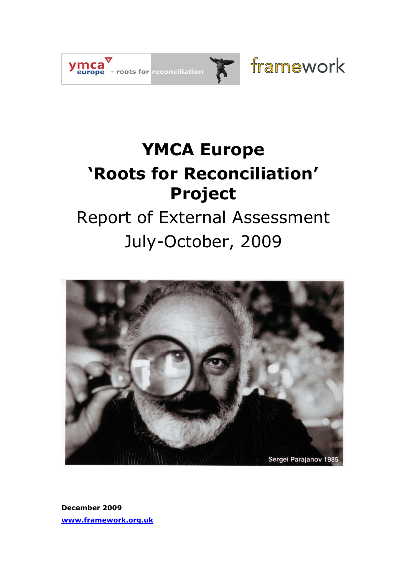

# **YMCA Europe 'Roots for Reconciliation' Project**

# Report of External Assessment July-October, 2009



**December 2009 [www.framework.org.uk](http://www.framework.org.uk/)**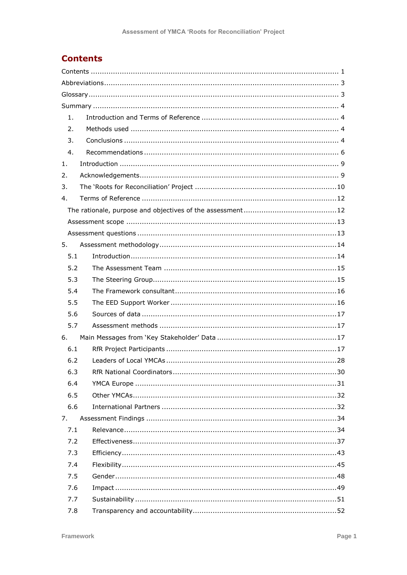# **Contents**

| 1.  |     |
|-----|-----|
| 2.  |     |
| 3.  |     |
| 4.  |     |
| 1.  |     |
| 2.  |     |
| 3.  |     |
| 4.  |     |
|     |     |
|     |     |
|     |     |
| 5.  |     |
| 5.1 |     |
| 5.2 |     |
| 5.3 |     |
| 5.4 |     |
| 5.5 |     |
| 5.6 |     |
| 5.7 |     |
| 6.  |     |
| 6.1 |     |
| 6.2 |     |
| 6.3 | 30. |
| 6.4 |     |
| 6.5 |     |
| 6.6 |     |
| 7.  |     |
| 7.1 |     |
| 7.2 |     |
| 7.3 |     |
| 7.4 |     |
| 7.5 |     |
| 7.6 |     |
| 7.7 |     |
| 7.8 |     |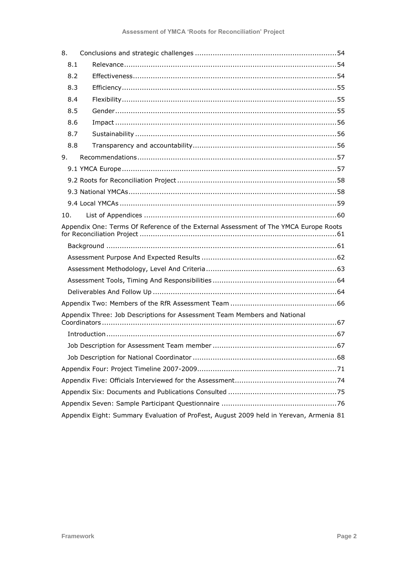| 8.  |                                                                                        |
|-----|----------------------------------------------------------------------------------------|
| 8.1 |                                                                                        |
| 8.2 |                                                                                        |
| 8.3 |                                                                                        |
| 8.4 |                                                                                        |
| 8.5 |                                                                                        |
| 8.6 |                                                                                        |
| 8.7 |                                                                                        |
| 8.8 |                                                                                        |
| 9.  |                                                                                        |
|     |                                                                                        |
|     |                                                                                        |
|     |                                                                                        |
|     |                                                                                        |
| 10. |                                                                                        |
|     | Appendix One: Terms Of Reference of the External Assessment of The YMCA Europe Roots   |
|     |                                                                                        |
|     |                                                                                        |
|     |                                                                                        |
|     |                                                                                        |
|     |                                                                                        |
|     |                                                                                        |
|     | Appendix Three: Job Descriptions for Assessment Team Members and National              |
|     |                                                                                        |
|     |                                                                                        |
|     |                                                                                        |
|     |                                                                                        |
|     |                                                                                        |
|     |                                                                                        |
|     |                                                                                        |
|     | Appendix Eight: Summary Evaluation of ProFest, August 2009 held in Yerevan, Armenia 81 |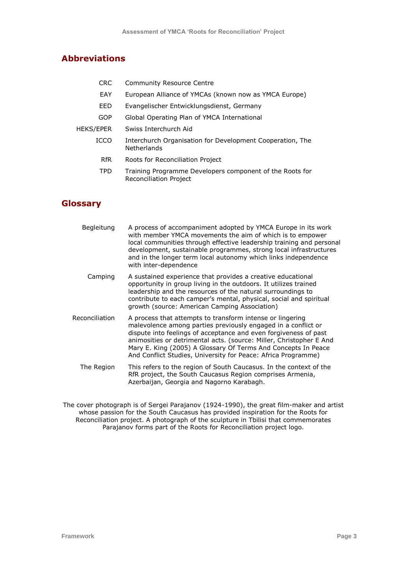# **Abbreviations**

- CRC Community Resource Centre
- EAY European Alliance of YMCAs (known now as YMCA Europe)
- EED Evangelischer Entwicklungsdienst, Germany
- GOP Global Operating Plan of YMCA International
- HEKS/EPER Swiss Interchurch Aid
	- ICCO Interchurch Organisation for Development Cooperation, The Netherlands
		- RfR Roots for Reconciliation Project
		- TPD Training Programme Developers component of the Roots for Reconciliation Project

# **Glossary**

Begleitung A process of accompaniment adopted by YMCA Europe in its work with member YMCA movements the aim of which is to empower local communities through effective leadership training and personal development, sustainable programmes, strong local infrastructures and in the longer term local autonomy which links independence with inter-dependence Camping A sustained experience that provides a creative educational opportunity in group living in the outdoors. It utilizes trained leadership and the resources of the natural surroundings to contribute to each camper"s mental, physical, social and spiritual growth (source: American Camping Association) Reconciliation A process that attempts to transform intense or lingering malevolence among parties previously engaged in a conflict or dispute into feelings of acceptance and even forgiveness of past animosities or detrimental acts. (source: Miller, Christopher E And Mary E. King (2005) A Glossary Of Terms And Concepts In Peace And Conflict Studies, University for Peace: Africa Programme) The Region This refers to the region of South Caucasus. In the context of the RfR project, the South Caucasus Region comprises Armenia, Azerbaijan, Georgia and Nagorno Karabagh.

The cover photograph is of Sergei Parajanov (1924-1990), the great film-maker and artist whose passion for the South Caucasus has provided inspiration for the Roots for Reconciliation project. A photograph of the sculpture in Tbilisi that commemorates Parajanov forms part of the Roots for Reconciliation project logo.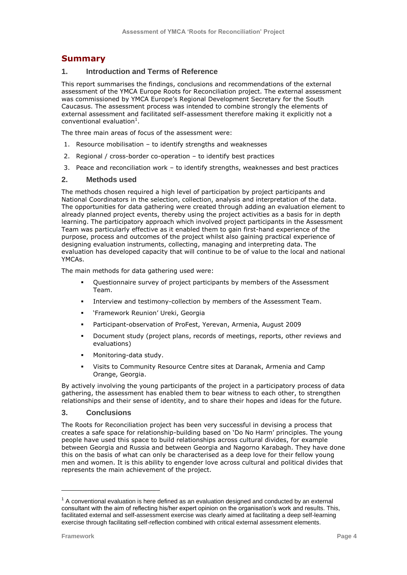# **Summary**

# **1. Introduction and Terms of Reference**

This report summarises the findings, conclusions and recommendations of the external assessment of the YMCA Europe Roots for Reconciliation project. The external assessment was commissioned by YMCA Europe"s Regional Development Secretary for the South Caucasus. The assessment process was intended to combine strongly the elements of external assessment and facilitated self-assessment therefore making it explicitly not a conventional evaluation<sup>1</sup>.

The three main areas of focus of the assessment were:

- 1. Resource mobilisation to identify strengths and weaknesses
- 2. Regional / cross-border co-operation to identify best practices
- 3. Peace and reconciliation work to identify strengths, weaknesses and best practices

### **2. Methods used**

The methods chosen required a high level of participation by project participants and National Coordinators in the selection, collection, analysis and interpretation of the data. The opportunities for data gathering were created through adding an evaluation element to already planned project events, thereby using the project activities as a basis for in depth learning. The participatory approach which involved project participants in the Assessment Team was particularly effective as it enabled them to gain first-hand experience of the purpose, process and outcomes of the project whilst also gaining practical experience of designing evaluation instruments, collecting, managing and interpreting data. The evaluation has developed capacity that will continue to be of value to the local and national YMCAs.

The main methods for data gathering used were:

- Questionnaire survey of project participants by members of the Assessment Team.
- Interview and testimony-collection by members of the Assessment Team.
- "Framework Reunion" Ureki, Georgia
- Participant-observation of ProFest, Yerevan, Armenia, August 2009
- Document study (project plans, records of meetings, reports, other reviews and evaluations)
- Monitoring-data study.
- Visits to Community Resource Centre sites at Daranak, Armenia and Camp Orange, Georgia.

By actively involving the young participants of the project in a participatory process of data gathering, the assessment has enabled them to bear witness to each other, to strengthen relationships and their sense of identity, and to share their hopes and ideas for the future.

### **3. Conclusions**

The Roots for Reconciliation project has been very successful in devising a process that creates a safe space for relationship-building based on "Do No Harm" principles. The young people have used this space to build relationships across cultural divides, for example between Georgia and Russia and between Georgia and Nagorno Karabagh. They have done this on the basis of what can only be characterised as a deep love for their fellow young men and women. It is this ability to engender love across cultural and political divides that represents the main achievement of the project.

ł

 $1$  A conventional evaluation is here defined as an evaluation designed and conducted by an external consultant with the aim of reflecting his/her expert opinion on the organisation"s work and results. This, facilitated external and self-assessment exercise was clearly aimed at facilitating a deep self-learning exercise through facilitating self-reflection combined with critical external assessment elements.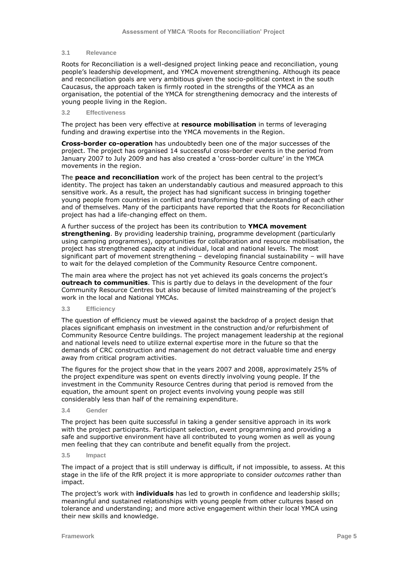#### **3.1 Relevance**

Roots for Reconciliation is a well-designed project linking peace and reconciliation, young people"s leadership development, and YMCA movement strengthening. Although its peace and reconciliation goals are very ambitious given the socio-political context in the south Caucasus, the approach taken is firmly rooted in the strengths of the YMCA as an organisation, the potential of the YMCA for strengthening democracy and the interests of young people living in the Region.

#### **3.2 Effectiveness**

The project has been very effective at **resource mobilisation** in terms of leveraging funding and drawing expertise into the YMCA movements in the Region.

**Cross-border co-operation** has undoubtedly been one of the major successes of the project. The project has organised 14 successful cross-border events in the period from January 2007 to July 2009 and has also created a 'cross-border culture' in the YMCA movements in the region.

The **peace and reconciliation** work of the project has been central to the project"s identity. The project has taken an understandably cautious and measured approach to this sensitive work. As a result, the project has had significant success in bringing together young people from countries in conflict and transforming their understanding of each other and of themselves. Many of the participants have reported that the Roots for Reconciliation project has had a life-changing effect on them.

A further success of the project has been its contribution to **YMCA movement strengthening**. By providing leadership training, programme development (particularly using camping programmes), opportunities for collaboration and resource mobilisation, the project has strengthened capacity at individual, local and national levels. The most significant part of movement strengthening – developing financial sustainability – will have to wait for the delayed completion of the Community Resource Centre component.

The main area where the project has not yet achieved its goals concerns the project"s **outreach to communities**. This is partly due to delays in the development of the four Community Resource Centres but also because of limited mainstreaming of the project"s work in the local and National YMCAs.

**3.3 Efficiency**

The question of efficiency must be viewed against the backdrop of a project design that places significant emphasis on investment in the construction and/or refurbishment of Community Resource Centre buildings. The project management leadership at the regional and national levels need to utilize external expertise more in the future so that the demands of CRC construction and management do not detract valuable time and energy away from critical program activities.

The figures for the project show that in the years 2007 and 2008, approximately 25% of the project expenditure was spent on events directly involving young people. If the investment in the Community Resource Centres during that period is removed from the equation, the amount spent on project events involving young people was still considerably less than half of the remaining expenditure.

#### **3.4 Gender**

The project has been quite successful in taking a gender sensitive approach in its work with the project participants. Participant selection, event programming and providing a safe and supportive environment have all contributed to young women as well as young men feeling that they can contribute and benefit equally from the project.

**3.5 Impact**

The impact of a project that is still underway is difficult, if not impossible, to assess. At this stage in the life of the RfR project it is more appropriate to consider *outcomes* rather than impact.

The project"s work with **individuals** has led to growth in confidence and leadership skills; meaningful and sustained relationships with young people from other cultures based on tolerance and understanding; and more active engagement within their local YMCA using their new skills and knowledge.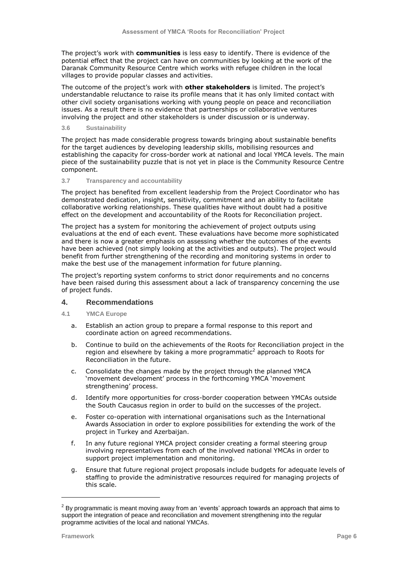The project"s work with **communities** is less easy to identify. There is evidence of the potential effect that the project can have on communities by looking at the work of the Daranak Community Resource Centre which works with refugee children in the local villages to provide popular classes and activities.

The outcome of the project"s work with **other stakeholders** is limited. The project"s understandable reluctance to raise its profile means that it has only limited contact with other civil society organisations working with young people on peace and reconciliation issues. As a result there is no evidence that partnerships or collaborative ventures involving the project and other stakeholders is under discussion or is underway.

#### **3.6 Sustainability**

The project has made considerable progress towards bringing about sustainable benefits for the target audiences by developing leadership skills, mobilising resources and establishing the capacity for cross-border work at national and local YMCA levels. The main piece of the sustainability puzzle that is not yet in place is the Community Resource Centre component.

#### **3.7 Transparency and accountability**

The project has benefited from excellent leadership from the Project Coordinator who has demonstrated dedication, insight, sensitivity, commitment and an ability to facilitate collaborative working relationships. These qualities have without doubt had a positive effect on the development and accountability of the Roots for Reconciliation project.

The project has a system for monitoring the achievement of project outputs using evaluations at the end of each event. These evaluations have become more sophisticated and there is now a greater emphasis on assessing whether the outcomes of the events have been achieved (not simply looking at the activities and outputs). The project would benefit from further strengthening of the recording and monitoring systems in order to make the best use of the management information for future planning.

The project"s reporting system conforms to strict donor requirements and no concerns have been raised during this assessment about a lack of transparency concerning the use of project funds.

## **4. Recommendations**

- **4.1 YMCA Europe**
	- a. Establish an action group to prepare a formal response to this report and coordinate action on agreed recommendations.
	- b. Continue to build on the achievements of the Roots for Reconciliation project in the region and elsewhere by taking a more programmatic<sup>2</sup> approach to Roots for Reconciliation in the future.
	- c. Consolidate the changes made by the project through the planned YMCA "movement development" process in the forthcoming YMCA "movement strengthening' process.
	- d. Identify more opportunities for cross-border cooperation between YMCAs outside the South Caucasus region in order to build on the successes of the project.
	- e. Foster co-operation with international organisations such as the International Awards Association in order to explore possibilities for extending the work of the project in Turkey and Azerbaijan.
	- f. In any future regional YMCA project consider creating a formal steering group involving representatives from each of the involved national YMCAs in order to support project implementation and monitoring.
	- g. Ensure that future regional project proposals include budgets for adequate levels of staffing to provide the administrative resources required for managing projects of this scale.

ł

 $^{2}$  By programmatic is meant moving away from an 'events' approach towards an approach that aims to support the integration of peace and reconciliation and movement strengthening into the regular programme activities of the local and national YMCAs.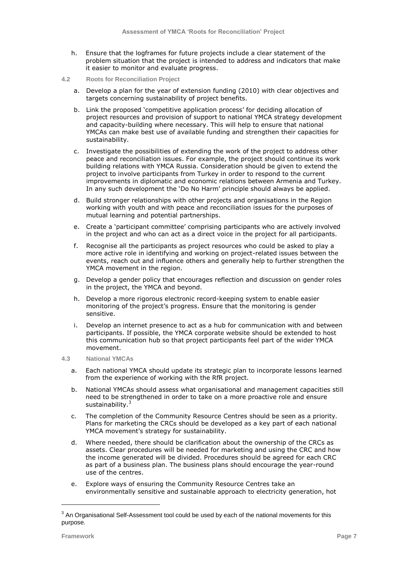- h. Ensure that the logframes for future projects include a clear statement of the problem situation that the project is intended to address and indicators that make it easier to monitor and evaluate progress.
- **4.2 Roots for Reconciliation Project**
	- a. Develop a plan for the year of extension funding (2010) with clear objectives and targets concerning sustainability of project benefits.
	- b. Link the proposed 'competitive application process' for deciding allocation of project resources and provision of support to national YMCA strategy development and capacity-building where necessary. This will help to ensure that national YMCAs can make best use of available funding and strengthen their capacities for sustainability.
	- c. Investigate the possibilities of extending the work of the project to address other peace and reconciliation issues. For example, the project should continue its work building relations with YMCA Russia. Consideration should be given to extend the project to involve participants from Turkey in order to respond to the current improvements in diplomatic and economic relations between Armenia and Turkey. In any such development the "Do No Harm" principle should always be applied.
	- d. Build stronger relationships with other projects and organisations in the Region working with youth and with peace and reconciliation issues for the purposes of mutual learning and potential partnerships.
	- e. Create a "participant committee" comprising participants who are actively involved in the project and who can act as a direct voice in the project for all participants.
	- f. Recognise all the participants as project resources who could be asked to play a more active role in identifying and working on project-related issues between the events, reach out and influence others and generally help to further strengthen the YMCA movement in the region.
	- g. Develop a gender policy that encourages reflection and discussion on gender roles in the project, the YMCA and beyond.
	- h. Develop a more rigorous electronic record-keeping system to enable easier monitoring of the project's progress. Ensure that the monitoring is gender sensitive.
	- i. Develop an internet presence to act as a hub for communication with and between participants. If possible, the YMCA corporate website should be extended to host this communication hub so that project participants feel part of the wider YMCA movement.
- **4.3 National YMCAs**
	- a. Each national YMCA should update its strategic plan to incorporate lessons learned from the experience of working with the RfR project.
	- b. National YMCAs should assess what organisational and management capacities still need to be strengthened in order to take on a more proactive role and ensure sustainability.<sup>3</sup>
	- c. The completion of the Community Resource Centres should be seen as a priority. Plans for marketing the CRCs should be developed as a key part of each national YMCA movement's strategy for sustainability.
	- d. Where needed, there should be clarification about the ownership of the CRCs as assets. Clear procedures will be needed for marketing and using the CRC and how the income generated will be divided. Procedures should be agreed for each CRC as part of a business plan. The business plans should encourage the year-round use of the centres.
	- e. Explore ways of ensuring the Community Resource Centres take an environmentally sensitive and sustainable approach to electricity generation, hot

ł

 $3$  An Organisational Self-Assessment tool could be used by each of the national movements for this purpose.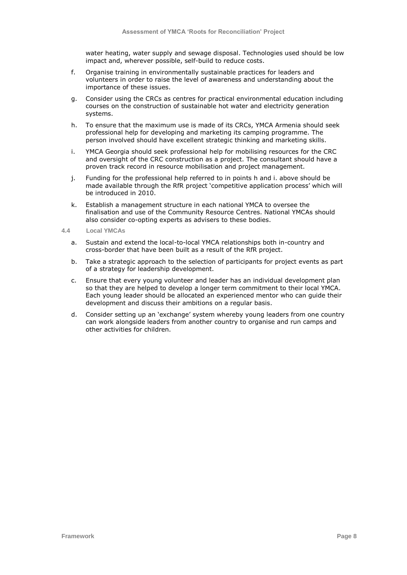water heating, water supply and sewage disposal. Technologies used should be low impact and, wherever possible, self-build to reduce costs.

- f. Organise training in environmentally sustainable practices for leaders and volunteers in order to raise the level of awareness and understanding about the importance of these issues.
- g. Consider using the CRCs as centres for practical environmental education including courses on the construction of sustainable hot water and electricity generation systems.
- h. To ensure that the maximum use is made of its CRCs, YMCA Armenia should seek professional help for developing and marketing its camping programme. The person involved should have excellent strategic thinking and marketing skills.
- i. YMCA Georgia should seek professional help for mobilising resources for the CRC and oversight of the CRC construction as a project. The consultant should have a proven track record in resource mobilisation and project management.
- j. Funding for the professional help referred to in points h and i. above should be made available through the RfR project "competitive application process" which will be introduced in 2010.
- k. Establish a management structure in each national YMCA to oversee the finalisation and use of the Community Resource Centres. National YMCAs should also consider co-opting experts as advisers to these bodies.
- **4.4 Local YMCAs**
	- a. Sustain and extend the local-to-local YMCA relationships both in-country and cross-border that have been built as a result of the RfR project.
	- b. Take a strategic approach to the selection of participants for project events as part of a strategy for leadership development.
	- c. Ensure that every young volunteer and leader has an individual development plan so that they are helped to develop a longer term commitment to their local YMCA. Each young leader should be allocated an experienced mentor who can guide their development and discuss their ambitions on a regular basis.
	- d. Consider setting up an "exchange" system whereby young leaders from one country can work alongside leaders from another country to organise and run camps and other activities for children.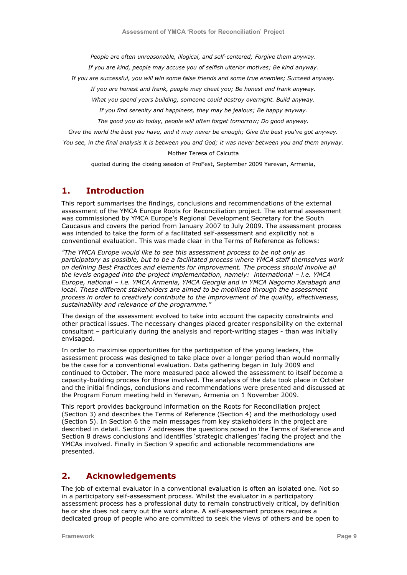*People are often unreasonable, illogical, and self-centered; Forgive them anyway.*

*If you are kind, people may accuse you of selfish ulterior motives; Be kind anyway.*

*If you are successful, you will win some false friends and some true enemies; Succeed anyway.*

*If you are honest and frank, people may cheat you; Be honest and frank anyway.*

*What you spend years building, someone could destroy overnight. Build anyway.*

*If you find serenity and happiness, they may be jealous; Be happy anyway.*

*The good you do today, people will often forget tomorrow; Do good anyway.*

*Give the world the best you have, and it may never be enough; Give the best you've got anyway.*

*You see, in the final analysis it is between you and God; it was never between you and them anyway.*

#### Mother Teresa of Calcutta

quoted during the closing session of ProFest, September 2009 Yerevan, Armenia,

# **1. Introduction**

This report summarises the findings, conclusions and recommendations of the external assessment of the YMCA Europe Roots for Reconciliation project. The external assessment was commissioned by YMCA Europe"s Regional Development Secretary for the South Caucasus and covers the period from January 2007 to July 2009. The assessment process was intended to take the form of a facilitated self-assessment and explicitly not a conventional evaluation. This was made clear in the Terms of Reference as follows:

*"The YMCA Europe would like to see this assessment process to be not only as participatory as possible, but to be a facilitated process where YMCA staff themselves work on defining Best Practices and elements for improvement. The process should involve all the levels engaged into the project implementation, namely: international – i.e. YMCA Europe, national – i.e. YMCA Armenia, YMCA Georgia and in YMCA Nagorno Karabagh and local. These different stakeholders are aimed to be mobilised through the assessment process in order to creatively contribute to the improvement of the quality, effectiveness, sustainability and relevance of the programme."*

The design of the assessment evolved to take into account the capacity constraints and other practical issues. The necessary changes placed greater responsibility on the external consultant – particularly during the analysis and report-writing stages - than was initially envisaged.

In order to maximise opportunities for the participation of the young leaders, the assessment process was designed to take place over a longer period than would normally be the case for a conventional evaluation. Data gathering began in July 2009 and continued to October. The more measured pace allowed the assessment to itself become a capacity-building process for those involved. The analysis of the data took place in October and the initial findings, conclusions and recommendations were presented and discussed at the Program Forum meeting held in Yerevan, Armenia on 1 November 2009.

This report provides background information on the Roots for Reconciliation project (Section 3) and describes the Terms of Reference (Section 4) and the methodology used (Section 5). In Section 6 the main messages from key stakeholders in the project are described in detail. Section 7 addresses the questions posed in the Terms of Reference and Section 8 draws conclusions and identifies "strategic challenges" facing the project and the YMCAs involved. Finally in Section 9 specific and actionable recommendations are presented.

# **2. Acknowledgements**

The job of external evaluator in a conventional evaluation is often an isolated one. Not so in a participatory self-assessment process. Whilst the evaluator in a participatory assessment process has a professional duty to remain constructively critical, by definition he or she does not carry out the work alone. A self-assessment process requires a dedicated group of people who are committed to seek the views of others and be open to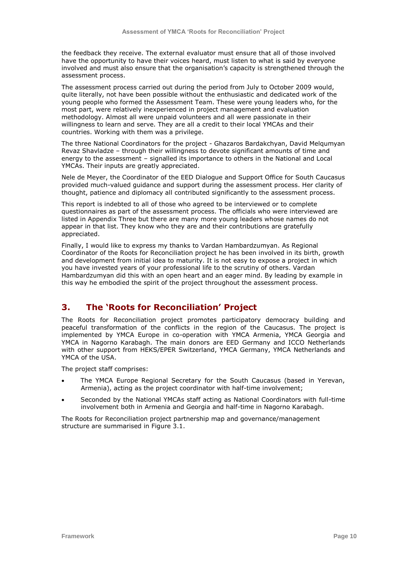the feedback they receive. The external evaluator must ensure that all of those involved have the opportunity to have their voices heard, must listen to what is said by everyone involved and must also ensure that the organisation"s capacity is strengthened through the assessment process.

The assessment process carried out during the period from July to October 2009 would, quite literally, not have been possible without the enthusiastic and dedicated work of the young people who formed the Assessment Team. These were young leaders who, for the most part, were relatively inexperienced in project management and evaluation methodology. Almost all were unpaid volunteers and all were passionate in their willingness to learn and serve. They are all a credit to their local YMCAs and their countries. Working with them was a privilege.

The three National Coordinators for the project - Ghazaros Bardakchyan, David Melqumyan Revaz Shavladze – through their willingness to devote significant amounts of time and energy to the assessment – signalled its importance to others in the National and Local YMCAs. Their inputs are greatly appreciated.

Nele de Meyer, the Coordinator of the EED Dialogue and Support Office for South Caucasus provided much-valued guidance and support during the assessment process. Her clarity of thought, patience and diplomacy all contributed significantly to the assessment process.

This report is indebted to all of those who agreed to be interviewed or to complete questionnaires as part of the assessment process. The officials who were interviewed are listed in Appendix Three but there are many more young leaders whose names do not appear in that list. They know who they are and their contributions are gratefully appreciated.

Finally, I would like to express my thanks to Vardan Hambardzumyan. As Regional Coordinator of the Roots for Reconciliation project he has been involved in its birth, growth and development from initial idea to maturity. It is not easy to expose a project in which you have invested years of your professional life to the scrutiny of others. Vardan Hambardzumyan did this with an open heart and an eager mind. By leading by example in this way he embodied the spirit of the project throughout the assessment process.

# **3. The 'Roots for Reconciliation' Project**

The Roots for Reconciliation project promotes participatory democracy building and peaceful transformation of the conflicts in the region of the Caucasus. The project is implemented by YMCA Europe in co-operation with YMCA Armenia, YMCA Georgia and YMCA in Nagorno Karabagh. The main donors are EED Germany and ICCO Netherlands with other support from HEKS/EPER Switzerland, YMCA Germany, YMCA Netherlands and YMCA of the USA.

The project staff comprises:

- The YMCA Europe Regional Secretary for the South Caucasus (based in Yerevan, Armenia), acting as the project coordinator with half-time involvement;
- Seconded by the National YMCAs staff acting as National Coordinators with full-time involvement both in Armenia and Georgia and half-time in Nagorno Karabagh.

The Roots for Reconciliation project partnership map and governance/management structure are summarised in Figure 3.1.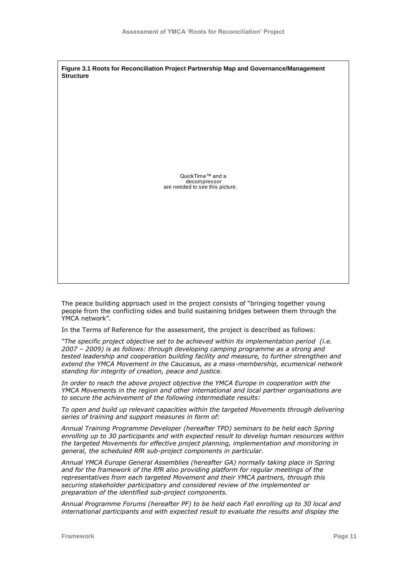**Figure 3.1 Roots for Reconciliation Project Partnership Map and Governance/Management Structure** QuickTime™ and a decompressor are needed to see this picture.

The peace building approach used in the project consists of "bringing together young people from the conflicting sides and build sustaining bridges between them through the YMCA network".

In the Terms of Reference for the assessment, the project is described as follows:

*"The specific project objective set to be achieved within its implementation period (i.e. 2007 – 2009) is as follows: through developing camping programme as a strong and tested leadership and cooperation building facility and measure, to further strengthen and extend the YMCA Movement in the Caucasus, as a mass-membership, ecumenical network standing for integrity of creation, peace and justice.* 

*In order to reach the above project objective the YMCA Europe in cooperation with the YMCA Movements in the region and other international and local partner organisations are to secure the achievement of the following intermediate results:* 

*To open and build up relevant capacities within the targeted Movements through delivering series of training and support measures in form of:*

*Annual Training Programme Developer (hereafter TPD) seminars to be held each Spring enrolling up to 30 participants and with expected result to develop human resources within the targeted Movements for effective project planning, implementation and monitoring in general, the scheduled RfR sub-project components in particular.*

*Annual YMCA Europe General Assemblies (hereafter GA) normally taking place in Spring and for the framework of the RfR also providing platform for regular meetings of the representatives from each targeted Movement and their YMCA partners, through this securing stakeholder participatory and considered review of the implemented or preparation of the identified sub-project components.*

*Annual Programme Forums (hereafter PF) to be held each Fall enrolling up to 30 local and international participants and with expected result to evaluate the results and display the*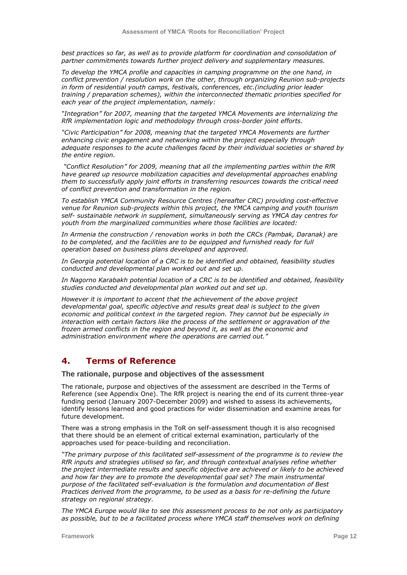*best practices so far, as well as to provide platform for coordination and consolidation of partner commitments towards further project delivery and supplementary measures.* 

*To develop the YMCA profile and capacities in camping programme on the one hand, in conflict prevention / resolution work on the other, through organizing Reunion sub-projects in form of residential youth camps, festivals, conferences, etc.(including prior leader training / preparation schemes), within the interconnected thematic priorities specified for each year of the project implementation, namely:*

*"Integration" for 2007, meaning that the targeted YMCA Movements are internalizing the RfR implementation logic and methodology through cross-border joint efforts.* 

*"Civic Participation" for 2008, meaning that the targeted YMCA Movements are further enhancing civic engagement and networking within the project especially through adequate responses to the acute challenges faced by their individual societies or shared by the entire region.* 

*"Conflict Resolution" for 2009, meaning that all the implementing parties within the RfR have geared up resource mobilization capacities and developmental approaches enabling them to successfully apply joint efforts in transferring resources towards the critical need of conflict prevention and transformation in the region.*

*To establish YMCA Community Resource Centres (hereafter CRC) providing cost-effective venue for Reunion sub-projects within this project, the YMCA camping and youth tourism self- sustainable network in supplement, simultaneously serving as YMCA day centres for youth from the marginalized communities where those facilities are located:*

*In Armenia the construction / renovation works in both the CRCs (Pambak, Daranak) are to be completed, and the facilities are to be equipped and furnished ready for full operation based on business plans developed and approved.*

*In Georgia potential location of a CRC is to be identified and obtained, feasibility studies conducted and developmental plan worked out and set up.*

*In Nagorno Karabakh potential location of a CRC is to be identified and obtained, feasibility studies conducted and developmental plan worked out and set up.*

*However it is important to accent that the achievement of the above project developmental goal, specific objective and results great deal is subject to the given economic and political context in the targeted region. They cannot but be especially in interaction with certain factors like the process of the settlement or aggravation of the frozen armed conflicts in the region and beyond it, as well as the economic and administration environment where the operations are carried out."*

# **4. Terms of Reference**

**The rationale, purpose and objectives of the assessment**

The rationale, purpose and objectives of the assessment are described in the Terms of Reference (see Appendix One). The RfR project is nearing the end of its current three-year funding period (January 2007-December 2009) and wished to assess its achievements, identify lessons learned and good practices for wider dissemination and examine areas for future development.

There was a strong emphasis in the ToR on self-assessment though it is also recognised that there should be an element of critical external examination, particularly of the approaches used for peace-building and reconciliation.

*"The primary purpose of this facilitated self-assessment of the programme is to review the RfR inputs and strategies utilised so far, and through contextual analyses refine whether the project intermediate results and specific objective are achieved or likely to be achieved and how far they are to promote the developmental goal set? The main instrumental purpose of the facilitated self-evaluation is the formulation and documentation of Best Practices derived from the programme, to be used as a basis for re-defining the future strategy on regional strategy.*

*The YMCA Europe would like to see this assessment process to be not only as participatory as possible, but to be a facilitated process where YMCA staff themselves work on defining*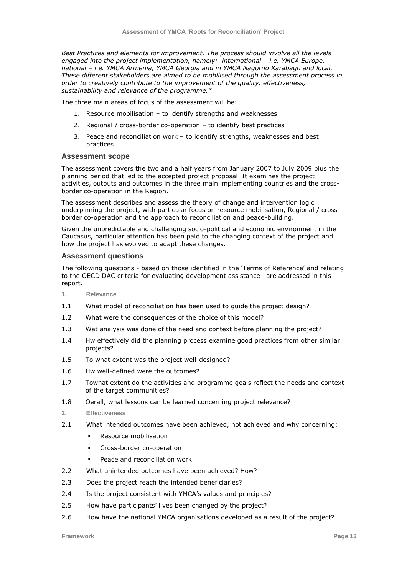*Best Practices and elements for improvement. The process should involve all the levels engaged into the project implementation, namely: international – i.e. YMCA Europe, national – i.e. YMCA Armenia, YMCA Georgia and in YMCA Nagorno Karabagh and local. These different stakeholders are aimed to be mobilised through the assessment process in order to creatively contribute to the improvement of the quality, effectiveness, sustainability and relevance of the programme."*

The three main areas of focus of the assessment will be:

- 1. Resource mobilisation to identify strengths and weaknesses
- 2. Regional / cross-border co-operation to identify best practices
- 3. Peace and reconciliation work to identify strengths, weaknesses and best practices

#### **Assessment scope**

The assessment covers the two and a half years from January 2007 to July 2009 plus the planning period that led to the accepted project proposal. It examines the project activities, outputs and outcomes in the three main implementing countries and the crossborder co-operation in the Region.

The assessment describes and assess the theory of change and intervention logic underpinning the project, with particular focus on resource mobilisation, Regional / crossborder co-operation and the approach to reconciliation and peace-building.

Given the unpredictable and challenging socio-political and economic environment in the Caucasus, particular attention has been paid to the changing context of the project and how the project has evolved to adapt these changes.

#### **Assessment questions**

The following questions - based on those identified in the "Terms of Reference" and relating to the OECD DAC criteria for evaluating development assistance– are addressed in this report.

- **1. Relevance**
- 1.1 What model of reconciliation has been used to guide the project design?
- 1.2 What were the consequences of the choice of this model?
- 1.3 Wat analysis was done of the need and context before planning the project?
- 1.4 Hw effectively did the planning process examine good practices from other similar projects?
- 1.5 To what extent was the project well-designed?
- 1.6 Hw well-defined were the outcomes?
- 1.7 Towhat extent do the activities and programme goals reflect the needs and context of the target communities?
- 1.8 Oerall, what lessons can be learned concerning project relevance?
- **2. Effectiveness**
- 2.1 What intended outcomes have been achieved, not achieved and why concerning:
	- **Resource mobilisation**
	- **Cross-border co-operation**
	- Peace and reconciliation work
- 2.2 What unintended outcomes have been achieved? How?
- 2.3 Does the project reach the intended beneficiaries?
- 2.4 Is the project consistent with YMCA"s values and principles?
- 2.5 How have participants' lives been changed by the project?
- 2.6 How have the national YMCA organisations developed as a result of the project?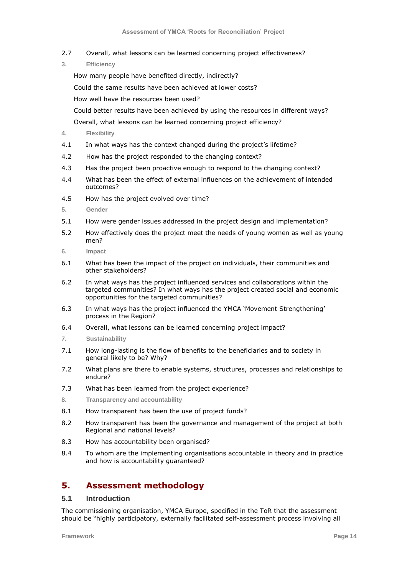- 2.7 Overall, what lessons can be learned concerning project effectiveness?
- **3. Efficiency**

How many people have benefited directly, indirectly?

Could the same results have been achieved at lower costs?

How well have the resources been used?

Could better results have been achieved by using the resources in different ways?

Overall, what lessons can be learned concerning project efficiency?

- **4. Flexibility**
- 4.1 In what ways has the context changed during the project's lifetime?
- 4.2 How has the project responded to the changing context?
- 4.3 Has the project been proactive enough to respond to the changing context?
- 4.4 What has been the effect of external influences on the achievement of intended outcomes?
- 4.5 How has the project evolved over time?
- **5. Gender**
- 5.1 How were gender issues addressed in the project design and implementation?
- 5.2 How effectively does the project meet the needs of young women as well as young men?
- **6. Impact**
- 6.1 What has been the impact of the project on individuals, their communities and other stakeholders?
- 6.2 In what ways has the project influenced services and collaborations within the targeted communities? In what ways has the project created social and economic opportunities for the targeted communities?
- 6.3 In what ways has the project influenced the YMCA "Movement Strengthening" process in the Region?
- 6.4 Overall, what lessons can be learned concerning project impact?
- **7. Sustainability**
- 7.1 How long-lasting is the flow of benefits to the beneficiaries and to society in general likely to be? Why?
- 7.2 What plans are there to enable systems, structures, processes and relationships to endure?
- 7.3 What has been learned from the project experience?
- **8. Transparency and accountability**
- 8.1 How transparent has been the use of project funds?
- 8.2 How transparent has been the governance and management of the project at both Regional and national levels?
- 8.3 How has accountability been organised?
- 8.4 To whom are the implementing organisations accountable in theory and in practice and how is accountability guaranteed?

# **5. Assessment methodology**

## **5.1 Introduction**

The commissioning organisation, YMCA Europe, specified in the ToR that the assessment should be "highly participatory, externally facilitated self-assessment process involving all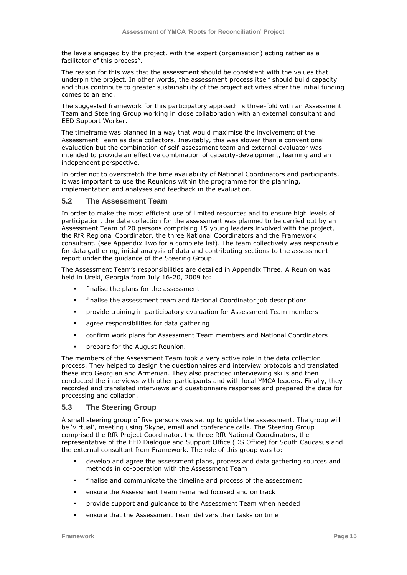the levels engaged by the project, with the expert (organisation) acting rather as a facilitator of this process".

The reason for this was that the assessment should be consistent with the values that underpin the project. In other words, the assessment process itself should build capacity and thus contribute to greater sustainability of the project activities after the initial funding comes to an end.

The suggested framework for this participatory approach is three-fold with an Assessment Team and Steering Group working in close collaboration with an external consultant and EED Support Worker.

The timeframe was planned in a way that would maximise the involvement of the Assessment Team as data collectors. Inevitably, this was slower than a conventional evaluation but the combination of self-assessment team and external evaluator was intended to provide an effective combination of capacity-development, learning and an independent perspective.

In order not to overstretch the time availability of National Coordinators and participants, it was important to use the Reunions within the programme for the planning, implementation and analyses and feedback in the evaluation.

### **5.2 The Assessment Team**

In order to make the most efficient use of limited resources and to ensure high levels of participation, the data collection for the assessment was planned to be carried out by an Assessment Team of 20 persons comprising 15 young leaders involved with the project, the RfR Regional Coordinator, the three National Coordinators and the Framework consultant. (see Appendix Two for a complete list). The team collectively was responsible for data gathering, initial analysis of data and contributing sections to the assessment report under the guidance of the Steering Group.

The Assessment Team"s responsibilities are detailed in Appendix Three. A Reunion was held in Ureki, Georgia from July 16-20, 2009 to:

- finalise the plans for the assessment
- finalise the assessment team and National Coordinator job descriptions
- provide training in participatory evaluation for Assessment Team members
- agree responsibilities for data gathering
- confirm work plans for Assessment Team members and National Coordinators
- prepare for the August Reunion.

The members of the Assessment Team took a very active role in the data collection process. They helped to design the questionnaires and interview protocols and translated these into Georgian and Armenian. They also practiced interviewing skills and then conducted the interviews with other participants and with local YMCA leaders. Finally, they recorded and translated interviews and questionnaire responses and prepared the data for processing and collation.

## **5.3 The Steering Group**

A small steering group of five persons was set up to guide the assessment. The group will be "virtual", meeting using Skype, email and conference calls. The Steering Group comprised the RfR Project Coordinator, the three RfR National Coordinators, the representative of the EED Dialogue and Support Office (DS Office) for South Caucasus and the external consultant from Framework. The role of this group was to:

- develop and agree the assessment plans, process and data gathering sources and methods in co-operation with the Assessment Team
- finalise and communicate the timeline and process of the assessment
- ensure the Assessment Team remained focused and on track
- provide support and guidance to the Assessment Team when needed
- ensure that the Assessment Team delivers their tasks on time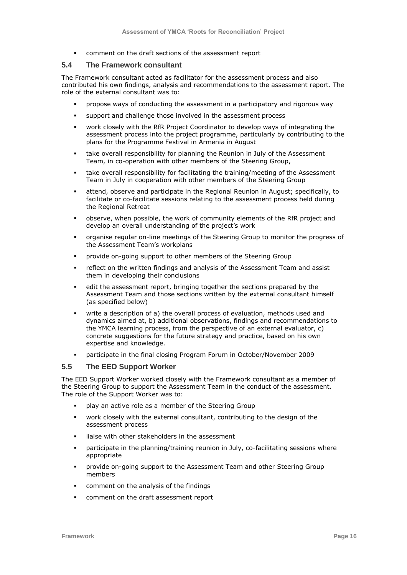comment on the draft sections of the assessment report

## **5.4 The Framework consultant**

The Framework consultant acted as facilitator for the assessment process and also contributed his own findings, analysis and recommendations to the assessment report. The role of the external consultant was to:

- propose ways of conducting the assessment in a participatory and rigorous way
- support and challenge those involved in the assessment process
- work closely with the RfR Project Coordinator to develop ways of integrating the assessment process into the project programme, particularly by contributing to the plans for the Programme Festival in Armenia in August
- take overall responsibility for planning the Reunion in July of the Assessment Team, in co-operation with other members of the Steering Group,
- take overall responsibility for facilitating the training/meeting of the Assessment Team in July in cooperation with other members of the Steering Group
- attend, observe and participate in the Regional Reunion in August; specifically, to facilitate or co-facilitate sessions relating to the assessment process held during the Regional Retreat
- observe, when possible, the work of community elements of the RfR project and develop an overall understanding of the project's work
- organise regular on-line meetings of the Steering Group to monitor the progress of the Assessment Team"s workplans
- provide on-going support to other members of the Steering Group
- reflect on the written findings and analysis of the Assessment Team and assist them in developing their conclusions
- edit the assessment report, bringing together the sections prepared by the Assessment Team and those sections written by the external consultant himself (as specified below)
- write a description of a) the overall process of evaluation, methods used and dynamics aimed at, b) additional observations, findings and recommendations to the YMCA learning process, from the perspective of an external evaluator, c) concrete suggestions for the future strategy and practice, based on his own expertise and knowledge.
- participate in the final closing Program Forum in October/November 2009

### **5.5 The EED Support Worker**

The EED Support Worker worked closely with the Framework consultant as a member of the Steering Group to support the Assessment Team in the conduct of the assessment. The role of the Support Worker was to:

- play an active role as a member of the Steering Group
- work closely with the external consultant, contributing to the design of the assessment process
- liaise with other stakeholders in the assessment
- participate in the planning/training reunion in July, co-facilitating sessions where appropriate
- provide on-going support to the Assessment Team and other Steering Group members
- comment on the analysis of the findings
- comment on the draft assessment report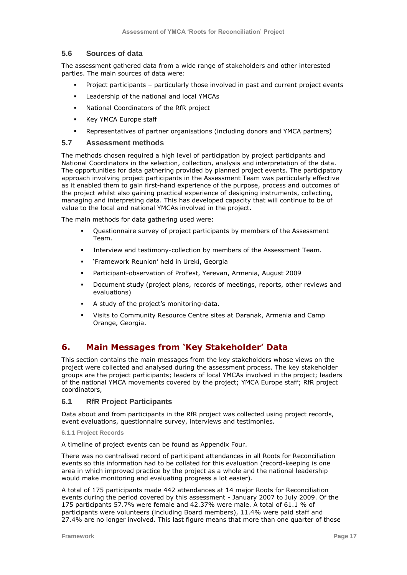## **5.6 Sources of data**

The assessment gathered data from a wide range of stakeholders and other interested parties. The main sources of data were:

- Project participants particularly those involved in past and current project events
- Leadership of the national and local YMCAs
- National Coordinators of the RfR project
- Key YMCA Europe staff
- Representatives of partner organisations (including donors and YMCA partners)

#### **5.7 Assessment methods**

The methods chosen required a high level of participation by project participants and National Coordinators in the selection, collection, analysis and interpretation of the data. The opportunities for data gathering provided by planned project events. The participatory approach involving project participants in the Assessment Team was particularly effective as it enabled them to gain first-hand experience of the purpose, process and outcomes of the project whilst also gaining practical experience of designing instruments, collecting, managing and interpreting data. This has developed capacity that will continue to be of value to the local and national YMCAs involved in the project.

The main methods for data gathering used were:

- Questionnaire survey of project participants by members of the Assessment Team.
- Interview and testimony-collection by members of the Assessment Team.
- "Framework Reunion" held in Ureki, Georgia
- Participant-observation of ProFest, Yerevan, Armenia, August 2009
- Document study (project plans, records of meetings, reports, other reviews and evaluations)
- A study of the project's monitoring-data.
- Visits to Community Resource Centre sites at Daranak, Armenia and Camp Orange, Georgia.

# **6. Main Messages from 'Key Stakeholder' Data**

This section contains the main messages from the key stakeholders whose views on the project were collected and analysed during the assessment process. The key stakeholder groups are the project participants; leaders of local YMCAs involved in the project; leaders of the national YMCA movements covered by the project; YMCA Europe staff; RfR project coordinators,

## **6.1 RfR Project Participants**

Data about and from participants in the RfR project was collected using project records, event evaluations, questionnaire survey, interviews and testimonies.

**6.1.1 Project Records**

A timeline of project events can be found as Appendix Four.

There was no centralised record of participant attendances in all Roots for Reconciliation events so this information had to be collated for this evaluation (record-keeping is one area in which improved practice by the project as a whole and the national leadership would make monitoring and evaluating progress a lot easier).

A total of 175 participants made 442 attendances at 14 major Roots for Reconciliation events during the period covered by this assessment - January 2007 to July 2009. Of the 175 participants 57.7% were female and 42.37% were male. A total of 61.1 % of participants were volunteers (including Board members), 11.4% were paid staff and 27.4% are no longer involved. This last figure means that more than one quarter of those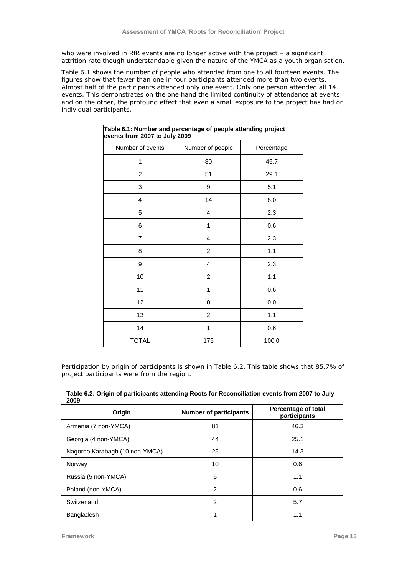who were involved in RfR events are no longer active with the project – a significant attrition rate though understandable given the nature of the YMCA as a youth organisation.

Table 6.1 shows the number of people who attended from one to all fourteen events. The figures show that fewer than one in four participants attended more than two events. Almost half of the participants attended only one event. Only one person attended all 14 events. This demonstrates on the one hand the limited continuity of attendance at events and on the other, the profound effect that even a small exposure to the project has had on individual participants.

| Table 6.1: Number and percentage of people attending project<br>events from 2007 to July 2009 |                         |            |  |  |
|-----------------------------------------------------------------------------------------------|-------------------------|------------|--|--|
| Number of events                                                                              | Number of people        | Percentage |  |  |
| 1                                                                                             | 80                      | 45.7       |  |  |
| 2                                                                                             | 51                      | 29.1       |  |  |
| 3                                                                                             | 9                       | 5.1        |  |  |
| 4                                                                                             | 14                      | 8.0        |  |  |
| 5                                                                                             | 4                       | 2.3        |  |  |
| 6                                                                                             | 1                       | 0.6        |  |  |
| 7                                                                                             | 4                       | 2.3        |  |  |
| 8                                                                                             | $\overline{\mathbf{c}}$ | 1.1        |  |  |
| 9                                                                                             | $\overline{4}$          | 2.3        |  |  |
| 10                                                                                            | $\overline{\mathbf{c}}$ | 1.1        |  |  |
| 11                                                                                            | 1                       | 0.6        |  |  |
| 12                                                                                            | 0                       | 0.0        |  |  |
| 13                                                                                            | $\overline{2}$          | 1.1        |  |  |
| 14                                                                                            | 1                       | 0.6        |  |  |
| <b>TOTAL</b>                                                                                  | 175                     | 100.0      |  |  |

Participation by origin of participants is shown in Table 6.2. This table shows that 85.7% of project participants were from the region.

| Table 6.2: Origin of participants attending Roots for Reconciliation events from 2007 to July<br>2009 |                               |                                     |  |  |
|-------------------------------------------------------------------------------------------------------|-------------------------------|-------------------------------------|--|--|
| Origin                                                                                                | <b>Number of participants</b> | Percentage of total<br>participants |  |  |
| Armenia (7 non-YMCA)                                                                                  | 81                            | 46.3                                |  |  |
| Georgia (4 non-YMCA)                                                                                  | 44                            | 25.1                                |  |  |
| Nagorno Karabagh (10 non-YMCA)                                                                        | 25                            | 14.3                                |  |  |
| Norway                                                                                                | 10                            | 0.6                                 |  |  |
| Russia (5 non-YMCA)                                                                                   | 6                             | 1.1                                 |  |  |
| Poland (non-YMCA)                                                                                     | $\mathcal{P}$                 | 0.6                                 |  |  |
| Switzerland                                                                                           | $\overline{2}$                | 5.7                                 |  |  |
| Bangladesh                                                                                            |                               | 1.1                                 |  |  |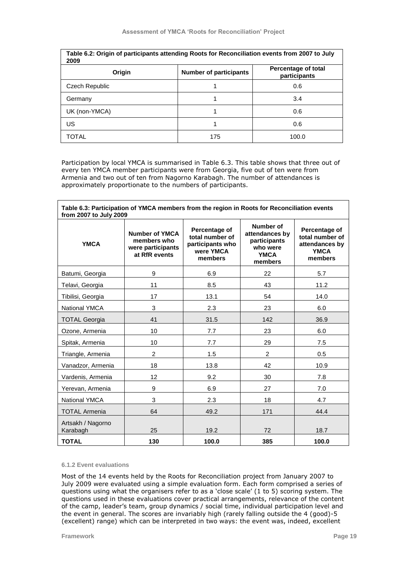| Table 6.2: Origin of participants attending Roots for Reconciliation events from 2007 to July<br>2009 |                               |                                     |  |  |
|-------------------------------------------------------------------------------------------------------|-------------------------------|-------------------------------------|--|--|
| Origin                                                                                                | <b>Number of participants</b> | Percentage of total<br>participants |  |  |
| Czech Republic                                                                                        |                               | 0.6                                 |  |  |
| Germany                                                                                               |                               | 3.4                                 |  |  |
| UK (non-YMCA)                                                                                         |                               | 0.6                                 |  |  |
| US                                                                                                    |                               | 0.6                                 |  |  |
| TOTAL                                                                                                 | 175                           | 100.0                               |  |  |

Participation by local YMCA is summarised in Table 6.3. This table shows that three out of every ten YMCA member participants were from Georgia, five out of ten were from Armenia and two out of ten from Nagorno Karabagh. The number of attendances is approximately proportionate to the numbers of participants.

| Table 6.3: Participation of YMCA members from the region in Roots for Reconciliation events<br>from 2007 to July 2009 |                                                                            |                                                                              |                                                                                   |                                                                              |  |
|-----------------------------------------------------------------------------------------------------------------------|----------------------------------------------------------------------------|------------------------------------------------------------------------------|-----------------------------------------------------------------------------------|------------------------------------------------------------------------------|--|
| <b>YMCA</b>                                                                                                           | <b>Number of YMCA</b><br>members who<br>were participants<br>at RfR events | Percentage of<br>total number of<br>participants who<br>were YMCA<br>members | Number of<br>attendances by<br>participants<br>who were<br><b>YMCA</b><br>members | Percentage of<br>total number of<br>attendances by<br><b>YMCA</b><br>members |  |
| Batumi, Georgia                                                                                                       | 9                                                                          | 6.9                                                                          | 22                                                                                | 5.7                                                                          |  |
| Telavi, Georgia                                                                                                       | 11                                                                         | 8.5                                                                          | 43                                                                                | 11.2                                                                         |  |
| Tibilisi, Georgia                                                                                                     | 17                                                                         | 13.1                                                                         | 54                                                                                | 14.0                                                                         |  |
| <b>National YMCA</b>                                                                                                  | 3                                                                          | 2.3                                                                          | 23                                                                                | 6.0                                                                          |  |
| <b>TOTAL Georgia</b>                                                                                                  | 41                                                                         | 31.5                                                                         | 142                                                                               | 36.9                                                                         |  |
| Ozone, Armenia                                                                                                        | 10                                                                         | 7.7                                                                          | 23                                                                                | 6.0                                                                          |  |
| Spitak, Armenia                                                                                                       | 10                                                                         | 7.7                                                                          | 29                                                                                | 7.5                                                                          |  |
| Triangle, Armenia                                                                                                     | $\overline{2}$                                                             | 1.5                                                                          | 2                                                                                 | 0.5                                                                          |  |
| Vanadzor, Armenia                                                                                                     | 18                                                                         | 13.8                                                                         | 42                                                                                | 10.9                                                                         |  |
| Vardenis, Armenia                                                                                                     | 12                                                                         | 9.2                                                                          | 30                                                                                | 7.8                                                                          |  |
| Yerevan, Armenia                                                                                                      | 9                                                                          | 6.9                                                                          | 27                                                                                | 7.0                                                                          |  |
| <b>National YMCA</b>                                                                                                  | 3                                                                          | 2.3                                                                          | 18                                                                                | 4.7                                                                          |  |
| <b>TOTAL Armenia</b>                                                                                                  | 64                                                                         | 49.2                                                                         | 171                                                                               | 44.4                                                                         |  |
| Artsakh / Nagorno<br>Karabagh                                                                                         | 25                                                                         | 19.2                                                                         | 72                                                                                | 18.7                                                                         |  |
| <b>TOTAL</b>                                                                                                          | 130                                                                        | 100.0                                                                        | 385                                                                               | 100.0                                                                        |  |

#### **6.1.2 Event evaluations**

Most of the 14 events held by the Roots for Reconciliation project from January 2007 to July 2009 were evaluated using a simple evaluation form. Each form comprised a series of questions using what the organisers refer to as a "close scale" (1 to 5) scoring system. The questions used in these evaluations cover practical arrangements, relevance of the content of the camp, leader"s team, group dynamics / social time, individual participation level and the event in general. The scores are invariably high (rarely falling outside the 4 (good)-5 (excellent) range) which can be interpreted in two ways: the event was, indeed, excellent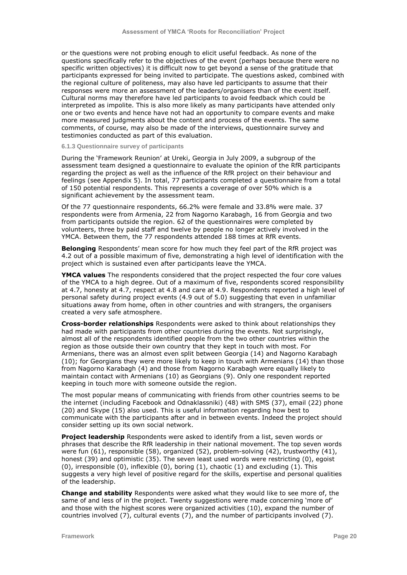or the questions were not probing enough to elicit useful feedback. As none of the questions specifically refer to the objectives of the event (perhaps because there were no specific written objectives) it is difficult now to get beyond a sense of the gratitude that participants expressed for being invited to participate. The questions asked, combined with the regional culture of politeness, may also have led participants to assume that their responses were more an assessment of the leaders/organisers than of the event itself. Cultural norms may therefore have led participants to avoid feedback which could be interpreted as impolite. This is also more likely as many participants have attended only one or two events and hence have not had an opportunity to compare events and make more measured judgments about the content and process of the events. The same comments, of course, may also be made of the interviews, questionnaire survey and testimonies conducted as part of this evaluation.

#### **6.1.3 Questionnaire survey of participants**

During the "Framework Reunion" at Ureki, Georgia in July 2009, a subgroup of the assessment team designed a questionnaire to evaluate the opinion of the RfR participants regarding the project as well as the influence of the RfR project on their behaviour and feelings (see Appendix 5). In total, 77 participants completed a questionnaire from a total of 150 potential respondents. This represents a coverage of over 50% which is a significant achievement by the assessment team.

Of the 77 questionnaire respondents, 66.2% were female and 33.8% were male. 37 respondents were from Armenia, 22 from Nagorno Karabagh, 16 from Georgia and two from participants outside the region. 62 of the questionnaires were completed by volunteers, three by paid staff and twelve by people no longer actively involved in the YMCA. Between them, the 77 respondents attended 188 times at RfR events.

**Belonging** Respondents' mean score for how much they feel part of the RfR project was 4.2 out of a possible maximum of five, demonstrating a high level of identification with the project which is sustained even after participants leave the YMCA.

**YMCA values** The respondents considered that the project respected the four core values of the YMCA to a high degree. Out of a maximum of five, respondents scored responsibility at 4.7, honesty at 4.7, respect at 4.8 and care at 4.9. Respondents reported a high level of personal safety during project events (4.9 out of 5.0) suggesting that even in unfamiliar situations away from home, often in other countries and with strangers, the organisers created a very safe atmosphere.

**Cross-border relationships** Respondents were asked to think about relationships they had made with participants from other countries during the events. Not surprisingly, almost all of the respondents identified people from the two other countries within the region as those outside their own country that they kept in touch with most. For Armenians, there was an almost even split between Georgia (14) and Nagorno Karabagh (10); for Georgians they were more likely to keep in touch with Armenians (14) than those from Nagorno Karabagh (4) and those from Nagorno Karabagh were equally likely to maintain contact with Armenians (10) as Georgians (9). Only one respondent reported keeping in touch more with someone outside the region.

The most popular means of communicating with friends from other countries seems to be the internet (including Facebook and Odnaklassniki) (48) with SMS (37), email (22) phone (20) and Skype (15) also used. This is useful information regarding how best to communicate with the participants after and in between events. Indeed the project should consider setting up its own social network.

**Project leadership** Respondents were asked to identify from a list, seven words or phrases that describe the RfR leadership in their national movement. The top seven words were fun (61), responsible (58), organized (52), problem-solving (42), trustworthy (41), honest (39) and optimistic (35). The seven least used words were restricting (0), egoist (0), irresponsible (0), inflexible (0), boring (1), chaotic (1) and excluding (1). This suggests a very high level of positive regard for the skills, expertise and personal qualities of the leadership.

**Change and stability** Respondents were asked what they would like to see more of, the same of and less of in the project. Twenty suggestions were made concerning "more of" and those with the highest scores were organized activities (10), expand the number of countries involved (7), cultural events (7), and the number of participants involved (7).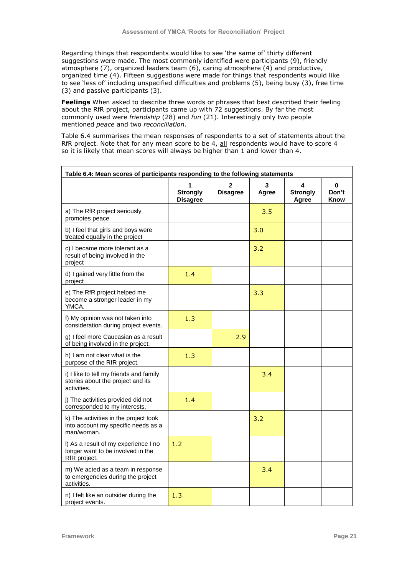Regarding things that respondents would like to see 'the same of' thirty different suggestions were made. The most commonly identified were participants (9), friendly atmosphere (7), organized leaders team  $(6)$ , caring atmosphere (4) and productive, organized time (4). Fifteen suggestions were made for things that respondents would like to see "less of" including unspecified difficulties and problems (5), being busy (3), free time (3) and passive participants (3).

**Feelings** When asked to describe three words or phrases that best described their feeling about the RfR project, participants came up with 72 suggestions. By far the most commonly used were *friendship* (28) and *fun* (21). Interestingly only two people mentioned *peace* and two *reconciliation*.

Table 6.4 summarises the mean responses of respondents to a set of statements about the RfR project. Note that for any mean score to be 4, all respondents would have to score 4 so it is likely that mean scores will always be higher than 1 and lower than 4.

| Table 6.4: Mean scores of participants responding to the following statements               |                                    |                                 |            |                               |                    |  |
|---------------------------------------------------------------------------------------------|------------------------------------|---------------------------------|------------|-------------------------------|--------------------|--|
|                                                                                             | <b>Strongly</b><br><b>Disagree</b> | $\mathbf{2}$<br><b>Disagree</b> | 3<br>Agree | 4<br><b>Strongly</b><br>Agree | 0<br>Don't<br>Know |  |
| a) The RfR project seriously<br>promotes peace                                              |                                    |                                 | 3.5        |                               |                    |  |
| b) I feel that girls and boys were<br>treated equally in the project                        |                                    |                                 | 3.0        |                               |                    |  |
| c) I became more tolerant as a<br>result of being involved in the<br>project                |                                    |                                 | 3.2        |                               |                    |  |
| d) I gained very little from the<br>project                                                 | 1.4                                |                                 |            |                               |                    |  |
| e) The RfR project helped me<br>become a stronger leader in my<br>YMCA.                     |                                    |                                 | 3.3        |                               |                    |  |
| f) My opinion was not taken into<br>consideration during project events.                    | 1.3                                |                                 |            |                               |                    |  |
| g) I feel more Caucasian as a result<br>of being involved in the project.                   |                                    | 2.9                             |            |                               |                    |  |
| h) I am not clear what is the<br>purpose of the RfR project.                                | 1.3                                |                                 |            |                               |                    |  |
| i) I like to tell my friends and family<br>stories about the project and its<br>activities. |                                    |                                 | 3.4        |                               |                    |  |
| j) The activities provided did not<br>corresponded to my interests.                         | 1.4                                |                                 |            |                               |                    |  |
| k) The activities in the project took<br>into account my specific needs as a<br>man/woman.  |                                    |                                 | 3.2        |                               |                    |  |
| I) As a result of my experience I no<br>longer want to be involved in the<br>RfR project.   | 1.2                                |                                 |            |                               |                    |  |
| m) We acted as a team in response<br>to emergencies during the project<br>activities.       |                                    |                                 | 3.4        |                               |                    |  |
| n) I felt like an outsider during the<br>project events.                                    | 1.3                                |                                 |            |                               |                    |  |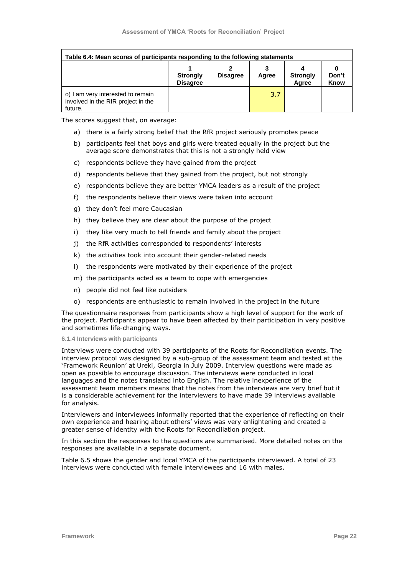| Table 6.4: Mean scores of participants responding to the following statements      |                                    |                 |       |                          |                      |
|------------------------------------------------------------------------------------|------------------------------------|-----------------|-------|--------------------------|----------------------|
|                                                                                    | <b>Strongly</b><br><b>Disagree</b> | <b>Disagree</b> | Agree | <b>Strongly</b><br>Agree | Don't<br><b>Know</b> |
| o) I am very interested to remain<br>involved in the RfR project in the<br>future. |                                    |                 | 3.7   |                          |                      |

The scores suggest that, on average:

- a) there is a fairly strong belief that the RfR project seriously promotes peace
- b) participants feel that boys and girls were treated equally in the project but the average score demonstrates that this is not a strongly held view
- c) respondents believe they have gained from the project
- d) respondents believe that they gained from the project, but not strongly
- e) respondents believe they are better YMCA leaders as a result of the project
- f) the respondents believe their views were taken into account
- g) they don"t feel more Caucasian
- h) they believe they are clear about the purpose of the project
- i) they like very much to tell friends and family about the project
- j) the RfR activities corresponded to respondents' interests
- k) the activities took into account their gender-related needs
- l) the respondents were motivated by their experience of the project
- m) the participants acted as a team to cope with emergencies
- n) people did not feel like outsiders
- o) respondents are enthusiastic to remain involved in the project in the future

The questionnaire responses from participants show a high level of support for the work of the project. Participants appear to have been affected by their participation in very positive and sometimes life-changing ways.

#### **6.1.4 Interviews with participants**

Interviews were conducted with 39 participants of the Roots for Reconciliation events. The interview protocol was designed by a sub-group of the assessment team and tested at the "Framework Reunion" at Ureki, Georgia in July 2009. Interview questions were made as open as possible to encourage discussion. The interviews were conducted in local languages and the notes translated into English. The relative inexperience of the assessment team members means that the notes from the interviews are very brief but it is a considerable achievement for the interviewers to have made 39 interviews available for analysis.

Interviewers and interviewees informally reported that the experience of reflecting on their own experience and hearing about others" views was very enlightening and created a greater sense of identity with the Roots for Reconciliation project.

In this section the responses to the questions are summarised. More detailed notes on the responses are available in a separate document.

Table 6.5 shows the gender and local YMCA of the participants interviewed. A total of 23 interviews were conducted with female interviewees and 16 with males.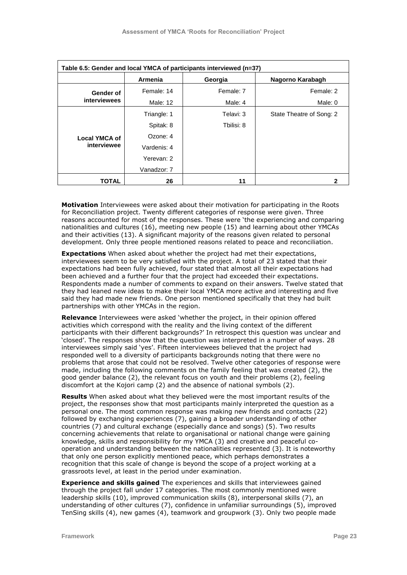| Table 6.5: Gender and local YMCA of participants interviewed (n=37) |                |            |                          |  |  |
|---------------------------------------------------------------------|----------------|------------|--------------------------|--|--|
|                                                                     | <b>Armenia</b> | Georgia    | Nagorno Karabagh         |  |  |
| Gender of                                                           | Female: 14     | Female: 7  | Female: 2                |  |  |
| <b>interviewees</b>                                                 | Male: 12       | Male: 4    | Male: 0                  |  |  |
|                                                                     | Triangle: 1    | Telavi: 3  | State Theatre of Song: 2 |  |  |
|                                                                     | Spitak: 8      | Tbilisi: 8 |                          |  |  |
| <b>Local YMCA of</b>                                                | Ozone: 4       |            |                          |  |  |
| interviewee                                                         | Vardenis: 4    |            |                          |  |  |
|                                                                     | Yerevan: 2     |            |                          |  |  |
|                                                                     | Vanadzor: 7    |            |                          |  |  |
| TOTAL                                                               | 26             | 11         | 2                        |  |  |

**Motivation** Interviewees were asked about their motivation for participating in the Roots for Reconciliation project. Twenty different categories of response were given. Three reasons accounted for most of the responses. These were "the experiencing and comparing nationalities and cultures (16), meeting new people (15) and learning about other YMCAs and their activities (13). A significant majority of the reasons given related to personal development. Only three people mentioned reasons related to peace and reconciliation.

**Expectations** When asked about whether the project had met their expectations, interviewees seem to be very satisfied with the project. A total of 23 stated that their expectations had been fully achieved, four stated that almost all their expectations had been achieved and a further four that the project had exceeded their expectations. Respondents made a number of comments to expand on their answers. Twelve stated that they had leaned new ideas to make their local YMCA more active and interesting and five said they had made new friends. One person mentioned specifically that they had built partnerships with other YMCAs in the region.

**Relevance** Interviewees were asked "whether the project, in their opinion offered activities which correspond with the reality and the living context of the different participants with their different backgrounds?" In retrospect this question was unclear and "closed". The responses show that the question was interpreted in a number of ways. 28 interviewees simply said "yes". Fifteen interviewees believed that the project had responded well to a diversity of participants backgrounds noting that there were no problems that arose that could not be resolved. Twelve other categories of response were made, including the following comments on the family feeling that was created (2), the good gender balance (2), the relevant focus on youth and their problems (2), feeling discomfort at the Kojori camp (2) and the absence of national symbols (2).

**Results** When asked about what they believed were the most important results of the project, the responses show that most participants mainly interpreted the question as a personal one. The most common response was making new friends and contacts (22) followed by exchanging experiences (7), gaining a broader understanding of other countries (7) and cultural exchange (especially dance and songs) (5). Two results concerning achievements that relate to organisational or national change were gaining knowledge, skills and responsibility for my YMCA (3) and creative and peaceful cooperation and understanding between the nationalities represented (3). It is noteworthy that only one person explicitly mentioned peace, which perhaps demonstrates a recognition that this scale of change is beyond the scope of a project working at a grassroots level, at least in the period under examination.

**Experience and skills gained** The experiences and skills that interviewees gained through the project fall under 17 categories. The most commonly mentioned were leadership skills (10), improved communication skills (8), interpersonal skills (7), an understanding of other cultures (7), confidence in unfamiliar surroundings (5), improved TenSing skills (4), new games (4), teamwork and groupwork (3). Only two people made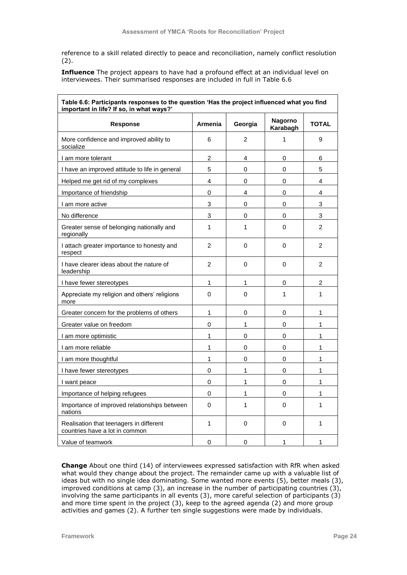reference to a skill related directly to peace and reconciliation, namely conflict resolution (2).

**Influence** The project appears to have had a profound effect at an individual level on interviewees. Their summarised responses are included in full in Table 6.6

| Table 6.6: Participants responses to the question 'Has the project influenced what you find<br>important in life? If so, in what ways?' |                |                |                     |                |
|-----------------------------------------------------------------------------------------------------------------------------------------|----------------|----------------|---------------------|----------------|
| <b>Response</b>                                                                                                                         | <b>Armenia</b> | Georgia        | Nagorno<br>Karabagh | <b>TOTAL</b>   |
| More confidence and improved ability to<br>socialize                                                                                    | 6              | $\overline{2}$ | $\mathbf{1}$        | 9              |
| I am more tolerant                                                                                                                      | $\overline{c}$ | 4              | 0                   | 6              |
| I have an improved attitude to life in general                                                                                          | 5              | 0              | 0                   | 5              |
| Helped me get rid of my complexes                                                                                                       | 4              | 0              | 0                   | 4              |
| Importance of friendship                                                                                                                | 0              | 4              | 0                   | 4              |
| I am more active                                                                                                                        | 3              | 0              | 0                   | 3              |
| No difference                                                                                                                           | 3              | 0              | 0                   | 3              |
| Greater sense of belonging nationally and<br>regionally                                                                                 | $\mathbf{1}$   | 1              | 0                   | $\overline{2}$ |
| I attach greater importance to honesty and<br>respect                                                                                   | $\overline{2}$ | 0              | 0                   | $\overline{2}$ |
| I have clearer ideas about the nature of<br>leadership                                                                                  | $\overline{2}$ | 0              | 0                   | $\overline{2}$ |
| I have fewer stereotypes                                                                                                                | 1              | 1              | 0                   | $\overline{c}$ |
| Appreciate my religion and others' religions<br>more                                                                                    | 0              | 0              | $\mathbf{1}$        | 1              |
| Greater concern for the problems of others                                                                                              | 1              | 0              | 0                   | 1              |
| Greater value on freedom                                                                                                                | $\mathsf 0$    | 1              | 0                   | 1              |
| I am more optimistic                                                                                                                    | $\mathbf{1}$   | 0              | 0                   | 1              |
| I am more reliable                                                                                                                      | 1              | 0              | 0                   | 1              |
| I am more thoughtful                                                                                                                    | $\mathbf{1}$   | 0              | 0                   | 1              |
| I have fewer stereotypes                                                                                                                | 0              | 1              | 0                   | 1              |
| I want peace                                                                                                                            | 0              | 1              | 0                   | 1              |
| Importance of helping refugees                                                                                                          | 0              | 1              | 0                   | 1              |
| Importance of improved relationships between<br>nations                                                                                 | 0              | 1              | 0                   | 1              |
| Realisation that teenagers in different<br>countries have a lot in common                                                               | $\mathbf{1}$   | 0              | 0                   | 1              |
| Value of teamwork                                                                                                                       | $\mathbf 0$    | 0              | 1                   | 1              |

**Change** About one third (14) of interviewees expressed satisfaction with RfR when asked what would they change about the project. The remainder came up with a valuable list of ideas but with no single idea dominating. Some wanted more events (5), better meals (3), improved conditions at camp (3), an increase in the number of participating countries (3), involving the same participants in all events (3), more careful selection of participants (3) and more time spent in the project (3), keep to the agreed agenda (2) and more group activities and games (2). A further ten single suggestions were made by individuals.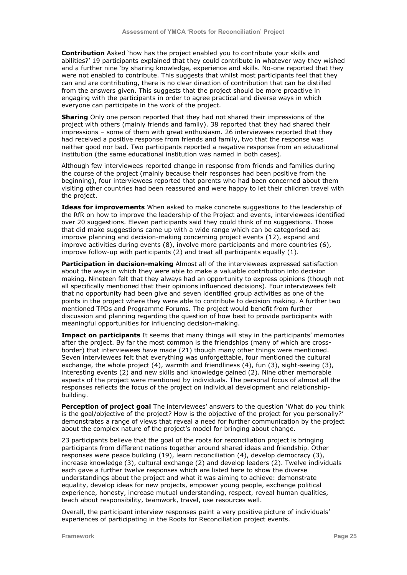**Contribution** Asked "how has the project enabled you to contribute your skills and abilities?" 19 participants explained that they could contribute in whatever way they wished and a further nine "by sharing knowledge, experience and skills. No-one reported that they were not enabled to contribute. This suggests that whilst most participants feel that they can and are contributing, there is no clear direction of contribution that can be distilled from the answers given. This suggests that the project should be more proactive in engaging with the participants in order to agree practical and diverse ways in which everyone can participate in the work of the project.

**Sharing** Only one person reported that they had not shared their impressions of the project with others (mainly friends and family). 38 reported that they had shared their impressions – some of them with great enthusiasm. 26 interviewees reported that they had received a positive response from friends and family, two that the response was neither good nor bad. Two participants reported a negative response from an educational institution (the same educational institution was named in both cases).

Although few interviewees reported change in response from friends and families during the course of the project (mainly because their responses had been positive from the beginning), four interviewees reported that parents who had been concerned about them visiting other countries had been reassured and were happy to let their children travel with the project.

**Ideas for improvements** When asked to make concrete suggestions to the leadership of the RfR on how to improve the leadership of the Project and events, interviewees identified over 20 suggestions. Eleven participants said they could think of no suggestions. Those that did make suggestions came up with a wide range which can be categorised as: improve planning and decision-making concerning project events (12), expand and improve activities during events (8), involve more participants and more countries (6), improve follow-up with participants (2) and treat all participants equally (1).

**Participation in decision-making** Almost all of the interviewees expressed satisfaction about the ways in which they were able to make a valuable contribution into decision making. Nineteen felt that they always had an opportunity to express opinions (though not all specifically mentioned that their opinions influenced decisions). Four interviewees felt that no opportunity had been give and seven identified group activities as one of the points in the project where they were able to contribute to decision making. A further two mentioned TPDs and Programme Forums. The project would benefit from further discussion and planning regarding the question of how best to provide participants with meaningful opportunities for influencing decision-making.

**Impact on participants** It seems that many things will stay in the participants' memories after the project. By far the most common is the friendships (many of which are crossborder) that interviewees have made (21) though many other things were mentioned. Seven interviewees felt that everything was unforgettable, four mentioned the cultural exchange, the whole project (4), warmth and friendliness (4), fun (3), sight-seeing (3), interesting events (2) and new skills and knowledge gained (2). Nine other memorable aspects of the project were mentioned by individuals. The personal focus of almost all the responses reflects the focus of the project on individual development and relationshipbuilding.

**Perception of project goal** The interviewees" answers to the question "What do *you* think is the goal/objective of the project? How is the objective of the project for you personally?" demonstrates a range of views that reveal a need for further communication by the project about the complex nature of the project's model for bringing about change.

23 participants believe that the goal of the roots for reconciliation project is bringing participants from different nations together around shared ideas and friendship. Other responses were peace building (19), learn reconciliation (4), develop democracy (3), increase knowledge (3), cultural exchange (2) and develop leaders (2). Twelve individuals each gave a further twelve responses which are listed here to show the diverse understandings about the project and what it was aiming to achieve: demonstrate equality, develop ideas for new projects, empower young people, exchange political experience, honesty, increase mutual understanding, respect, reveal human qualities, teach about responsibility, teamwork, travel, use resources well.

Overall, the participant interview responses paint a very positive picture of individuals" experiences of participating in the Roots for Reconciliation project events.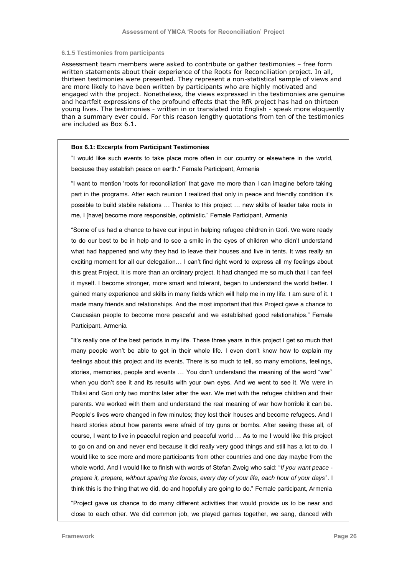#### **6.1.5 Testimonies from participants**

Assessment team members were asked to contribute or gather testimonies – free form written statements about their experience of the Roots for Reconciliation project. In all, thirteen testimonies were presented. They represent a non-statistical sample of views and are more likely to have been written by participants who are highly motivated and engaged with the project. Nonetheless, the views expressed in the testimonies are genuine and heartfelt expressions of the profound effects that the RfR project has had on thirteen young lives. The testimonies - written in or translated into English - speak more eloquently than a summary ever could. For this reason lengthy quotations from ten of the testimonies are included as Box 6.1.

#### **Box 6.1: Excerpts from Participant Testimonies**

"I would like such events to take place more often in our country or elsewhere in the world, because they establish peace on earth." Female Participant, Armenia

"I want to mention 'roots for reconciliation' that gave me more than I can imagine before taking part in the programs. After each reunion I realized that only in peace and friendly condition it's possible to build stabile relations … Thanks to this project … new skills of leader take roots in me, I [have] become more responsible, optimistic." Female Participant, Armenia

"Some of us had a chance to have our input in helping refugee children in Gori. We were ready to do our best to be in help and to see a smile in the eyes of children who didn't understand what had happened and why they had to leave their houses and live in tents. It was really an exciting moment for all our delegation… I can"t find right word to express all my feelings about this great Project. It is more than an ordinary project. It had changed me so much that I can feel it myself. I become stronger, more smart and tolerant, began to understand the world better. I gained many experience and skills in many fields which will help me in my life. I am sure of it. I made many friends and relationships. And the most important that this Project gave a chance to Caucasian people to become more peaceful and we established good relationships." Female Participant, Armenia

"It"s really one of the best periods in my life. These three years in this project I get so much that many people won"t be able to get in their whole life. I even don"t know how to explain my feelings about this project and its events. There is so much to tell, so many emotions, feelings, stories, memories, people and events … You don"t understand the meaning of the word "war" when you don't see it and its results with your own eyes. And we went to see it. We were in Tbilisi and Gori only two months later after the war. We met with the refugee children and their parents. We worked with them and understand the real meaning of war how horrible it can be. People's lives were changed in few minutes; they lost their houses and become refugees. And I heard stories about how parents were afraid of toy guns or bombs. After seeing these all, of course, I want to live in peaceful region and peaceful world … As to me I would like this project to go on and on and never end because it did really very good things and still has a lot to do. I would like to see more and more participants from other countries and one day maybe from the whole world. And I would like to finish with words of Stefan Zweig who said: "*If you want peace prepare it, prepare, without sparing the forces, every day of your life, each hour of your days*". I think this is the thing that we did, do and hopefully are going to do." Female participant, Armenia

"Project gave us chance to do many different activities that would provide us to be near and close to each other. We did common job, we played games together, we sang, danced with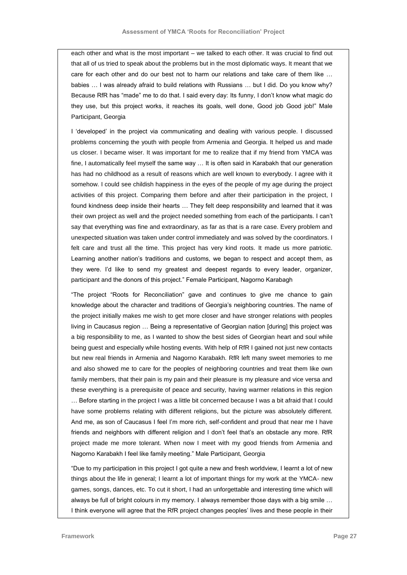each other and what is the most important – we talked to each other. It was crucial to find out that all of us tried to speak about the problems but in the most diplomatic ways. It meant that we care for each other and do our best not to harm our relations and take care of them like … babies … I was already afraid to build relations with Russians … but I did. Do you know why? Because RfR has "made" me to do that. I said every day: Its funny, I don"t know what magic do they use, but this project works, it reaches its goals, well done, Good job Good job!" Male Participant, Georgia

I "developed" in the project via communicating and dealing with various people. I discussed problems concerning the youth with people from Armenia and Georgia. It helped us and made us closer. I became wiser. It was important for me to realize that if my friend from YMCA was fine, I automatically feel myself the same way … It is often said in Karabakh that our generation has had no childhood as a result of reasons which are well known to everybody. I agree with it somehow. I could see childish happiness in the eyes of the people of my age during the project activities of this project. Comparing them before and after their participation in the project, I found kindness deep inside their hearts … They felt deep responsibility and learned that it was their own project as well and the project needed something from each of the participants. I can"t say that everything was fine and extraordinary, as far as that is a rare case. Every problem and unexpected situation was taken under control immediately and was solved by the coordinators. I felt care and trust all the time. This project has very kind roots. It made us more patriotic. Learning another nation"s traditions and customs, we began to respect and accept them, as they were. I'd like to send my greatest and deepest regards to every leader, organizer, participant and the donors of this project." Female Participant, Nagorno Karabagh

"The project "Roots for Reconciliation" gave and continues to give me chance to gain knowledge about the character and traditions of Georgia"s neighboring countries. The name of the project initially makes me wish to get more closer and have stronger relations with peoples living in Caucasus region … Being a representative of Georgian nation [during] this project was a big responsibility to me, as I wanted to show the best sides of Georgian heart and soul while being guest and especially while hosting events. With help of RfR I gained not just new contacts but new real friends in Armenia and Nagorno Karabakh. RfR left many sweet memories to me and also showed me to care for the peoples of neighboring countries and treat them like own family members, that their pain is my pain and their pleasure is my pleasure and vice versa and these everything is a prerequisite of peace and security, having warmer relations in this region … Before starting in the project I was a little bit concerned because I was a bit afraid that I could have some problems relating with different religions, but the picture was absolutely different. And me, as son of Caucasus I feel I'm more rich, self-confident and proud that near me I have friends and neighbors with different religion and I don"t feel that"s an obstacle any more. RfR project made me more tolerant. When now I meet with my good friends from Armenia and Nagorno Karabakh I feel like family meeting." Male Participant, Georgia

"Due to my participation in this project I got quite a new and fresh worldview, I learnt a lot of new things about the life in general; I learnt a lot of important things for my work at the YMCA- new games, songs, dances, etc. To cut it short, I had an unforgettable and interesting time which will always be full of bright colours in my memory. I always remember those days with a big smile … I think everyone will agree that the RfR project changes peoples" lives and these people in their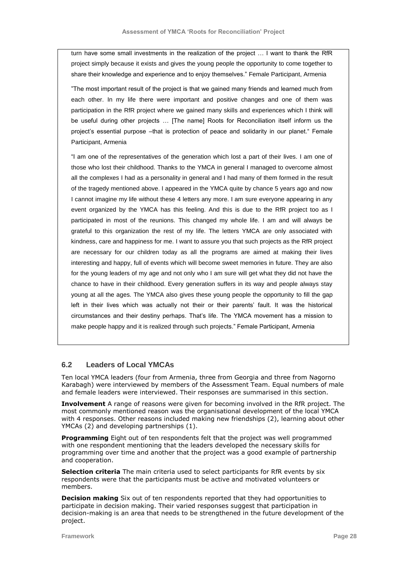turn have some small investments in the realization of the project … I want to thank the RfR project simply because it exists and gives the young people the opportunity to come together to share their knowledge and experience and to enjoy themselves." Female Participant, Armenia

"The most important result of the project is that we gained many friends and learned much from each other. In my life there were important and positive changes and one of them was participation in the RfR project where we gained many skills and experiences which I think will be useful during other projects … [The name] Roots for Reconciliation itself inform us the project's essential purpose -that is protection of peace and solidarity in our planet." Female Participant, Armenia

"I am one of the representatives of the generation which lost a part of their lives. I am one of those who lost their childhood. Thanks to the YMCA in general I managed to overcome almost all the complexes I had as a personality in general and I had many of them formed in the result of the tragedy mentioned above. I appeared in the YMCA quite by chance 5 years ago and now I cannot imagine my life without these 4 letters any more. I am sure everyone appearing in any event organized by the YMCA has this feeling. And this is due to the RfR project too as I participated in most of the reunions. This changed my whole life. I am and will always be grateful to this organization the rest of my life. The letters YMCA are only associated with kindness, care and happiness for me. I want to assure you that such projects as the RfR project are necessary for our children today as all the programs are aimed at making their lives interesting and happy, full of events which will become sweet memories in future. They are also for the young leaders of my age and not only who I am sure will get what they did not have the chance to have in their childhood. Every generation suffers in its way and people always stay young at all the ages. The YMCA also gives these young people the opportunity to fill the gap left in their lives which was actually not their or their parents' fault. It was the historical circumstances and their destiny perhaps. That"s life. The YMCA movement has a mission to make people happy and it is realized through such projects." Female Participant, Armenia

## **6.2 Leaders of Local YMCAs**

Ten local YMCA leaders (four from Armenia, three from Georgia and three from Nagorno Karabagh) were interviewed by members of the Assessment Team. Equal numbers of male and female leaders were interviewed. Their responses are summarised in this section.

**Involvement** A range of reasons were given for becoming involved in the RfR project. The most commonly mentioned reason was the organisational development of the local YMCA with 4 responses. Other reasons included making new friendships (2), learning about other YMCAs (2) and developing partnerships (1).

**Programming** Eight out of ten respondents felt that the project was well programmed with one respondent mentioning that the leaders developed the necessary skills for programming over time and another that the project was a good example of partnership and cooperation.

**Selection criteria** The main criteria used to select participants for RfR events by six respondents were that the participants must be active and motivated volunteers or members.

**Decision making** Six out of ten respondents reported that they had opportunities to participate in decision making. Their varied responses suggest that participation in decision-making is an area that needs to be strengthened in the future development of the project.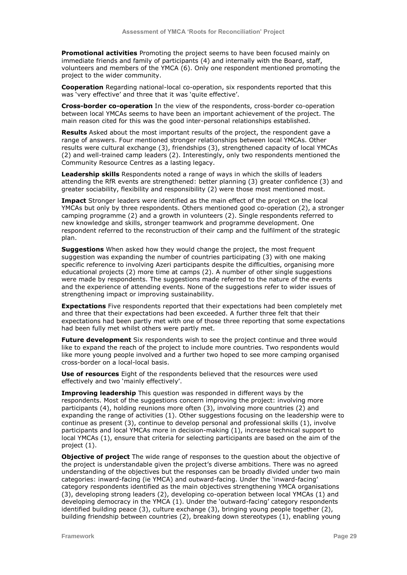**Promotional activities** Promoting the project seems to have been focused mainly on immediate friends and family of participants (4) and internally with the Board, staff, volunteers and members of the YMCA (6). Only one respondent mentioned promoting the project to the wider community.

**Cooperation** Regarding national-local co-operation, six respondents reported that this was 'very effective' and three that it was 'quite effective'.

**Cross-border co-operation** In the view of the respondents, cross-border co-operation between local YMCAs seems to have been an important achievement of the project. The main reason cited for this was the good inter-personal relationships established.

**Results** Asked about the most important results of the project, the respondent gave a range of answers. Four mentioned stronger relationships between local YMCAs. Other results were cultural exchange (3), friendships (3), strengthened capacity of local YMCAs (2) and well-trained camp leaders (2). Interestingly, only two respondents mentioned the Community Resource Centres as a lasting legacy.

**Leadership skills** Respondents noted a range of ways in which the skills of leaders attending the RfR events are strengthened: better planning (3) greater confidence (3) and greater sociability, flexibility and responsibility (2) were those most mentioned most.

**Impact** Stronger leaders were identified as the main effect of the project on the local YMCAs but only by three respondents. Others mentioned good co-operation (2), a stronger camping programme (2) and a growth in volunteers (2). Single respondents referred to new knowledge and skills, stronger teamwork and programme development. One respondent referred to the reconstruction of their camp and the fulfilment of the strategic plan.

**Suggestions** When asked how they would change the project, the most frequent suggestion was expanding the number of countries participating (3) with one making specific reference to involving Azeri participants despite the difficulties, organising more educational projects (2) more time at camps (2). A number of other single suggestions were made by respondents. The suggestions made referred to the nature of the events and the experience of attending events. None of the suggestions refer to wider issues of strengthening impact or improving sustainability.

**Expectations** Five respondents reported that their expectations had been completely met and three that their expectations had been exceeded. A further three felt that their expectations had been partly met with one of those three reporting that some expectations had been fully met whilst others were partly met.

**Future development** Six respondents wish to see the project continue and three would like to expand the reach of the project to include more countries. Two respondents would like more young people involved and a further two hoped to see more camping organised cross-border on a local-local basis.

**Use of resources** Eight of the respondents believed that the resources were used effectively and two "mainly effectively".

**Improving leadership** This question was responded in different ways by the respondents. Most of the suggestions concern improving the project: involving more participants (4), holding reunions more often (3), involving more countries (2) and expanding the range of activities (1). Other suggestions focusing on the leadership were to continue as present (3), continue to develop personal and professional skills (1), involve participants and local YMCAs more in decision-making (1), increase technical support to local YMCAs (1), ensure that criteria for selecting participants are based on the aim of the project (1).

**Objective of project** The wide range of responses to the question about the objective of the project is understandable given the project"s diverse ambitions. There was no agreed understanding of the objectives but the responses can be broadly divided under two main categories: inward-facing (ie YMCA) and outward-facing. Under the "inward-facing" category respondents identified as the main objectives strengthening YMCA organisations (3), developing strong leaders (2), developing co-operation between local YMCAs (1) and developing democracy in the YMCA (1). Under the "outward-facing" category respondents identified building peace (3), culture exchange (3), bringing young people together (2), building friendship between countries (2), breaking down stereotypes (1), enabling young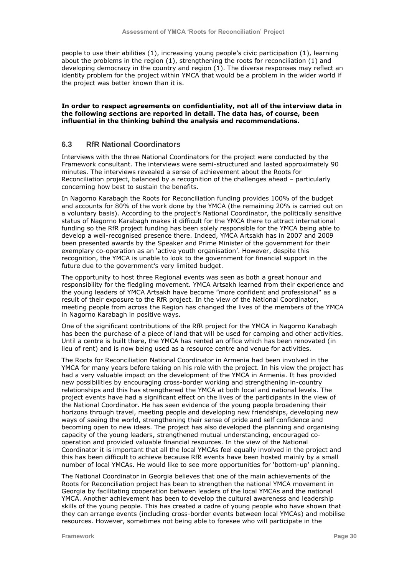people to use their abilities (1), increasing young people's civic participation (1), learning about the problems in the region (1), strengthening the roots for reconciliation (1) and developing democracy in the country and region (1). The diverse responses may reflect an identity problem for the project within YMCA that would be a problem in the wider world if the project was better known than it is.

#### **In order to respect agreements on confidentiality, not all of the interview data in the following sections are reported in detail. The data has, of course, been influential in the thinking behind the analysis and recommendations.**

### **6.3 RfR National Coordinators**

Interviews with the three National Coordinators for the project were conducted by the Framework consultant. The interviews were semi-structured and lasted approximately 90 minutes. The interviews revealed a sense of achievement about the Roots for Reconciliation project, balanced by a recognition of the challenges ahead – particularly concerning how best to sustain the benefits.

In Nagorno Karabagh the Roots for Reconciliation funding provides 100% of the budget and accounts for 80% of the work done by the YMCA (the remaining 20% is carried out on a voluntary basis). According to the project"s National Coordinator, the politically sensitive status of Nagorno Karabagh makes it difficult for the YMCA there to attract international funding so the RfR project funding has been solely responsible for the YMCA being able to develop a well-recognised presence there. Indeed, YMCA Artsakh has in 2007 and 2009 been presented awards by the Speaker and Prime Minister of the government for their exemplary co-operation as an 'active youth organisation'. However, despite this recognition, the YMCA is unable to look to the government for financial support in the future due to the government's very limited budget.

The opportunity to host three Regional events was seen as both a great honour and responsibility for the fledgling movement. YMCA Artsakh learned from their experience and the young leaders of YMCA Artsakh have become "more confident and professional" as a result of their exposure to the RfR project. In the view of the National Coordinator, meeting people from across the Region has changed the lives of the members of the YMCA in Nagorno Karabagh in positive ways.

One of the significant contributions of the RfR project for the YMCA in Nagorno Karabagh has been the purchase of a piece of land that will be used for camping and other activities. Until a centre is built there, the YMCA has rented an office which has been renovated (in lieu of rent) and is now being used as a resource centre and venue for activities.

The Roots for Reconciliation National Coordinator in Armenia had been involved in the YMCA for many years before taking on his role with the project. In his view the project has had a very valuable impact on the development of the YMCA in Armenia. It has provided new possibilities by encouraging cross-border working and strengthening in-country relationships and this has strengthened the YMCA at both local and national levels. The project events have had a significant effect on the lives of the participants in the view of the National Coordinator. He has seen evidence of the young people broadening their horizons through travel, meeting people and developing new friendships, developing new ways of seeing the world, strengthening their sense of pride and self confidence and becoming open to new ideas. The project has also developed the planning and organising capacity of the young leaders, strengthened mutual understanding, encouraged cooperation and provided valuable financial resources. In the view of the National Coordinator it is important that all the local YMCAs feel equally involved in the project and this has been difficult to achieve because RfR events have been hosted mainly by a small number of local YMCAs. He would like to see more opportunities for "bottom-up" planning.

The National Coordinator in Georgia believes that one of the main achievements of the Roots for Reconciliation project has been to strengthen the national YMCA movement in Georgia by facilitating cooperation between leaders of the local YMCAs and the national YMCA. Another achievement has been to develop the cultural awareness and leadership skills of the young people. This has created a cadre of young people who have shown that they can arrange events (including cross-border events between local YMCAs) and mobilise resources. However, sometimes not being able to foresee who will participate in the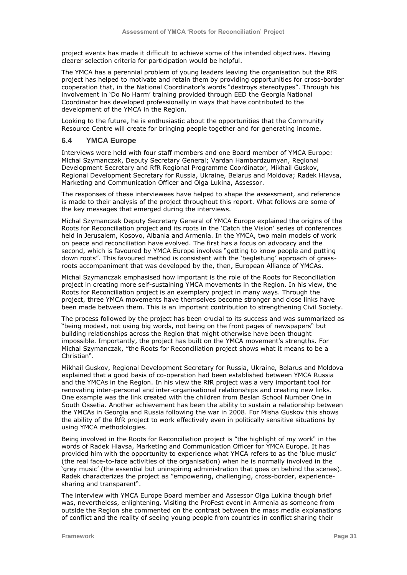project events has made it difficult to achieve some of the intended objectives. Having clearer selection criteria for participation would be helpful.

The YMCA has a perennial problem of young leaders leaving the organisation but the RfR project has helped to motivate and retain them by providing opportunities for cross-border cooperation that, in the National Coordinator"s words "destroys stereotypes". Through his involvement in "Do No Harm" training provided through EED the Georgia National Coordinator has developed professionally in ways that have contributed to the development of the YMCA in the Region.

Looking to the future, he is enthusiastic about the opportunities that the Community Resource Centre will create for bringing people together and for generating income.

## **6.4 YMCA Europe**

Interviews were held with four staff members and one Board member of YMCA Europe: Michal Szymanczak, Deputy Secretary General; Vardan Hambardzumyan, Regional Development Secretary and RfR Regional Programme Coordinator, Mikhail Guskov, Regional Development Secretary for Russia, Ukraine, Belarus and Moldova; Radek Hlavsa, Marketing and Communication Officer and Olga Lukina, Assessor.

The responses of these interviewees have helped to shape the assessment, and reference is made to their analysis of the project throughout this report. What follows are some of the key messages that emerged during the interviews.

Michal Szymanczak Deputy Secretary General of YMCA Europe explained the origins of the Roots for Reconciliation project and its roots in the "Catch the Vision" series of conferences held in Jerusalem, Kosovo, Albania and Armenia. In the YMCA, two main models of work on peace and reconciliation have evolved. The first has a focus on advocacy and the second, which is favoured by YMCA Europe involves "getting to know people and putting down roots". This favoured method is consistent with the "begleitung" approach of grassroots accompaniment that was developed by the, then, European Alliance of YMCAs.

Michal Szymanczak emphasised how important is the role of the Roots for Reconciliation project in creating more self-sustaining YMCA movements in the Region. In his view, the Roots for Reconciliation project is an exemplary project in many ways. Through the project, three YMCA movements have themselves become stronger and close links have been made between them. This is an important contribution to strengthening Civil Society.

The process followed by the project has been crucial to its success and was summarized as "being modest, not using big words, not being on the front pages of newspapers" but building relationships across the Region that might otherwise have been thought impossible. Importantly, the project has built on the YMCA movement's strengths. For Michal Szymanczak, "the Roots for Reconciliation project shows what it means to be a Christian".

Mikhail Guskov, Regional Development Secretary for Russia, Ukraine, Belarus and Moldova explained that a good basis of co-operation had been established between YMCA Russia and the YMCAs in the Region. In his view the RfR project was a very important tool for renovating inter-personal and inter-organisational relationships and creating new links. One example was the link created with the children from Beslan School Number One in South Ossetia. Another achievement has been the ability to sustain a relationship between the YMCAs in Georgia and Russia following the war in 2008. For Misha Guskov this shows the ability of the RfR project to work effectively even in politically sensitive situations by using YMCA methodologies.

Being involved in the Roots for Reconciliation project is "the highlight of my work" in the words of Radek Hlavsa, Marketing and Communication Officer for YMCA Europe. It has provided him with the opportunity to experience what YMCA refers to as the "blue music" (the real face-to-face activities of the organisation) when he is normally involved in the "grey music" (the essential but uninspiring administration that goes on behind the scenes). Radek characterizes the project as "empowering, challenging, cross-border, experiencesharing and transparent".

The interview with YMCA Europe Board member and Assessor Olga Lukina though brief was, nevertheless, enlightening. Visiting the ProFest event in Armenia as someone from outside the Region she commented on the contrast between the mass media explanations of conflict and the reality of seeing young people from countries in conflict sharing their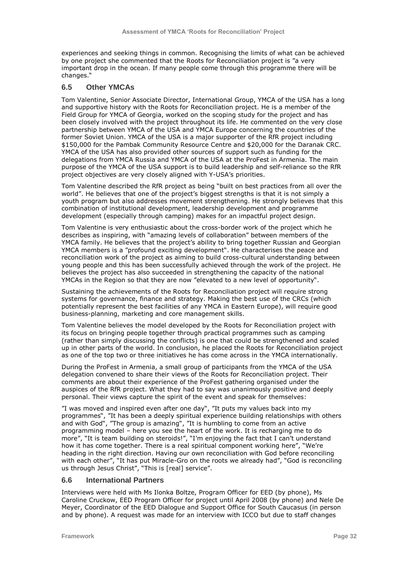experiences and seeking things in common. Recognising the limits of what can be achieved by one project she commented that the Roots for Reconciliation project is "a very important drop in the ocean. If many people come through this programme there will be changes."

# **6.5 Other YMCAs**

Tom Valentine, Senior Associate Director, International Group, YMCA of the USA has a long and supportive history with the Roots for Reconciliation project. He is a member of the Field Group for YMCA of Georgia, worked on the scoping study for the project and has been closely involved with the project throughout its life. He commented on the very close partnership between YMCA of the USA and YMCA Europe concerning the countries of the former Soviet Union. YMCA of the USA is a major supporter of the RfR project including \$150,000 for the Pambak Community Resource Centre and \$20,000 for the Daranak CRC. YMCA of the USA has also provided other sources of support such as funding for the delegations from YMCA Russia and YMCA of the USA at the ProFest in Armenia. The main purpose of the YMCA of the USA support is to build leadership and self-reliance so the RfR project objectives are very closely aligned with Y-USA"s priorities.

Tom Valentine described the RfR project as being "built on best practices from all over the world". He believes that one of the project's biggest strengths is that it is not simply a youth program but also addresses movement strengthening. He strongly believes that this combination of institutional development, leadership development and programme development (especially through camping) makes for an impactful project design.

Tom Valentine is very enthusiastic about the cross-border work of the project which he describes as inspiring, with "amazing levels of collaboration" between members of the YMCA family. He believes that the project's ability to bring together Russian and Georgian YMCA members is a "profound exciting development". He characterises the peace and reconciliation work of the project as aiming to build cross-cultural understanding between young people and this has been successfully achieved through the work of the project. He believes the project has also succeeded in strengthening the capacity of the national YMCAs in the Region so that they are now "elevated to a new level of opportunity".

Sustaining the achievements of the Roots for Reconciliation project will require strong systems for governance, finance and strategy. Making the best use of the CRCs (which potentially represent the best facilities of any YMCA in Eastern Europe), will require good business-planning, marketing and core management skills.

Tom Valentine believes the model developed by the Roots for Reconciliation project with its focus on bringing people together through practical programmes such as camping (rather than simply discussing the conflicts) is one that could be strengthened and scaled up in other parts of the world. In conclusion, he placed the Roots for Reconciliation project as one of the top two or three initiatives he has come across in the YMCA internationally.

During the ProFest in Armenia, a small group of participants from the YMCA of the USA delegation convened to share their views of the Roots for Reconciliation project. Their comments are about their experience of the ProFest gathering organised under the auspices of the RfR project. What they had to say was unanimously positive and deeply personal. Their views capture the spirit of the event and speak for themselves:

"I was moved and inspired even after one day", "It puts my values back into my programmes", "It has been a deeply spiritual experience building relationships with others and with God", "The group is amazing", "It is humbling to come from an active programming model – here you see the heart of the work. It is recharging me to do more", "It is team building on steroids!", "I"m enjoying the fact that I can"t understand how it has come together. There is a real spiritual component working here", "We"re heading in the right direction. Having our own reconciliation with God before reconciling with each other", "It has put Miracle-Gro on the roots we already had", "God is reconciling us through Jesus Christ", "This is [real] service".

### **6.6 International Partners**

Interviews were held with Ms Ilonka Boltze, Program Officer for EED (by phone), Ms Caroline Cruckow, EED Program Officer for project until April 2008 (by phone) and Nele De Meyer, Coordinator of the EED Dialogue and Support Office for South Caucasus (in person and by phone). A request was made for an interview with ICCO but due to staff changes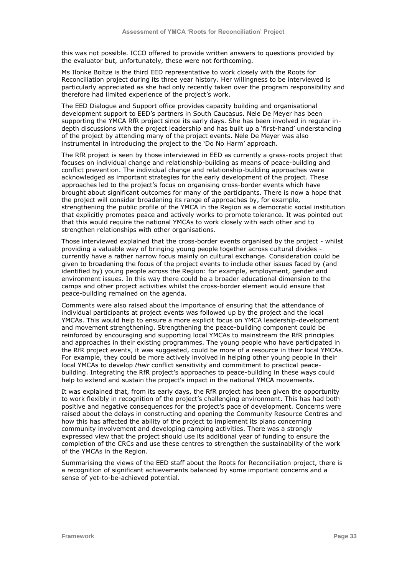this was not possible. ICCO offered to provide written answers to questions provided by the evaluator but, unfortunately, these were not forthcoming.

Ms Ilonke Boltze is the third EED representative to work closely with the Roots for Reconciliation project during its three year history. Her willingness to be interviewed is particularly appreciated as she had only recently taken over the program responsibility and therefore had limited experience of the project"s work.

The EED Dialogue and Support office provides capacity building and organisational development support to EED"s partners in South Caucasus. Nele De Meyer has been supporting the YMCA RfR project since its early days. She has been involved in regular indepth discussions with the project leadership and has built up a "first-hand" understanding of the project by attending many of the project events. Nele De Meyer was also instrumental in introducing the project to the 'Do No Harm' approach.

The RfR project is seen by those interviewed in EED as currently a grass-roots project that focuses on individual change and relationship-building as means of peace-building and conflict prevention. The individual change and relationship-building approaches were acknowledged as important strategies for the early development of the project. These approaches led to the project's focus on organising cross-border events which have brought about significant outcomes for many of the participants. There is now a hope that the project will consider broadening its range of approaches by, for example, strengthening the public profile of the YMCA in the Region as a democratic social institution that explicitly promotes peace and actively works to promote tolerance. It was pointed out that this would require the national YMCAs to work closely with each other and to strengthen relationships with other organisations.

Those interviewed explained that the cross-border events organised by the project - whilst providing a valuable way of bringing young people together across cultural divides currently have a rather narrow focus mainly on cultural exchange. Consideration could be given to broadening the focus of the project events to include other issues faced by (and identified by) young people across the Region: for example, employment, gender and environment issues. In this way there could be a broader educational dimension to the camps and other project activities whilst the cross-border element would ensure that peace-building remained on the agenda.

Comments were also raised about the importance of ensuring that the attendance of individual participants at project events was followed up by the project and the local YMCAs. This would help to ensure a more explicit focus on YMCA leadership-development and movement strengthening. Strengthening the peace-building component could be reinforced by encouraging and supporting local YMCAs to mainstream the RfR principles and approaches in their existing programmes. The young people who have participated in the RfR project events, it was suggested, could be more of a resource in their local YMCAs. For example, they could be more actively involved in helping other young people in their local YMCAs to develop *their* conflict sensitivity and commitment to practical peacebuilding. Integrating the RfR project"s approaches to peace-building in these ways could help to extend and sustain the project's impact in the national YMCA movements.

It was explained that, from its early days, the RfR project has been given the opportunity to work flexibly in recognition of the project's challenging environment. This has had both positive and negative consequences for the project"s pace of development. Concerns were raised about the delays in constructing and opening the Community Resource Centres and how this has affected the ability of the project to implement its plans concerning community involvement and developing camping activities. There was a strongly expressed view that the project should use its additional year of funding to ensure the completion of the CRCs and use these centres to strengthen the sustainability of the work of the YMCAs in the Region.

Summarising the views of the EED staff about the Roots for Reconciliation project, there is a recognition of significant achievements balanced by some important concerns and a sense of yet-to-be-achieved potential.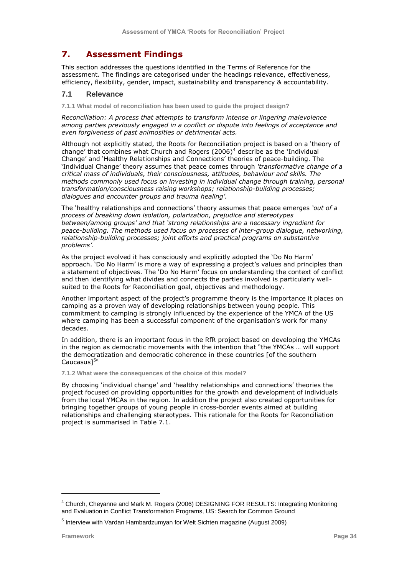# **7. Assessment Findings**

This section addresses the questions identified in the Terms of Reference for the assessment. The findings are categorised under the headings relevance, effectiveness, efficiency, flexibility, gender, impact, sustainability and transparency & accountability.

## **7.1 Relevance**

**7.1.1 What model of reconciliation has been used to guide the project design?**

*Reconciliation: A process that attempts to transform intense or lingering malevolence among parties previously engaged in a conflict or dispute into feelings of acceptance and even forgiveness of past animosities or detrimental acts.*

Although not explicitly stated, the Roots for Reconciliation project is based on a "theory of change' that combines what Church and Rogers  $(2006)^4$  describe as the 'Individual Change" and "Healthy Relationships and Connections" theories of peace-building. The "Individual Change" theory assumes that peace comes through *"transformative change of a critical mass of individuals, their consciousness, attitudes, behaviour and skills. The methods commonly used focus on investing in individual change through training, personal transformation/consciousness raising workshops; relationship-building processes; dialogues and encounter groups and trauma healing".*

The "healthy relationships and connections" theory assumes that peace emerges *"out of a process of breaking down isolation, polarization, prejudice and stereotypes between/among groups" and that "strong relationships are a necessary ingredient for peace-building. The methods used focus on processes of inter-group dialogue, networking, relationship-building processes; joint efforts and practical programs on substantive problems"*.

As the project evolved it has consciously and explicitly adopted the "Do No Harm" approach. 'Do No Harm' is more a way of expressing a project's values and principles than a statement of objectives. The "Do No Harm" focus on understanding the context of conflict and then identifying what divides and connects the parties involved is particularly wellsuited to the Roots for Reconciliation goal, objectives and methodology.

Another important aspect of the project"s programme theory is the importance it places on camping as a proven way of developing relationships between young people. This commitment to camping is strongly influenced by the experience of the YMCA of the US where camping has been a successful component of the organisation's work for many decades.

In addition, there is an important focus in the RfR project based on developing the YMCAs in the region as democratic movements with the intention that "the YMCAs … will support the democratization and democratic coherence in these countries [of the southern Caucasus]<sup>5</sup>"

**7.1.2 What were the consequences of the choice of this model?**

By choosing "individual change" and "healthy relationships and connections" theories the project focused on providing opportunities for the growth and development of individuals from the local YMCAs in the region. In addition the project also created opportunities for bringing together groups of young people in cross-border events aimed at building relationships and challenging stereotypes. This rationale for the Roots for Reconciliation project is summarised in Table 7.1.

ł

<sup>4</sup> Church, Cheyanne and Mark M. Rogers (2006) DESIGNING FOR RESULTS: Integrating Monitoring and Evaluation in Conflict Transformation Programs, US: Search for Common Ground

<sup>&</sup>lt;sup>5</sup> Interview with Vardan Hambardzumyan for Welt Sichten magazine (August 2009)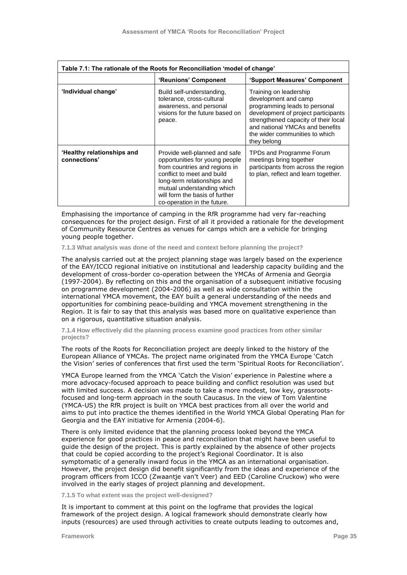| Table 7.1: The rationale of the Roots for Reconciliation 'model of change' |                                                                                                                                                                                                                                                              |                                                                                                                                                                                                                                                    |  |  |
|----------------------------------------------------------------------------|--------------------------------------------------------------------------------------------------------------------------------------------------------------------------------------------------------------------------------------------------------------|----------------------------------------------------------------------------------------------------------------------------------------------------------------------------------------------------------------------------------------------------|--|--|
|                                                                            | 'Reunions' Component                                                                                                                                                                                                                                         | 'Support Measures' Component                                                                                                                                                                                                                       |  |  |
| 'Individual change'                                                        | Build self-understanding,<br>tolerance, cross-cultural<br>awareness, and personal<br>visions for the future based on<br>peace.                                                                                                                               | Training on leadership<br>development and camp<br>programming leads to personal<br>development of project participants<br>strengthened capacity of their local<br>and national YMCAs and benefits<br>the wider communities to which<br>they belong |  |  |
| 'Healthy relationships and<br>connections'                                 | Provide well-planned and safe<br>opportunities for young people<br>from countries and regions in<br>conflict to meet and build<br>long-term relationships and<br>mutual understanding which<br>will form the basis of further<br>co-operation in the future. | TPDs and Programme Forum<br>meetings bring together<br>participants from across the region<br>to plan, reflect and learn together.                                                                                                                 |  |  |

Emphasising the importance of camping in the RfR programme had very far-reaching consequences for the project design. First of all it provided a rationale for the development of Community Resource Centres as venues for camps which are a vehicle for bringing young people together.

**7.1.3 What analysis was done of the need and context before planning the project?**

The analysis carried out at the project planning stage was largely based on the experience of the EAY/ICCO regional initiative on institutional and leadership capacity building and the development of cross-border co-operation between the YMCAs of Armenia and Georgia (1997-2004). By reflecting on this and the organisation of a subsequent initiative focusing on programme development (2004-2006) as well as wide consultation within the international YMCA movement, the EAY built a general understanding of the needs and opportunities for combining peace-building and YMCA movement strengthening in the Region. It is fair to say that this analysis was based more on qualitative experience than on a rigorous, quantitative situation analysis.

**7.1.4 How effectively did the planning process examine good practices from other similar projects?**

The roots of the Roots for Reconciliation project are deeply linked to the history of the European Alliance of YMCAs. The project name originated from the YMCA Europe "Catch the Vision' series of conferences that first used the term 'Spiritual Roots for Reconciliation'.

YMCA Europe learned from the YMCA "Catch the Vision" experience in Palestine where a more advocacy-focused approach to peace building and conflict resolution was used but with limited success. A decision was made to take a more modest, low key, grassrootsfocused and long-term approach in the south Caucasus. In the view of Tom Valentine (YMCA-US) the RfR project is built on YMCA best practices from all over the world and aims to put into practice the themes identified in the World YMCA Global Operating Plan for Georgia and the EAY initiative for Armenia (2004-6).

There is only limited evidence that the planning process looked beyond the YMCA experience for good practices in peace and reconciliation that might have been useful to guide the design of the project. This is partly explained by the absence of other projects that could be copied according to the project"s Regional Coordinator. It is also symptomatic of a generally inward focus in the YMCA as an international organisation. However, the project design did benefit significantly from the ideas and experience of the program officers from ICCO (Zwaantje van't Veer) and EED (Caroline Cruckow) who were involved in the early stages of project planning and development.

**7.1.5 To what extent was the project well-designed?**

It is important to comment at this point on the logframe that provides the logical framework of the project design. A logical framework should demonstrate clearly how inputs (resources) are used through activities to create outputs leading to outcomes and,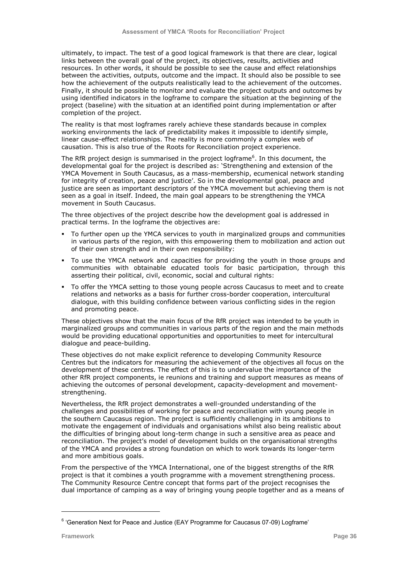ultimately, to impact. The test of a good logical framework is that there are clear, logical links between the overall goal of the project, its objectives, results, activities and resources. In other words, it should be possible to see the cause and effect relationships between the activities, outputs, outcome and the impact. It should also be possible to see how the achievement of the outputs realistically lead to the achievement of the outcomes. Finally, it should be possible to monitor and evaluate the project outputs and outcomes by using identified indicators in the logframe to compare the situation at the beginning of the project (baseline) with the situation at an identified point during implementation or after completion of the project.

The reality is that most logframes rarely achieve these standards because in complex working environments the lack of predictability makes it impossible to identify simple, linear cause-effect relationships. The reality is more commonly a complex web of causation. This is also true of the Roots for Reconciliation project experience.

The RfR project design is summarised in the project logframe<sup>6</sup>. In this document, the developmental goal for the project is described as: "Strengthening and extension of the YMCA Movement in South Caucasus, as a mass-membership, ecumenical network standing for integrity of creation, peace and justice'. So in the developmental goal, peace and justice are seen as important descriptors of the YMCA movement but achieving them is not seen as a goal in itself. Indeed, the main goal appears to be strengthening the YMCA movement in South Caucasus.

The three objectives of the project describe how the development goal is addressed in practical terms. In the logframe the objectives are:

- To further open up the YMCA services to youth in marginalized groups and communities in various parts of the region, with this empowering them to mobilization and action out of their own strength and in their own responsibility:
- To use the YMCA network and capacities for providing the youth in those groups and communities with obtainable educated tools for basic participation, through this asserting their political, civil, economic, social and cultural rights:
- To offer the YMCA setting to those young people across Caucasus to meet and to create relations and networks as a basis for further cross-border cooperation, intercultural dialogue, with this building confidence between various conflicting sides in the region and promoting peace.

These objectives show that the main focus of the RfR project was intended to be youth in marginalized groups and communities in various parts of the region and the main methods would be providing educational opportunities and opportunities to meet for intercultural dialogue and peace-building.

These objectives do not make explicit reference to developing Community Resource Centres but the indicators for measuring the achievement of the objectives all focus on the development of these centres. The effect of this is to undervalue the importance of the other RfR project components, ie reunions and training and support measures as means of achieving the outcomes of personal development, capacity-development and movementstrengthening.

Nevertheless, the RfR project demonstrates a well-grounded understanding of the challenges and possibilities of working for peace and reconciliation with young people in the southern Caucasus region. The project is sufficiently challenging in its ambitions to motivate the engagement of individuals and organisations whilst also being realistic about the difficulties of bringing about long-term change in such a sensitive area as peace and reconciliation. The project's model of development builds on the organisational strengths of the YMCA and provides a strong foundation on which to work towards its longer-term and more ambitious goals.

From the perspective of the YMCA International, one of the biggest strengths of the RfR project is that it combines a youth programme with a movement strengthening process. The Community Resource Centre concept that forms part of the project recognises the dual importance of camping as a way of bringing young people together and as a means of

ł

 $6$  'Generation Next for Peace and Justice (EAY Programme for Caucasus 07-09) Logframe'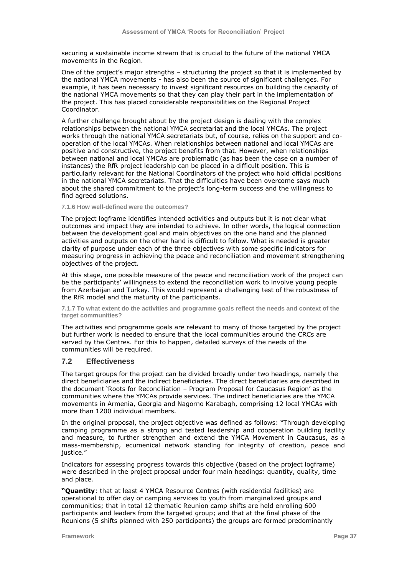securing a sustainable income stream that is crucial to the future of the national YMCA movements in the Region.

One of the project"s major strengths – structuring the project so that it is implemented by the national YMCA movements - has also been the source of significant challenges. For example, it has been necessary to invest significant resources on building the capacity of the national YMCA movements so that they can play their part in the implementation of the project. This has placed considerable responsibilities on the Regional Project Coordinator.

A further challenge brought about by the project design is dealing with the complex relationships between the national YMCA secretariat and the local YMCAs. The project works through the national YMCA secretariats but, of course, relies on the support and cooperation of the local YMCAs. When relationships between national and local YMCAs are positive and constructive, the project benefits from that. However, when relationships between national and local YMCAs are problematic (as has been the case on a number of instances) the RfR project leadership can be placed in a difficult position. This is particularly relevant for the National Coordinators of the project who hold official positions in the national YMCA secretariats. That the difficulties have been overcome says much about the shared commitment to the project's long-term success and the willingness to find agreed solutions.

#### **7.1.6 How well-defined were the outcomes?**

The project logframe identifies intended activities and outputs but it is not clear what outcomes and impact they are intended to achieve. In other words, the logical connection between the development goal and main objectives on the one hand and the planned activities and outputs on the other hand is difficult to follow. What is needed is greater clarity of purpose under each of the three objectives with some specific indicators for measuring progress in achieving the peace and reconciliation and movement strengthening objectives of the project.

At this stage, one possible measure of the peace and reconciliation work of the project can be the participants" willingness to extend the reconciliation work to involve young people from Azerbaijan and Turkey. This would represent a challenging test of the robustness of the RfR model and the maturity of the participants.

**7.1.7 To what extent do the activities and programme goals reflect the needs and context of the target communities?**

The activities and programme goals are relevant to many of those targeted by the project but further work is needed to ensure that the local communities around the CRCs are served by the Centres. For this to happen, detailed surveys of the needs of the communities will be required.

## **7.2 Effectiveness**

The target groups for the project can be divided broadly under two headings, namely the direct beneficiaries and the indirect beneficiaries. The direct beneficiaries are described in the document "Roots for Reconciliation – Program Proposal for Caucasus Region" as the communities where the YMCAs provide services. The indirect beneficiaries are the YMCA movements in Armenia, Georgia and Nagorno Karabagh, comprising 12 local YMCAs with more than 1200 individual members.

In the original proposal, the project objective was defined as follows: "Through developing camping programme as a strong and tested leadership and cooperation building facility and measure, to further strengthen and extend the YMCA Movement in Caucasus, as a mass-membership, ecumenical network standing for integrity of creation, peace and iustice."

Indicators for assessing progress towards this objective (based on the project logframe) were described in the project proposal under four main headings: quantity, quality, time and place.

**"Quantity**: that at least 4 YMCA Resource Centres (with residential facilities) are operational to offer day or camping services to youth from marginalized groups and communities; that in total 12 thematic Reunion camp shifts are held enrolling 600 participants and leaders from the targeted group; and that at the final phase of the Reunions (5 shifts planned with 250 participants) the groups are formed predominantly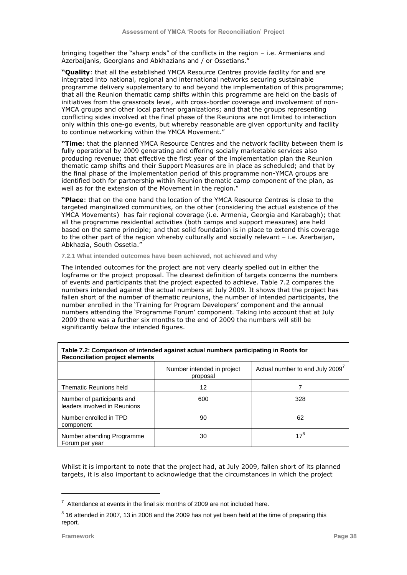bringing together the "sharp ends" of the conflicts in the region – i.e. Armenians and Azerbaijanis, Georgians and Abkhazians and / or Ossetians."

**"Quality**: that all the established YMCA Resource Centres provide facility for and are integrated into national, regional and international networks securing sustainable programme delivery supplementary to and beyond the implementation of this programme; that all the Reunion thematic camp shifts within this programme are held on the basis of initiatives from the grassroots level, with cross-border coverage and involvement of non-YMCA groups and other local partner organizations; and that the groups representing conflicting sides involved at the final phase of the Reunions are not limited to interaction only within this one-go events, but whereby reasonable are given opportunity and facility to continue networking within the YMCA Movement."

**"Time**: that the planned YMCA Resource Centres and the network facility between them is fully operational by 2009 generating and offering socially marketable services also producing revenue; that effective the first year of the implementation plan the Reunion thematic camp shifts and their Support Measures are in place as scheduled; and that by the final phase of the implementation period of this programme non-YMCA groups are identified both for partnership within Reunion thematic camp component of the plan, as well as for the extension of the Movement in the region."

**"Place**: that on the one hand the location of the YMCA Resource Centres is close to the targeted marginalized communities, on the other (considering the actual existence of the YMCA Movements) has fair regional coverage (i.e. Armenia, Georgia and Karabagh); that all the programme residential activities (both camps and support measures) are held based on the same principle; and that solid foundation is in place to extend this coverage to the other part of the region whereby culturally and socially relevant – i.e. Azerbaijan, Abkhazia, South Ossetia."

**7.2.1 What intended outcomes have been achieved, not achieved and why** 

The intended outcomes for the project are not very clearly spelled out in either the logframe or the project proposal. The clearest definition of targets concerns the numbers of events and participants that the project expected to achieve. Table 7.2 compares the numbers intended against the actual numbers at July 2009. It shows that the project has fallen short of the number of thematic reunions, the number of intended participants, the number enrolled in the "Training for Program Developers" component and the annual numbers attending the "Programme Forum" component. Taking into account that at July 2009 there was a further six months to the end of 2009 the numbers will still be significantly below the intended figures.

| <b>Reconciliation project elements</b>                     |                                        |                                             |  |  |  |  |  |  |
|------------------------------------------------------------|----------------------------------------|---------------------------------------------|--|--|--|--|--|--|
|                                                            | Number intended in project<br>proposal | Actual number to end July 2009 <sup>7</sup> |  |  |  |  |  |  |
| Thematic Reunions held                                     | 12                                     |                                             |  |  |  |  |  |  |
| Number of participants and<br>leaders involved in Reunions | 600                                    | 328                                         |  |  |  |  |  |  |
| Number enrolled in TPD<br>component                        | 90                                     | 62                                          |  |  |  |  |  |  |
| Number attending Programme<br>Forum per year               | 30                                     | $17^{8}$                                    |  |  |  |  |  |  |

# **Table 7.2: Comparison of intended against actual numbers participating in Roots for**

Whilst it is important to note that the project had, at July 2009, fallen short of its planned targets, it is also important to acknowledge that the circumstances in which the project

ł

 $7$  Attendance at events in the final six months of 2009 are not included here.

 $^8$  16 attended in 2007, 13 in 2008 and the 2009 has not yet been held at the time of preparing this report.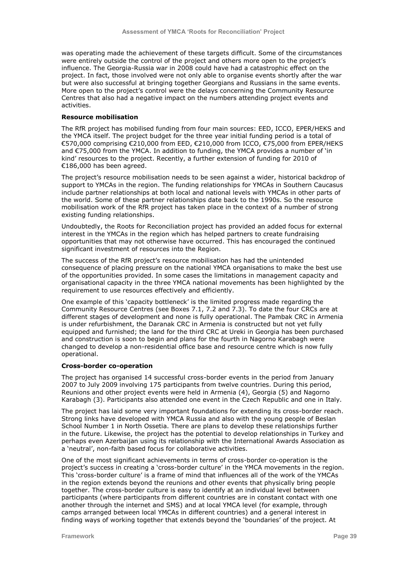was operating made the achievement of these targets difficult. Some of the circumstances were entirely outside the control of the project and others more open to the project"s influence. The Georgia-Russia war in 2008 could have had a catastrophic effect on the project. In fact, those involved were not only able to organise events shortly after the war but were also successful at bringing together Georgians and Russians in the same events. More open to the project"s control were the delays concerning the Community Resource Centres that also had a negative impact on the numbers attending project events and activities.

#### **Resource mobilisation**

The RfR project has mobilised funding from four main sources: EED, ICCO, EPER/HEKS and the YMCA itself. The project budget for the three year initial funding period is a total of €570,000 comprising €210,000 from EED, €210,000 from ICCO, €75,000 from EPER/HEKS and €75,000 from the YMCA. In addition to funding, the YMCA provides a number of "in kind" resources to the project. Recently, a further extension of funding for 2010 of €186,000 has been agreed.

The project"s resource mobilisation needs to be seen against a wider, historical backdrop of support to YMCAs in the region. The funding relationships for YMCAs in Southern Caucasus include partner relationships at both local and national levels with YMCAs in other parts of the world. Some of these partner relationships date back to the 1990s. So the resource mobilisation work of the RfR project has taken place in the context of a number of strong existing funding relationships.

Undoubtedly, the Roots for Reconciliation project has provided an added focus for external interest in the YMCAs in the region which has helped partners to create fundraising opportunities that may not otherwise have occurred. This has encouraged the continued significant investment of resources into the Region.

The success of the RfR project"s resource mobilisation has had the unintended consequence of placing pressure on the national YMCA organisations to make the best use of the opportunities provided. In some cases the limitations in management capacity and organisational capacity in the three YMCA national movements has been highlighted by the requirement to use resources effectively and efficiently.

One example of this "capacity bottleneck" is the limited progress made regarding the Community Resource Centres (see Boxes 7.1, 7.2 and 7.3). To date the four CRCs are at different stages of development and none is fully operational. The Pambak CRC in Armenia is under refurbishment, the Daranak CRC in Armenia is constructed but not yet fully equipped and furnished; the land for the third CRC at Ureki in Georgia has been purchased and construction is soon to begin and plans for the fourth in Nagorno Karabagh were changed to develop a non-residential office base and resource centre which is now fully operational.

#### **Cross-border co-operation**

The project has organised 14 successful cross-border events in the period from January 2007 to July 2009 involving 175 participants from twelve countries. During this period, Reunions and other project events were held in Armenia (4), Georgia (5) and Nagorno Karabagh (3). Participants also attended one event in the Czech Republic and one in Italy.

The project has laid some very important foundations for extending its cross-border reach. Strong links have developed with YMCA Russia and also with the young people of Beslan School Number 1 in North Ossetia. There are plans to develop these relationships further in the future. Likewise, the project has the potential to develop relationships in Turkey and perhaps even Azerbaijan using its relationship with the International Awards Association as a 'neutral', non-faith based focus for collaborative activities.

One of the most significant achievements in terms of cross-border co-operation is the project"s success in creating a "cross-border culture" in the YMCA movements in the region. This "cross-border culture" is a frame of mind that influences all of the work of the YMCAs in the region extends beyond the reunions and other events that physically bring people together. The cross-border culture is easy to identify at an individual level between participants (where participants from different countries are in constant contact with one another through the internet and SMS) and at local YMCA level (for example, through camps arranged between local YMCAs in different countries) and a general interest in finding ways of working together that extends beyond the "boundaries" of the project. At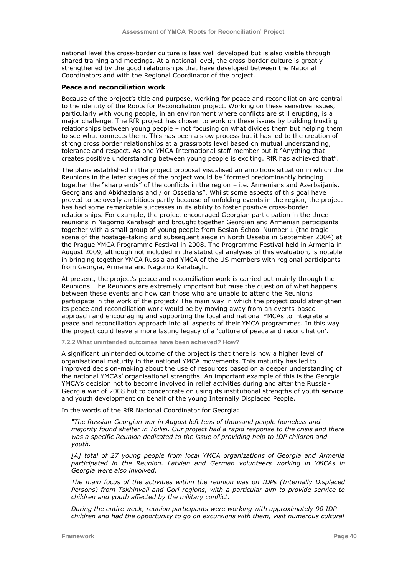national level the cross-border culture is less well developed but is also visible through shared training and meetings. At a national level, the cross-border culture is greatly strengthened by the good relationships that have developed between the National Coordinators and with the Regional Coordinator of the project.

#### **Peace and reconciliation work**

Because of the project's title and purpose, working for peace and reconciliation are central to the identity of the Roots for Reconciliation project. Working on these sensitive issues, particularly with young people, in an environment where conflicts are still erupting, is a major challenge. The RfR project has chosen to work on these issues by building trusting relationships between young people – not focusing on what divides them but helping them to see what connects them. This has been a slow process but it has led to the creation of strong cross border relationships at a grassroots level based on mutual understanding, tolerance and respect. As one YMCA International staff member put it "Anything that creates positive understanding between young people is exciting. RfR has achieved that".

The plans established in the project proposal visualised an ambitious situation in which the Reunions in the later stages of the project would be "formed predominantly bringing together the "sharp ends" of the conflicts in the region – i.e. Armenians and Azerbaijanis, Georgians and Abkhazians and / or Ossetians". Whilst some aspects of this goal have proved to be overly ambitious partly because of unfolding events in the region, the project has had some remarkable successes in its ability to foster positive cross-border relationships. For example, the project encouraged Georgian participation in the three reunions in Nagorno Karabagh and brought together Georgian and Armenian participants together with a small group of young people from Beslan School Number 1 (the tragic scene of the hostage-taking and subsequent siege in North Ossetia in September 2004) at the Prague YMCA Programme Festival in 2008. The Programme Festival held in Armenia in August 2009, although not included in the statistical analyses of this evaluation, is notable in bringing together YMCA Russia and YMCA of the US members with regional participants from Georgia, Armenia and Nagorno Karabagh.

At present, the project's peace and reconciliation work is carried out mainly through the Reunions. The Reunions are extremely important but raise the question of what happens between these events and how can those who are unable to attend the Reunions participate in the work of the project? The main way in which the project could strengthen its peace and reconciliation work would be by moving away from an events-based approach and encouraging and supporting the local and national YMCAs to integrate a peace and reconciliation approach into all aspects of their YMCA programmes. In this way the project could leave a more lasting legacy of a "culture of peace and reconciliation".

**7.2.2 What unintended outcomes have been achieved? How?**

A significant unintended outcome of the project is that there is now a higher level of organisational maturity in the national YMCA movements. This maturity has led to improved decision-making about the use of resources based on a deeper understanding of the national YMCAs" organisational strengths. An important example of this is the Georgia YMCA"s decision not to become involved in relief activities during and after the Russia-Georgia war of 2008 but to concentrate on using its institutional strengths of youth service and youth development on behalf of the young Internally Displaced People.

In the words of the RfR National Coordinator for Georgia:

*"The Russian-Georgian war in August left tens of thousand people homeless and majority found shelter in Tbilisi. Our project had a rapid response to the crisis and there was a specific Reunion dedicated to the issue of providing help to IDP children and youth.*

*[A] total of 27 young people from local YMCA organizations of Georgia and Armenia participated in the Reunion. Latvian and German volunteers working in YMCAs in Georgia were also involved.*

*The main focus of the activities within the reunion was on IDPs (Internally Displaced Persons) from Tskhinvali and Gori regions, with a particular aim to provide service to children and youth affected by the military conflict.*

*During the entire week, reunion participants were working with approximately 90 IDP children and had the opportunity to go on excursions with them, visit numerous cultural*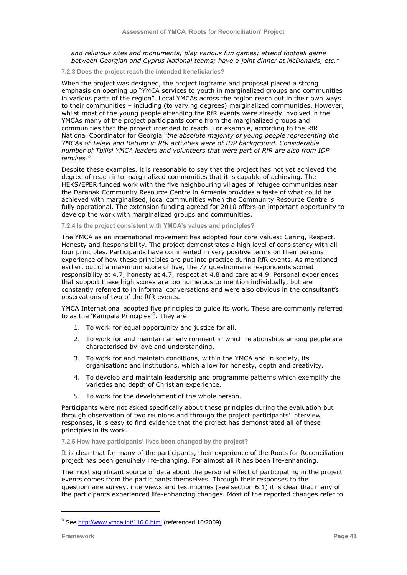*and religious sites and monuments; play various fun games; attend football game between Georgian and Cyprus National teams; have a joint dinner at McDonalds, etc."*

**7.2.3 Does the project reach the intended beneficiaries?**

When the project was designed, the project logframe and proposal placed a strong emphasis on opening up "YMCA services to youth in marginalized groups and communities in various parts of the region". Local YMCAs across the region reach out in their own ways to their communities – including (to varying degrees) marginalized communities. However, whilst most of the young people attending the RfR events were already involved in the YMCAs many of the project participants come from the marginalized groups and communities that the project intended to reach. For example, according to the RfR National Coordinator for Georgia "*the absolute majority of young people representing the YMCAs of Telavi and Batumi in RfR activities were of IDP background. Considerable number of Tbilisi YMCA leaders and volunteers that were part of RfR are also from IDP families."*

Despite these examples, it is reasonable to say that the project has not yet achieved the degree of reach into marginalized communities that it is capable of achieving. The HEKS/EPER funded work with the five neighbouring villages of refugee communities near the Daranak Community Resource Centre in Armenia provides a taste of what could be achieved with marginalised, local communities when the Community Resource Centre is fully operational. The extension funding agreed for 2010 offers an important opportunity to develop the work with marginalized groups and communities.

**7.2.4 Is the project consistent with YMCA's values and principles?**

The YMCA as an international movement has adopted four core values: Caring, Respect, Honesty and Responsibility. The project demonstrates a high level of consistency with all four principles. Participants have commented in very positive terms on their personal experience of how these principles are put into practice during RfR events. As mentioned earlier, out of a maximum score of five, the 77 questionnaire respondents scored responsibility at 4.7, honesty at 4.7, respect at 4.8 and care at 4.9. Personal experiences that support these high scores are too numerous to mention individually, but are constantly referred to in informal conversations and were also obvious in the consultant"s observations of two of the RfR events.

YMCA International adopted five principles to guide its work. These are commonly referred to as the `Kampala Principles'<sup>9</sup>. They are:

- 1. To work for equal opportunity and justice for all.
- 2. To work for and maintain an environment in which relationships among people are characterised by love and understanding.
- 3. To work for and maintain conditions, within the YMCA and in society, its organisations and institutions, which allow for honesty, depth and creativity.
- 4. To develop and maintain leadership and programme patterns which exemplify the varieties and depth of Christian experience.
- 5. To work for the development of the whole person.

Participants were not asked specifically about these principles during the evaluation but through observation of two reunions and through the project participants" interview responses, it is easy to find evidence that the project has demonstrated all of these principles in its work.

**7.2.5 How have participants' lives been changed by the project?**

It is clear that for many of the participants, their experience of the Roots for Reconciliation project has been genuinely life-changing. For almost all it has been life-enhancing.

The most significant source of data about the personal effect of participating in the project events comes from the participants themselves. Through their responses to the questionnaire survey, interviews and testimonies (see section 6.1) it is clear that many of the participants experienced life-enhancing changes. Most of the reported changes refer to

ł

<sup>&</sup>lt;sup>9</sup> See <u>http://www.ymca.int/116.0.html</u> (referenced 10/2009)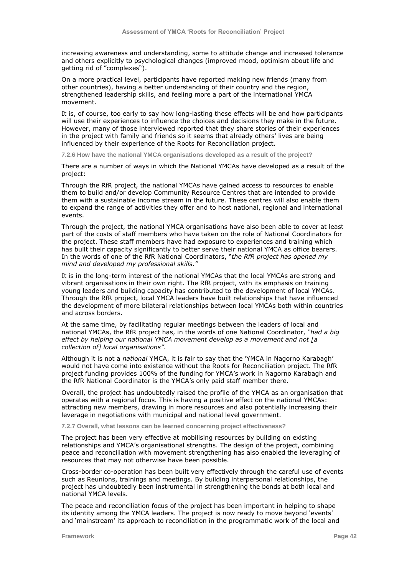increasing awareness and understanding, some to attitude change and increased tolerance and others explicitly to psychological changes (improved mood, optimism about life and getting rid of "complexes").

On a more practical level, participants have reported making new friends (many from other countries), having a better understanding of their country and the region, strengthened leadership skills, and feeling more a part of the international YMCA movement.

It is, of course, too early to say how long-lasting these effects will be and how participants will use their experiences to influence the choices and decisions they make in the future. However, many of those interviewed reported that they share stories of their experiences in the project with family and friends so it seems that already others' lives are being influenced by their experience of the Roots for Reconciliation project.

**7.2.6 How have the national YMCA organisations developed as a result of the project?**

There are a number of ways in which the National YMCAs have developed as a result of the project:

Through the RfR project, the national YMCAs have gained access to resources to enable them to build and/or develop Community Resource Centres that are intended to provide them with a sustainable income stream in the future. These centres will also enable them to expand the range of activities they offer and to host national, regional and international events.

Through the project, the national YMCA organisations have also been able to cover at least part of the costs of staff members who have taken on the role of National Coordinators for the project. These staff members have had exposure to experiences and training which has built their capacity significantly to better serve their national YMCA as office bearers. In the words of one of the RfR National Coordinators, "*the RfR project has opened my mind and developed my professional skills."*

It is in the long-term interest of the national YMCAs that the local YMCAs are strong and vibrant organisations in their own right. The RfR project, with its emphasis on training young leaders and building capacity has contributed to the development of local YMCAs. Through the RfR project, local YMCA leaders have built relationships that have influenced the development of more bilateral relationships between local YMCAs both within countries and across borders.

At the same time, by facilitating regular meetings between the leaders of local and national YMCAs, the RfR project has, in the words of one National Coordinator, *"had a big effect by helping our national YMCA movement develop as a movement and not [a collection of] local organisations"*.

Although it is not a *national* YMCA, it is fair to say that the "YMCA in Nagorno Karabagh" would not have come into existence without the Roots for Reconciliation project. The RfR project funding provides 100% of the funding for YMCA"s work in Nagorno Karabagh and the RfR National Coordinator is the YMCA"s only paid staff member there.

Overall, the project has undoubtedly raised the profile of the YMCA as an organisation that operates with a regional focus. This is having a positive effect on the national YMCAs: attracting new members, drawing in more resources and also potentially increasing their leverage in negotiations with municipal and national level government.

**7.2.7 Overall, what lessons can be learned concerning project effectiveness?**

The project has been very effective at mobilising resources by building on existing relationships and YMCA"s organisational strengths. The design of the project, combining peace and reconciliation with movement strengthening has also enabled the leveraging of resources that may not otherwise have been possible.

Cross-border co-operation has been built very effectively through the careful use of events such as Reunions, trainings and meetings. By building interpersonal relationships, the project has undoubtedly been instrumental in strengthening the bonds at both local and national YMCA levels.

The peace and reconciliation focus of the project has been important in helping to shape its identity among the YMCA leaders. The project is now ready to move beyond "events" and 'mainstream' its approach to reconciliation in the programmatic work of the local and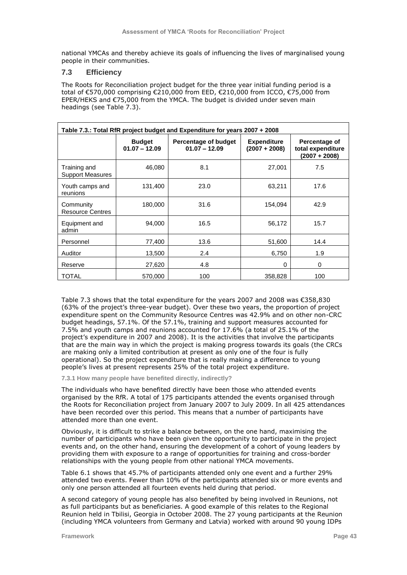national YMCAs and thereby achieve its goals of influencing the lives of marginalised young people in their communities.

# **7.3 Efficiency**

The Roots for Reconciliation project budget for the three year initial funding period is a total of €570,000 comprising €210,000 from EED, €210,000 from ICCO, €75,000 from EPER/HEKS and €75,000 from the YMCA. The budget is divided under seven main headings (see Table 7.3).

| Table 7.3.: Total RfR project budget and Expenditure for years 2007 + 2008 |                                  |                                         |                                                     |      |  |  |  |  |  |
|----------------------------------------------------------------------------|----------------------------------|-----------------------------------------|-----------------------------------------------------|------|--|--|--|--|--|
|                                                                            | <b>Budget</b><br>$01.07 - 12.09$ | Percentage of budget<br>$01.07 - 12.09$ | Percentage of<br>total expenditure<br>(2007 + 2008) |      |  |  |  |  |  |
| Training and<br><b>Support Measures</b>                                    | 46,080                           | 8.1                                     | 27,001                                              | 7.5  |  |  |  |  |  |
| Youth camps and<br>reunions                                                | 131,400                          | 23.0                                    | 63,211                                              | 17.6 |  |  |  |  |  |
| Community<br><b>Resource Centres</b>                                       | 180,000                          | 31.6                                    | 154,094                                             | 42.9 |  |  |  |  |  |
| Equipment and<br>admin                                                     | 94,000                           | 16.5                                    | 56,172                                              | 15.7 |  |  |  |  |  |
| Personnel                                                                  | 77,400                           | 13.6                                    | 51,600                                              | 14.4 |  |  |  |  |  |
| Auditor                                                                    | 13,500                           | 2.4                                     | 6,750                                               | 1.9  |  |  |  |  |  |
| Reserve                                                                    | 27,620                           | 4.8                                     | $\Omega$                                            | 0    |  |  |  |  |  |
| <b>TOTAL</b>                                                               | 570,000                          | 100                                     | 358,828                                             | 100  |  |  |  |  |  |

Table 7.3 shows that the total expenditure for the years 2007 and 2008 was €358,830 (63% of the project"s three-year budget). Over these two years, the proportion of project expenditure spent on the Community Resource Centres was 42.9% and on other non-CRC budget headings, 57.1%. Of the 57.1%, training and support measures accounted for 7.5% and youth camps and reunions accounted for 17.6% (a total of 25.1% of the project"s expenditure in 2007 and 2008). It is the activities that involve the participants that are the main way in which the project is making progress towards its goals (the CRCs are making only a limited contribution at present as only one of the four is fully operational). So the project expenditure that is really making a difference to young people"s lives at present represents 25% of the total project expenditure.

**7.3.1 How many people have benefited directly, indirectly?**

The individuals who have benefited directly have been those who attended events organised by the RfR. A total of 175 participants attended the events organised through the Roots for Reconciliation project from January 2007 to July 2009. In all 425 attendances have been recorded over this period. This means that a number of participants have attended more than one event.

Obviously, it is difficult to strike a balance between, on the one hand, maximising the number of participants who have been given the opportunity to participate in the project events and, on the other hand, ensuring the development of a cohort of young leaders by providing them with exposure to a range of opportunities for training and cross-border relationships with the young people from other national YMCA movements.

Table 6.1 shows that 45.7% of participants attended only one event and a further 29% attended two events. Fewer than 10% of the participants attended six or more events and only one person attended all fourteen events held during that period.

A second category of young people has also benefited by being involved in Reunions, not as full participants but as beneficiaries. A good example of this relates to the Regional Reunion held in Tbilisi, Georgia in October 2008. The 27 young participants at the Reunion (including YMCA volunteers from Germany and Latvia) worked with around 90 young IDPs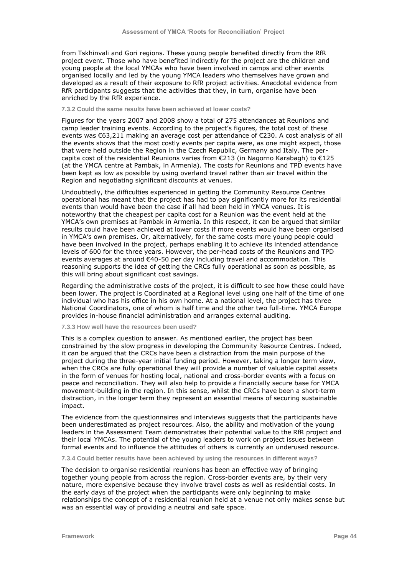from Tskhinvali and Gori regions. These young people benefited directly from the RfR project event. Those who have benefited indirectly for the project are the children and young people at the local YMCAs who have been involved in camps and other events organised locally and led by the young YMCA leaders who themselves have grown and developed as a result of their exposure to RfR project activities. Anecdotal evidence from RfR participants suggests that the activities that they, in turn, organise have been enriched by the RfR experience.

## **7.3.2 Could the same results have been achieved at lower costs?**

Figures for the years 2007 and 2008 show a total of 275 attendances at Reunions and camp leader training events. According to the project's figures, the total cost of these events was €63,211 making an average cost per attendance of €230. A cost analysis of all the events shows that the most costly events per capita were, as one might expect, those that were held outside the Region in the Czech Republic, Germany and Italy. The percapita cost of the residential Reunions varies from  $\epsilon$ 213 (in Nagorno Karabagh) to  $\epsilon$ 125 (at the YMCA centre at Pambak, in Armenia). The costs for Reunions and TPD events have been kept as low as possible by using overland travel rather than air travel within the Region and negotiating significant discounts at venues.

Undoubtedly, the difficulties experienced in getting the Community Resource Centres operational has meant that the project has had to pay significantly more for its residential events than would have been the case if all had been held in YMCA venues. It is noteworthy that the cheapest per capita cost for a Reunion was the event held at the YMCA"s own premises at Pambak in Armenia. In this respect, it can be argued that similar results could have been achieved at lower costs if more events would have been organised in YMCA"s own premises. Or, alternatively, for the same costs more young people could have been involved in the project, perhaps enabling it to achieve its intended attendance levels of 600 for the three years. However, the per-head costs of the Reunions and TPD events averages at around €40-50 per day including travel and accommodation. This reasoning supports the idea of getting the CRCs fully operational as soon as possible, as this will bring about significant cost savings.

Regarding the administrative costs of the project, it is difficult to see how these could have been lower. The project is Coordinated at a Regional level using one half of the time of one individual who has his office in his own home. At a national level, the project has three National Coordinators, one of whom is half time and the other two full-time. YMCA Europe provides in-house financial administration and arranges external auditing.

## **7.3.3 How well have the resources been used?**

This is a complex question to answer. As mentioned earlier, the project has been constrained by the slow progress in developing the Community Resource Centres. Indeed, it can be argued that the CRCs have been a distraction from the main purpose of the project during the three-year initial funding period. However, taking a longer term view, when the CRCs are fully operational they will provide a number of valuable capital assets in the form of venues for hosting local, national and cross-border events with a focus on peace and reconciliation. They will also help to provide a financially secure base for YMCA movement-building in the region. In this sense, whilst the CRCs have been a short-term distraction, in the longer term they represent an essential means of securing sustainable impact.

The evidence from the questionnaires and interviews suggests that the participants have been underestimated as project resources. Also, the ability and motivation of the young leaders in the Assessment Team demonstrates their potential value to the RfR project and their local YMCAs. The potential of the young leaders to work on project issues between formal events and to influence the attitudes of others is currently an underused resource.

#### **7.3.4 Could better results have been achieved by using the resources in different ways?**

The decision to organise residential reunions has been an effective way of bringing together young people from across the region. Cross-border events are, by their very nature, more expensive because they involve travel costs as well as residential costs. In the early days of the project when the participants were only beginning to make relationships the concept of a residential reunion held at a venue not only makes sense but was an essential way of providing a neutral and safe space.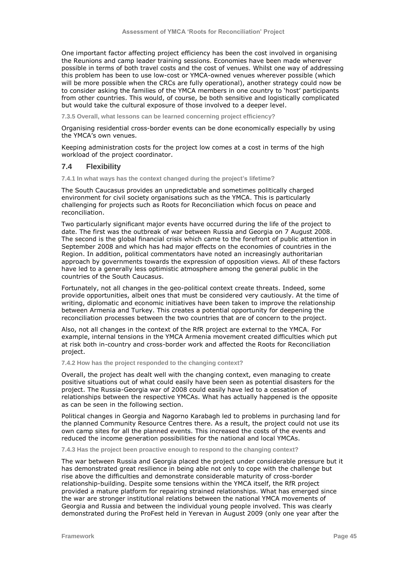One important factor affecting project efficiency has been the cost involved in organising the Reunions and camp leader training sessions. Economies have been made wherever possible in terms of both travel costs and the cost of venues. Whilst one way of addressing this problem has been to use low-cost or YMCA-owned venues wherever possible (which will be more possible when the CRCs are fully operational), another strategy could now be to consider asking the families of the YMCA members in one country to "host" participants from other countries. This would, of course, be both sensitive and logistically complicated but would take the cultural exposure of those involved to a deeper level.

**7.3.5 Overall, what lessons can be learned concerning project efficiency?**

Organising residential cross-border events can be done economically especially by using the YMCA"s own venues.

Keeping administration costs for the project low comes at a cost in terms of the high workload of the project coordinator.

#### **7.4 Flexibility**

**7.4.1 In what ways has the context changed during the project's lifetime?**

The South Caucasus provides an unpredictable and sometimes politically charged environment for civil society organisations such as the YMCA. This is particularly challenging for projects such as Roots for Reconciliation which focus on peace and reconciliation.

Two particularly significant major events have occurred during the life of the project to date. The first was the outbreak of war between Russia and Georgia on 7 August 2008. The second is the global financial crisis which came to the forefront of public attention in September 2008 and which has had major effects on the economies of countries in the Region. In addition, political commentators have noted an increasingly authoritarian approach by governments towards the expression of opposition views. All of these factors have led to a generally less optimistic atmosphere among the general public in the countries of the South Caucasus.

Fortunately, not all changes in the geo-political context create threats. Indeed, some provide opportunities, albeit ones that must be considered very cautiously. At the time of writing, diplomatic and economic initiatives have been taken to improve the relationship between Armenia and Turkey. This creates a potential opportunity for deepening the reconciliation processes between the two countries that are of concern to the project.

Also, not all changes in the context of the RfR project are external to the YMCA. For example, internal tensions in the YMCA Armenia movement created difficulties which put at risk both in-country and cross-border work and affected the Roots for Reconciliation project.

**7.4.2 How has the project responded to the changing context?**

Overall, the project has dealt well with the changing context, even managing to create positive situations out of what could easily have been seen as potential disasters for the project. The Russia-Georgia war of 2008 could easily have led to a cessation of relationships between the respective YMCAs. What has actually happened is the opposite as can be seen in the following section.

Political changes in Georgia and Nagorno Karabagh led to problems in purchasing land for the planned Community Resource Centres there. As a result, the project could not use its own camp sites for all the planned events. This increased the costs of the events and reduced the income generation possibilities for the national and local YMCAs.

**7.4.3 Has the project been proactive enough to respond to the changing context?**

The war between Russia and Georgia placed the project under considerable pressure but it has demonstrated great resilience in being able not only to cope with the challenge but rise above the difficulties and demonstrate considerable maturity of cross-border relationship-building. Despite some tensions within the YMCA itself, the RfR project provided a mature platform for repairing strained relationships. What has emerged since the war are stronger institutional relations between the national YMCA movements of Georgia and Russia and between the individual young people involved. This was clearly demonstrated during the ProFest held in Yerevan in August 2009 (only one year after the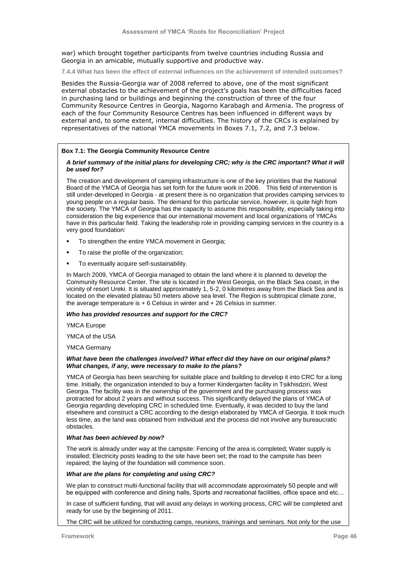war) which brought together participants from twelve countries including Russia and Georgia in an amicable, mutually supportive and productive way.

**7.4.4 What has been the effect of external influences on the achievement of intended outcomes?**

Besides the Russia-Georgia war of 2008 referred to above, one of the most significant external obstacles to the achievement of the project's goals has been the difficulties faced in purchasing land or buildings and beginning the construction of three of the four Community Resource Centres in Georgia, Nagorno Karabagh and Armenia. The progress of each of the four Community Resource Centres has been influenced in different ways by external and, to some extent, internal difficulties. The history of the CRCs is explained by representatives of the national YMCA movements in Boxes 7.1, 7.2, and 7.3 below.

#### **Box 7.1: The Georgia Community Resource Centre**

#### *A brief summary of the initial plans for developing CRC; why is the CRC important? What it will be used for?*

The creation and development of camping infrastructure is one of the key priorities that the National Board of the YMCA of Georgia has set forth for the future work in 2006. This field of intervention is still under-developed in Georgia - at present there is no organization that provides camping services to young people on a regular basis. The demand for this particular service, however, is quite high from the society. The YMCA of Georgia has the capacity to assume this responsibility, especially taking into consideration the big experience that our international movement and local organizations of YMCAs have in this particular field. Taking the leadership role in providing camping services in the country is a very good foundation:

- To strengthen the entire YMCA movement in Georgia;
- To raise the profile of the organization;
- To eventually acquire self-sustainability.

In March 2009, YMCA of Georgia managed to obtain the land where it is planned to develop the Community Resource Center. The site is located in the West Georgia, on the Black Sea coast, in the vicinity of resort Ureki. It is situated approximately 1, 5-2, 0 kilometres away from the Black Sea and is located on the elevated plateau 50 meters above sea level. The Region is subtropical climate zone, the average temperature is  $+ 6$  Celsius in winter and  $+ 26$  Celsius in summer.

#### *Who has provided resources and support for the CRC?*

YMCA Europe

YMCA of the USA

YMCA Germany

#### *What have been the challenges involved? What effect did they have on our original plans? What changes, if any, were necessary to make to the plans?*

YMCA of Georgia has been searching for suitable place and building to develop it into CRC for a long time. Initially, the organization intended to buy a former Kindergarten facility in Tsikhisdziri, West Georgia. The facility was in the ownership of the government and the purchasing process was protracted for about 2 years and without success. This significantly delayed the plans of YMCA of Georgia regarding developing CRC in scheduled time. Eventually, it was decided to buy the land elsewhere and construct a CRC according to the design elaborated by YMCA of Georgia. It took much less time, as the land was obtained from individual and the process did not involve any bureaucratic obstacles.

#### *What has been achieved by now?*

The work is already under way at the campsite: Fencing of the area is completed; Water supply is installed; Electricity posts leading to the site have been set; the road to the campsite has been repaired; the laying of the foundation will commence soon.

#### *What are the plans for completing and using CRC?*

We plan to construct multi-functional facility that will accommodate approximately 50 people and will be equipped with conference and dining halls, Sports and recreational facilities, office space and etc…

In case of sufficient funding, that will avoid any delays in working process, CRC will be completed and ready for use by the beginning of 2011.

The CRC will be utilized for conducting camps, reunions, trainings and seminars. Not only for the use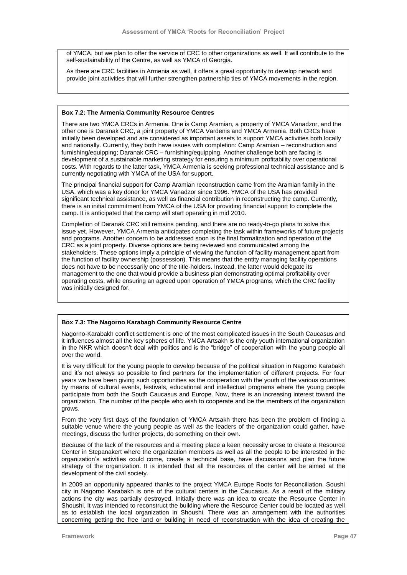of YMCA, but we plan to offer the service of CRC to other organizations as well. It will contribute to the self-sustainability of the Centre, as well as YMCA of Georgia.

As there are CRC facilities in Armenia as well, it offers a great opportunity to develop network and provide joint activities that will further strengthen partnership ties of YMCA movements in the region.

#### **Box 7.2: The Armenia Community Resource Centres**

There are two YMCA CRCs in Armenia. One is Camp Aramian, a property of YMCA Vanadzor, and the other one is Daranak CRC, a joint property of YMCA Vardenis and YMCA Armenia. Both CRCs have initially been developed and are considered as important assets to support YMCA activities both locally and nationally. Currently, they both have issues with completion: Camp Aramian – reconstruction and furnishing/equipping; Daranak CRC – furnishing/equipping. Another challenge both are facing is development of a sustainable marketing strategy for ensuring a minimum profitability over operational costs. With regards to the latter task, YMCA Armenia is seeking professional technical assistance and is currently negotiating with YMCA of the USA for support.

The principal financial support for Camp Aramian reconstruction came from the Aramian family in the USA, which was a key donor for YMCA Vanadzor since 1996. YMCA of the USA has provided significant technical assistance, as well as financial contribution in reconstructing the camp. Currently, there is an initial commitment from YMCA of the USA for providing financial support to complete the camp. It is anticipated that the camp will start operating in mid 2010.

Completion of Daranak CRC still remains pending, and there are no ready-to-go plans to solve this issue yet. However, YMCA Armenia anticipates completing the task within frameworks of future projects and programs. Another concern to be addressed soon is the final formalization and operation of the CRC as a joint property. Diverse options are being reviewed and communicated among the stakeholders. These options imply a principle of viewing the function of facility management apart from the function of facility ownership (possession). This means that the entity managing facility operations does not have to be necessarily one of the title-holders. Instead, the latter would delegate its management to the one that would provide a business plan demonstrating optimal profitability over operating costs, while ensuring an agreed upon operation of YMCA programs, which the CRC facility was initially designed for.

#### **Box 7.3: The Nagorno Karabagh Community Resource Centre**

Nagorno-Karabakh conflict settlement is one of the most complicated issues in the South Caucasus and it influences almost all the key spheres of life. YMCA Artsakh is the only youth international organization in the NKR which doesn"t deal with politics and is the "bridge" of cooperation with the young people all over the world.

It is very difficult for the young people to develop because of the political situation in Nagorno Karabakh and it"s not always so possible to find partners for the implementation of different projects. For four years we have been giving such opportunities as the cooperation with the youth of the various countries by means of cultural events, festivals, educational and intellectual programs where the young people participate from both the South Caucasus and Europe. Now, there is an increasing interest toward the organization. The number of the people who wish to cooperate and be the members of the organization grows.

From the very first days of the foundation of YMCA Artsakh there has been the problem of finding a suitable venue where the young people as well as the leaders of the organization could gather, have meetings, discuss the further projects, do something on their own.

Because of the lack of the resources and a meeting place a keen necessity arose to create a Resource Center in Stepanakert where the organization members as well as all the people to be interested in the organization"s activities could come, create a technical base, have discussions and plan the future strategy of the organization. It is intended that all the resources of the center will be aimed at the development of the civil society.

In 2009 an opportunity appeared thanks to the project YMCA Europe Roots for Reconciliation. Soushi city in Nagorno Karabakh is one of the cultural centers in the Caucasus. As a result of the military actions the city was partially destroyed. Initially there was an idea to create the Resource Center in Shoushi. It was intended to reconstruct the building where the Resource Center could be located as well as to establish the local organization in Shoushi. There was an arrangement with the authorities concerning getting the free land or building in need of reconstruction with the idea of creating the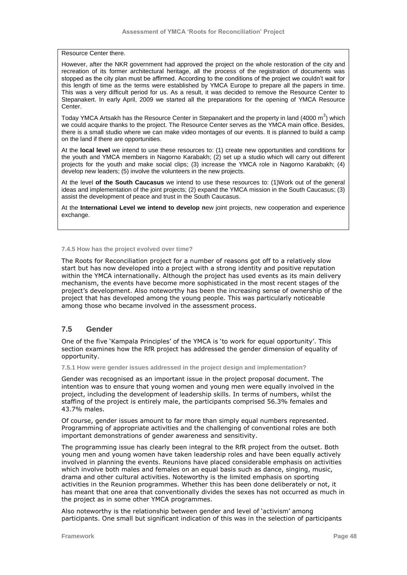Resource Center there.

However, after the NKR government had approved the project on the whole restoration of the city and recreation of its former architectural heritage, all the process of the registration of documents was stopped as the city plan must be affirmed. According to the conditions of the project we couldn"t wait for this length of time as the terms were established by YMCA Europe to prepare all the papers in time. This was a very difficult period for us. As a result, it was decided to remove the Resource Center to Stepanakert. In early April, 2009 we started all the preparations for the opening of YMCA Resource Center.

Today YMCA Artsakh has the Resource Center in Stepanakert and the property in land (4000 m<sup>2</sup>) which we could acquire thanks to the project. The Resource Center serves as the YMCA main office. Besides, there is a small studio where we can make video montages of our events. It is planned to build a camp on the land if there are opportunities.

At the **local level** we intend to use these resources to: (1) create new opportunities and conditions for the youth and YMCA members in Nagorno Karabakh; (2) set up a studio which will carry out different projects for the youth and make social clips; (3) increase the YMCA role in Nagorno Karabakh; (4) develop new leaders; (5) involve the volunteers in the new projects.

At the level **of the South Caucasus** we intend to use these resources to: (1)Work out of the general ideas and implementation of the joint projects; (2) expand the YMCA mission in the South Caucasus; (3) assist the development of peace and trust in the South Caucasus.

At the **International Level we intend to develop n**ew joint projects, new cooperation and experience exchange.

#### **7.4.5 How has the project evolved over time?**

The Roots for Reconciliation project for a number of reasons got off to a relatively slow start but has now developed into a project with a strong identity and positive reputation within the YMCA internationally. Although the project has used events as its main delivery mechanism, the events have become more sophisticated in the most recent stages of the project"s development. Also noteworthy has been the increasing sense of ownership of the project that has developed among the young people. This was particularly noticeable among those who became involved in the assessment process.

# **7.5 Gender**

One of the five "Kampala Principles" of the YMCA is "to work for equal opportunity". This section examines how the RfR project has addressed the gender dimension of equality of opportunity.

**7.5.1 How were gender issues addressed in the project design and implementation?**

Gender was recognised as an important issue in the project proposal document. The intention was to ensure that young women and young men were equally involved in the project, including the development of leadership skills. In terms of numbers, whilst the staffing of the project is entirely male, the participants comprised 56.3% females and 43.7% males.

Of course, gender issues amount to far more than simply equal numbers represented. Programming of appropriate activities and the challenging of conventional roles are both important demonstrations of gender awareness and sensitivity.

The programming issue has clearly been integral to the RfR project from the outset. Both young men and young women have taken leadership roles and have been equally actively involved in planning the events. Reunions have placed considerable emphasis on activities which involve both males and females on an equal basis such as dance, singing, music, drama and other cultural activities. Noteworthy is the limited emphasis on sporting activities in the Reunion programmes. Whether this has been done deliberately or not, it has meant that one area that conventionally divides the sexes has not occurred as much in the project as in some other YMCA programmes.

Also noteworthy is the relationship between gender and level of "activism" among participants. One small but significant indication of this was in the selection of participants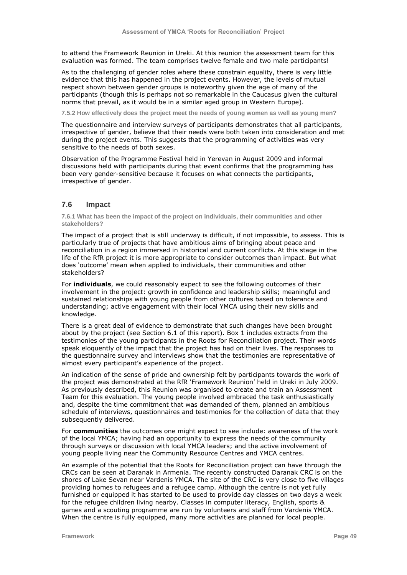to attend the Framework Reunion in Ureki. At this reunion the assessment team for this evaluation was formed. The team comprises twelve female and two male participants!

As to the challenging of gender roles where these constrain equality, there is very little evidence that this has happened in the project events. However, the levels of mutual respect shown between gender groups is noteworthy given the age of many of the participants (though this is perhaps not so remarkable in the Caucasus given the cultural norms that prevail, as it would be in a similar aged group in Western Europe).

**7.5.2 How effectively does the project meet the needs of young women as well as young men?**

The questionnaire and interview surveys of participants demonstrates that all participants, irrespective of gender, believe that their needs were both taken into consideration and met during the project events. This suggests that the programming of activities was very sensitive to the needs of both sexes.

Observation of the Programme Festival held in Yerevan in August 2009 and informal discussions held with participants during that event confirms that the programming has been very gender-sensitive because it focuses on what connects the participants, irrespective of gender.

# **7.6 Impact**

**7.6.1 What has been the impact of the project on individuals, their communities and other stakeholders?**

The impact of a project that is still underway is difficult, if not impossible, to assess. This is particularly true of projects that have ambitious aims of bringing about peace and reconciliation in a region immersed in historical and current conflicts. At this stage in the life of the RfR project it is more appropriate to consider outcomes than impact. But what does "outcome" mean when applied to individuals, their communities and other stakeholders?

For **individuals**, we could reasonably expect to see the following outcomes of their involvement in the project: growth in confidence and leadership skills; meaningful and sustained relationships with young people from other cultures based on tolerance and understanding; active engagement with their local YMCA using their new skills and knowledge.

There is a great deal of evidence to demonstrate that such changes have been brought about by the project (see Section 6.1 of this report). Box 1 includes extracts from the testimonies of the young participants in the Roots for Reconciliation project. Their words speak eloquently of the impact that the project has had on their lives. The responses to the questionnaire survey and interviews show that the testimonies are representative of almost every participant"s experience of the project.

An indication of the sense of pride and ownership felt by participants towards the work of the project was demonstrated at the RfR "Framework Reunion" held in Ureki in July 2009. As previously described, this Reunion was organised to create and train an Assessment Team for this evaluation. The young people involved embraced the task enthusiastically and, despite the time commitment that was demanded of them, planned an ambitious schedule of interviews, questionnaires and testimonies for the collection of data that they subsequently delivered.

For **communities** the outcomes one might expect to see include: awareness of the work of the local YMCA; having had an opportunity to express the needs of the community through surveys or discussion with local YMCA leaders; and the active involvement of young people living near the Community Resource Centres and YMCA centres.

An example of the potential that the Roots for Reconciliation project can have through the CRCs can be seen at Daranak in Armenia. The recently constructed Daranak CRC is on the shores of Lake Sevan near Vardenis YMCA. The site of the CRC is very close to five villages providing homes to refugees and a refugee camp. Although the centre is not yet fully furnished or equipped it has started to be used to provide day classes on two days a week for the refugee children living nearby. Classes in computer literacy, English, sports & games and a scouting programme are run by volunteers and staff from Vardenis YMCA. When the centre is fully equipped, many more activities are planned for local people.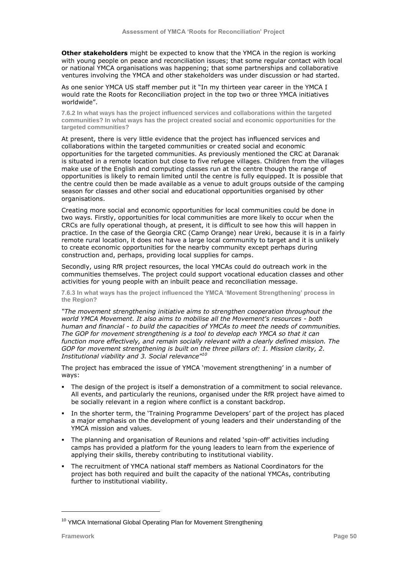**Other stakeholders** might be expected to know that the YMCA in the region is working with young people on peace and reconciliation issues; that some regular contact with local or national YMCA organisations was happening; that some partnerships and collaborative ventures involving the YMCA and other stakeholders was under discussion or had started.

As one senior YMCA US staff member put it "In my thirteen year career in the YMCA I would rate the Roots for Reconciliation project in the top two or three YMCA initiatives worldwide".

**7.6.2 In what ways has the project influenced services and collaborations within the targeted communities? In what ways has the project created social and economic opportunities for the targeted communities?**

At present, there is very little evidence that the project has influenced services and collaborations within the targeted communities or created social and economic opportunities for the targeted communities. As previously mentioned the CRC at Daranak is situated in a remote location but close to five refugee villages. Children from the villages make use of the English and computing classes run at the centre though the range of opportunities is likely to remain limited until the centre is fully equipped. It is possible that the centre could then be made available as a venue to adult groups outside of the camping season for classes and other social and educational opportunities organised by other organisations.

Creating more social and economic opportunities for local communities could be done in two ways. Firstly, opportunities for local communities are more likely to occur when the CRCs are fully operational though, at present, it is difficult to see how this will happen in practice. In the case of the Georgia CRC (Camp Orange) near Ureki, because it is in a fairly remote rural location, it does not have a large local community to target and it is unlikely to create economic opportunities for the nearby community except perhaps during construction and, perhaps, providing local supplies for camps.

Secondly, using RfR project resources, the local YMCAs could do outreach work in the communities themselves. The project could support vocational education classes and other activities for young people with an inbuilt peace and reconciliation message.

**7.6.3 In what ways has the project influenced the YMCA 'Movement Strengthening' process in the Region?**

*"The movement strengthening initiative aims to strengthen cooperation throughout the world YMCA Movement. It also aims to mobilise all the Movement's resources - both human and financial - to build the capacities of YMCAs to meet the needs of communities. The GOP for movement strengthening is a tool to develop each YMCA so that it can function more effectively, and remain socially relevant with a clearly defined mission. The GOP for movement strengthening is built on the three pillars of: 1. Mission clarity, 2. Institutional viability and 3. Social relevance"<sup>10</sup>*

The project has embraced the issue of YMCA "movement strengthening" in a number of ways:

- The design of the project is itself a demonstration of a commitment to social relevance. All events, and particularly the reunions, organised under the RfR project have aimed to be socially relevant in a region where conflict is a constant backdrop.
- In the shorter term, the "Training Programme Developers" part of the project has placed a major emphasis on the development of young leaders and their understanding of the YMCA mission and values.
- The planning and organisation of Reunions and related "spin-off" activities including camps has provided a platform for the young leaders to learn from the experience of applying their skills, thereby contributing to institutional viability.
- The recruitment of YMCA national staff members as National Coordinators for the project has both required and built the capacity of the national YMCAs, contributing further to institutional viability.

ł

<sup>&</sup>lt;sup>10</sup> YMCA International Global Operating Plan for Movement Strengthening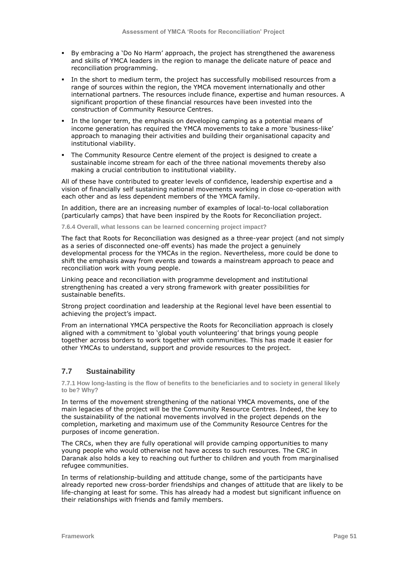- By embracing a 'Do No Harm' approach, the project has strengthened the awareness and skills of YMCA leaders in the region to manage the delicate nature of peace and reconciliation programming.
- In the short to medium term, the project has successfully mobilised resources from a range of sources within the region, the YMCA movement internationally and other international partners. The resources include finance, expertise and human resources. A significant proportion of these financial resources have been invested into the construction of Community Resource Centres.
- In the longer term, the emphasis on developing camping as a potential means of income generation has required the YMCA movements to take a more "business-like" approach to managing their activities and building their organisational capacity and institutional viability.
- The Community Resource Centre element of the project is designed to create a sustainable income stream for each of the three national movements thereby also making a crucial contribution to institutional viability.

All of these have contributed to greater levels of confidence, leadership expertise and a vision of financially self sustaining national movements working in close co-operation with each other and as less dependent members of the YMCA family.

In addition, there are an increasing number of examples of local-to-local collaboration (particularly camps) that have been inspired by the Roots for Reconciliation project.

**7.6.4 Overall, what lessons can be learned concerning project impact?**

The fact that Roots for Reconciliation was designed as a three-year project (and not simply as a series of disconnected one-off events) has made the project a genuinely developmental process for the YMCAs in the region. Nevertheless, more could be done to shift the emphasis away from events and towards a mainstream approach to peace and reconciliation work with young people.

Linking peace and reconciliation with programme development and institutional strengthening has created a very strong framework with greater possibilities for sustainable benefits.

Strong project coordination and leadership at the Regional level have been essential to achieving the project's impact.

From an international YMCA perspective the Roots for Reconciliation approach is closely aligned with a commitment to 'global youth volunteering' that brings young people together across borders to work together with communities. This has made it easier for other YMCAs to understand, support and provide resources to the project.

# **7.7 Sustainability**

**7.7.1 How long-lasting is the flow of benefits to the beneficiaries and to society in general likely to be? Why?**

In terms of the movement strengthening of the national YMCA movements, one of the main legacies of the project will be the Community Resource Centres. Indeed, the key to the sustainability of the national movements involved in the project depends on the completion, marketing and maximum use of the Community Resource Centres for the purposes of income generation.

The CRCs, when they are fully operational will provide camping opportunities to many young people who would otherwise not have access to such resources. The CRC in Daranak also holds a key to reaching out further to children and youth from marginalised refugee communities.

In terms of relationship-building and attitude change, some of the participants have already reported new cross-border friendships and changes of attitude that are likely to be life-changing at least for some. This has already had a modest but significant influence on their relationships with friends and family members.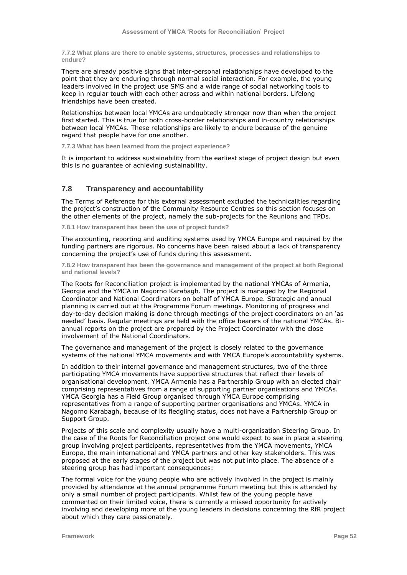**7.7.2 What plans are there to enable systems, structures, processes and relationships to endure?**

There are already positive signs that inter-personal relationships have developed to the point that they are enduring through normal social interaction. For example, the young leaders involved in the project use SMS and a wide range of social networking tools to keep in regular touch with each other across and within national borders. Lifelong friendships have been created.

Relationships between local YMCAs are undoubtedly stronger now than when the project first started. This is true for both cross-border relationships and in-country relationships between local YMCAs. These relationships are likely to endure because of the genuine regard that people have for one another.

**7.7.3 What has been learned from the project experience?**

It is important to address sustainability from the earliest stage of project design but even this is no guarantee of achieving sustainability.

## **7.8 Transparency and accountability**

The Terms of Reference for this external assessment excluded the technicalities regarding the project"s construction of the Community Resource Centres so this section focuses on the other elements of the project, namely the sub-projects for the Reunions and TPDs.

**7.8.1 How transparent has been the use of project funds?**

The accounting, reporting and auditing systems used by YMCA Europe and required by the funding partners are rigorous. No concerns have been raised about a lack of transparency concerning the project"s use of funds during this assessment.

**7.8.2 How transparent has been the governance and management of the project at both Regional and national levels?**

The Roots for Reconciliation project is implemented by the national YMCAs of Armenia, Georgia and the YMCA in Nagorno Karabagh. The project is managed by the Regional Coordinator and National Coordinators on behalf of YMCA Europe. Strategic and annual planning is carried out at the Programme Forum meetings. Monitoring of progress and day-to-day decision making is done through meetings of the project coordinators on an "as needed" basis. Regular meetings are held with the office bearers of the national YMCAs. Biannual reports on the project are prepared by the Project Coordinator with the close involvement of the National Coordinators.

The governance and management of the project is closely related to the governance systems of the national YMCA movements and with YMCA Europe's accountability systems.

In addition to their internal governance and management structures, two of the three participating YMCA movements have supportive structures that reflect their levels of organisational development. YMCA Armenia has a Partnership Group with an elected chair comprising representatives from a range of supporting partner organisations and YMCAs. YMCA Georgia has a Field Group organised through YMCA Europe comprising representatives from a range of supporting partner organisations and YMCAs. YMCA in Nagorno Karabagh, because of its fledgling status, does not have a Partnership Group or Support Group.

Projects of this scale and complexity usually have a multi-organisation Steering Group. In the case of the Roots for Reconciliation project one would expect to see in place a steering group involving project participants, representatives from the YMCA movements, YMCA Europe, the main international and YMCA partners and other key stakeholders. This was proposed at the early stages of the project but was not put into place. The absence of a steering group has had important consequences:

The formal voice for the young people who are actively involved in the project is mainly provided by attendance at the annual programme Forum meeting but this is attended by only a small number of project participants. Whilst few of the young people have commented on their limited voice, there is currently a missed opportunity for actively involving and developing more of the young leaders in decisions concerning the RfR project about which they care passionately.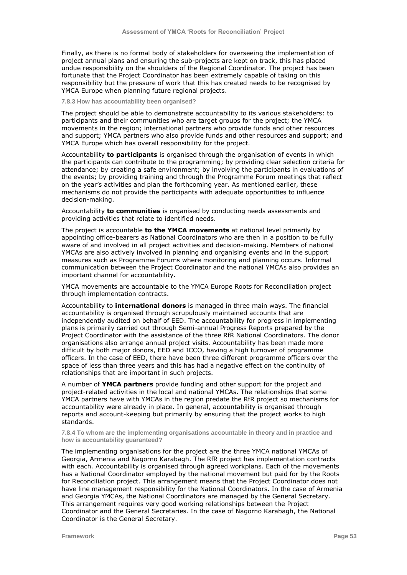Finally, as there is no formal body of stakeholders for overseeing the implementation of project annual plans and ensuring the sub-projects are kept on track, this has placed undue responsibility on the shoulders of the Regional Coordinator. The project has been fortunate that the Project Coordinator has been extremely capable of taking on this responsibility but the pressure of work that this has created needs to be recognised by YMCA Europe when planning future regional projects.

**7.8.3 How has accountability been organised?** 

The project should be able to demonstrate accountability to its various stakeholders: to participants and their communities who are target groups for the project; the YMCA movements in the region; international partners who provide funds and other resources and support; YMCA partners who also provide funds and other resources and support; and YMCA Europe which has overall responsibility for the project.

Accountability **to participants** is organised through the organisation of events in which the participants can contribute to the programming; by providing clear selection criteria for attendance; by creating a safe environment; by involving the participants in evaluations of the events; by providing training and through the Programme Forum meetings that reflect on the year's activities and plan the forthcoming year. As mentioned earlier, these mechanisms do not provide the participants with adequate opportunities to influence decision-making.

Accountability **to communities** is organised by conducting needs assessments and providing activities that relate to identified needs.

The project is accountable **to the YMCA movements** at national level primarily by appointing office-bearers as National Coordinators who are then in a position to be fully aware of and involved in all project activities and decision-making. Members of national YMCAs are also actively involved in planning and organising events and in the support measures such as Programme Forums where monitoring and planning occurs. Informal communication between the Project Coordinator and the national YMCAs also provides an important channel for accountability.

YMCA movements are accountable to the YMCA Europe Roots for Reconciliation project through implementation contracts.

Accountability to **international donors** is managed in three main ways. The financial accountability is organised through scrupulously maintained accounts that are independently audited on behalf of EED. The accountability for progress in implementing plans is primarily carried out through Semi-annual Progress Reports prepared by the Project Coordinator with the assistance of the three RfR National Coordinators. The donor organisations also arrange annual project visits. Accountability has been made more difficult by both major donors, EED and ICCO, having a high turnover of programme officers. In the case of EED, there have been three different programme officers over the space of less than three years and this has had a negative effect on the continuity of relationships that are important in such projects.

A number of **YMCA partners** provide funding and other support for the project and project-related activities in the local and national YMCAs. The relationships that some YMCA partners have with YMCAs in the region predate the RfR project so mechanisms for accountability were already in place. In general, accountability is organised through reports and account-keeping but primarily by ensuring that the project works to high standards.

**7.8.4 To whom are the implementing organisations accountable in theory and in practice and how is accountability guaranteed?**

The implementing organisations for the project are the three YMCA national YMCAs of Georgia, Armenia and Nagorno Karabagh. The RfR project has implementation contracts with each. Accountability is organised through agreed workplans. Each of the movements has a National Coordinator employed by the national movement but paid for by the Roots for Reconciliation project. This arrangement means that the Project Coordinator does not have line management responsibility for the National Coordinators. In the case of Armenia and Georgia YMCAs, the National Coordinators are managed by the General Secretary. This arrangement requires very good working relationships between the Project Coordinator and the General Secretaries. In the case of Nagorno Karabagh, the National Coordinator is the General Secretary.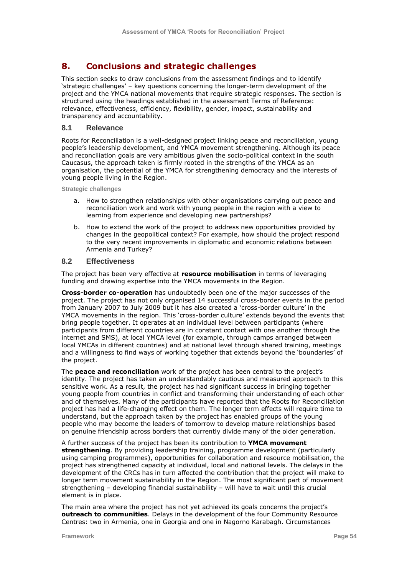# **8. Conclusions and strategic challenges**

This section seeks to draw conclusions from the assessment findings and to identify "strategic challenges" – key questions concerning the longer-term development of the project and the YMCA national movements that require strategic responses. The section is structured using the headings established in the assessment Terms of Reference: relevance, effectiveness, efficiency, flexibility, gender, impact, sustainability and transparency and accountability.

# **8.1 Relevance**

Roots for Reconciliation is a well-designed project linking peace and reconciliation, young people"s leadership development, and YMCA movement strengthening. Although its peace and reconciliation goals are very ambitious given the socio-political context in the south Caucasus, the approach taken is firmly rooted in the strengths of the YMCA as an organisation, the potential of the YMCA for strengthening democracy and the interests of young people living in the Region.

**Strategic challenges**

- a. How to strengthen relationships with other organisations carrying out peace and reconciliation work and work with young people in the region with a view to learning from experience and developing new partnerships?
- b. How to extend the work of the project to address new opportunities provided by changes in the geopolitical context? For example, how should the project respond to the very recent improvements in diplomatic and economic relations between Armenia and Turkey?

#### **8.2 Effectiveness**

The project has been very effective at **resource mobilisation** in terms of leveraging funding and drawing expertise into the YMCA movements in the Region.

**Cross-border co-operation** has undoubtedly been one of the major successes of the project. The project has not only organised 14 successful cross-border events in the period from January 2007 to July 2009 but it has also created a 'cross-border culture' in the YMCA movements in the region. This 'cross-border culture' extends beyond the events that bring people together. It operates at an individual level between participants (where participants from different countries are in constant contact with one another through the internet and SMS), at local YMCA level (for example, through camps arranged between local YMCAs in different countries) and at national level through shared training, meetings and a willingness to find ways of working together that extends beyond the "boundaries" of the project.

The **peace and reconciliation** work of the project has been central to the project"s identity. The project has taken an understandably cautious and measured approach to this sensitive work. As a result, the project has had significant success in bringing together young people from countries in conflict and transforming their understanding of each other and of themselves. Many of the participants have reported that the Roots for Reconciliation project has had a life-changing effect on them. The longer term effects will require time to understand, but the approach taken by the project has enabled groups of the young people who may become the leaders of tomorrow to develop mature relationships based on genuine friendship across borders that currently divide many of the older generation.

#### A further success of the project has been its contribution to **YMCA movement**

**strengthening**. By providing leadership training, programme development (particularly using camping programmes), opportunities for collaboration and resource mobilisation, the project has strengthened capacity at individual, local and national levels. The delays in the development of the CRCs has in turn affected the contribution that the project will make to longer term movement sustainability in the Region. The most significant part of movement strengthening – developing financial sustainability – will have to wait until this crucial element is in place.

The main area where the project has not yet achieved its goals concerns the project's **outreach to communities**. Delays in the development of the four Community Resource Centres: two in Armenia, one in Georgia and one in Nagorno Karabagh. Circumstances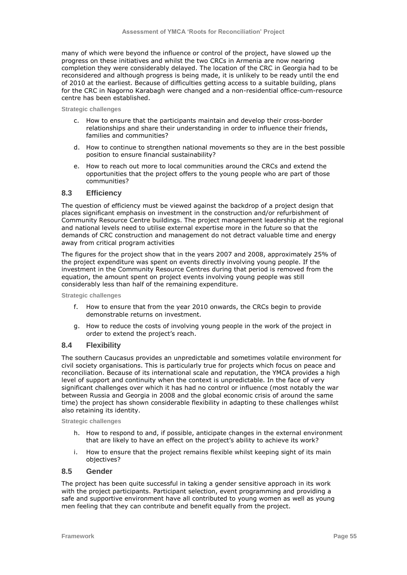many of which were beyond the influence or control of the project, have slowed up the progress on these initiatives and whilst the two CRCs in Armenia are now nearing completion they were considerably delayed. The location of the CRC in Georgia had to be reconsidered and although progress is being made, it is unlikely to be ready until the end of 2010 at the earliest. Because of difficulties getting access to a suitable building, plans for the CRC in Nagorno Karabagh were changed and a non-residential office-cum-resource centre has been established.

**Strategic challenges**

- c. How to ensure that the participants maintain and develop their cross-border relationships and share their understanding in order to influence their friends, families and communities?
- d. How to continue to strengthen national movements so they are in the best possible position to ensure financial sustainability?
- e. How to reach out more to local communities around the CRCs and extend the opportunities that the project offers to the young people who are part of those communities?

## **8.3 Efficiency**

The question of efficiency must be viewed against the backdrop of a project design that places significant emphasis on investment in the construction and/or refurbishment of Community Resource Centre buildings. The project management leadership at the regional and national levels need to utilise external expertise more in the future so that the demands of CRC construction and management do not detract valuable time and energy away from critical program activities

The figures for the project show that in the years 2007 and 2008, approximately 25% of the project expenditure was spent on events directly involving young people. If the investment in the Community Resource Centres during that period is removed from the equation, the amount spent on project events involving young people was still considerably less than half of the remaining expenditure.

**Strategic challenges**

- f. How to ensure that from the year 2010 onwards, the CRCs begin to provide demonstrable returns on investment.
- g. How to reduce the costs of involving young people in the work of the project in order to extend the project's reach.

## **8.4 Flexibility**

The southern Caucasus provides an unpredictable and sometimes volatile environment for civil society organisations. This is particularly true for projects which focus on peace and reconciliation. Because of its international scale and reputation, the YMCA provides a high level of support and continuity when the context is unpredictable. In the face of very significant challenges over which it has had no control or influence (most notably the war between Russia and Georgia in 2008 and the global economic crisis of around the same time) the project has shown considerable flexibility in adapting to these challenges whilst also retaining its identity.

**Strategic challenges**

- h. How to respond to and, if possible, anticipate changes in the external environment that are likely to have an effect on the project"s ability to achieve its work?
- i. How to ensure that the project remains flexible whilst keeping sight of its main objectives?

## **8.5 Gender**

The project has been quite successful in taking a gender sensitive approach in its work with the project participants. Participant selection, event programming and providing a safe and supportive environment have all contributed to young women as well as young men feeling that they can contribute and benefit equally from the project.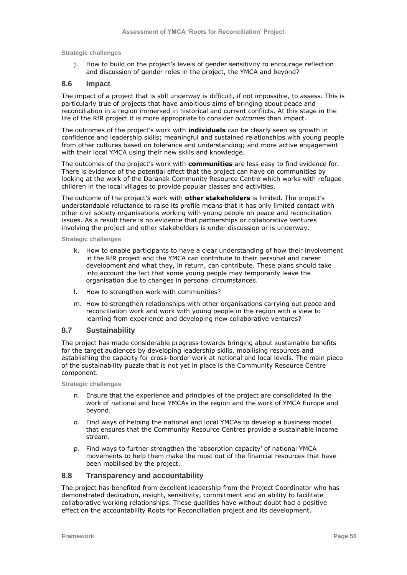**Strategic challenges**

j. How to build on the project's levels of gender sensitivity to encourage reflection and discussion of gender roles in the project, the YMCA and beyond?

# **8.6 Impact**

The impact of a project that is still underway is difficult, if not impossible, to assess. This is particularly true of projects that have ambitious aims of bringing about peace and reconciliation in a region immersed in historical and current conflicts. At this stage in the life of the RfR project it is more appropriate to consider *outcomes* than impact.

The outcomes of the project"s work with **individuals** can be clearly seen as growth in confidence and leadership skills; meaningful and sustained relationships with young people from other cultures based on tolerance and understanding; and more active engagement with their local YMCA using their new skills and knowledge.

The outcomes of the project"s work with **communities** are less easy to find evidence for. There is evidence of the potential effect that the project can have on communities by looking at the work of the Daranak Community Resource Centre which works with refugee children in the local villages to provide popular classes and activities.

The outcome of the project"s work with **other stakeholders** is limited. The project"s understandable reluctance to raise its profile means that it has only limited contact with other civil society organisations working with young people on peace and reconciliation issues. As a result there is no evidence that partnerships or collaborative ventures involving the project and other stakeholders is under discussion or is underway.

**Strategic challenges**

- k. How to enable participants to have a clear understanding of how their involvement in the RfR project and the YMCA can contribute to their personal and career development and what they, in return, can contribute. These plans should take into account the fact that some young people may temporarily leave the organisation due to changes in personal circumstances.
- l. How to strengthen work with communities?
- m. How to strengthen relationships with other organisations carrying out peace and reconciliation work and work with young people in the region with a view to learning from experience and developing new collaborative ventures?

# **8.7 Sustainability**

The project has made considerable progress towards bringing about sustainable benefits for the target audiences by developing leadership skills, mobilising resources and establishing the capacity for cross-border work at national and local levels. The main piece of the sustainability puzzle that is not yet in place is the Community Resource Centre component.

**Strategic challenges**

- n. Ensure that the experience and principles of the project are consolidated in the work of national and local YMCAs in the region and the work of YMCA Europe and beyond.
- o. Find ways of helping the national and local YMCAs to develop a business model that ensures that the Community Resource Centres provide a sustainable income stream.
- p. Find ways to further strengthen the "absorption capacity" of national YMCA movements to help them make the most out of the financial resources that have been mobilised by the project.

# **8.8 Transparency and accountability**

The project has benefited from excellent leadership from the Project Coordinator who has demonstrated dedication, insight, sensitivity, commitment and an ability to facilitate collaborative working relationships. These qualities have without doubt had a positive effect on the accountability Roots for Reconciliation project and its development.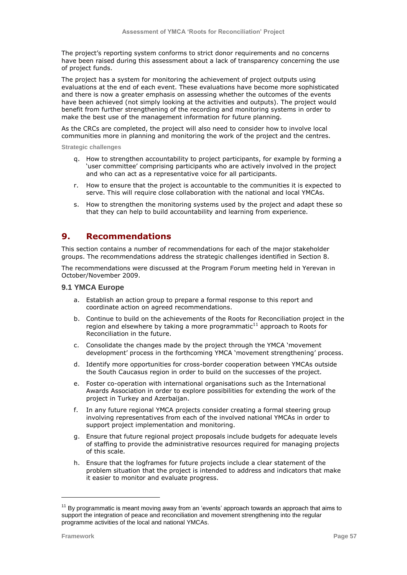The project's reporting system conforms to strict donor requirements and no concerns have been raised during this assessment about a lack of transparency concerning the use of project funds.

The project has a system for monitoring the achievement of project outputs using evaluations at the end of each event. These evaluations have become more sophisticated and there is now a greater emphasis on assessing whether the outcomes of the events have been achieved (not simply looking at the activities and outputs). The project would benefit from further strengthening of the recording and monitoring systems in order to make the best use of the management information for future planning.

As the CRCs are completed, the project will also need to consider how to involve local communities more in planning and monitoring the work of the project and the centres.

**Strategic challenges**

- q. How to strengthen accountability to project participants, for example by forming a 'user committee' comprising participants who are actively involved in the project and who can act as a representative voice for all participants.
- r. How to ensure that the project is accountable to the communities it is expected to serve. This will require close collaboration with the national and local YMCAs.
- s. How to strengthen the monitoring systems used by the project and adapt these so that they can help to build accountability and learning from experience.

# **9. Recommendations**

This section contains a number of recommendations for each of the major stakeholder groups. The recommendations address the strategic challenges identified in Section 8.

The recommendations were discussed at the Program Forum meeting held in Yerevan in October/November 2009.

# **9.1 YMCA Europe**

- a. Establish an action group to prepare a formal response to this report and coordinate action on agreed recommendations.
- b. Continue to build on the achievements of the Roots for Reconciliation project in the region and elsewhere by taking a more programmatic $^{11}$  approach to Roots for Reconciliation in the future.
- c. Consolidate the changes made by the project through the YMCA "movement development" process in the forthcoming YMCA "movement strengthening" process.
- d. Identify more opportunities for cross-border cooperation between YMCAs outside the South Caucasus region in order to build on the successes of the project.
- e. Foster co-operation with international organisations such as the International Awards Association in order to explore possibilities for extending the work of the project in Turkey and Azerbaijan.
- f. In any future regional YMCA projects consider creating a formal steering group involving representatives from each of the involved national YMCAs in order to support project implementation and monitoring.
- g. Ensure that future regional project proposals include budgets for adequate levels of staffing to provide the administrative resources required for managing projects of this scale.
- h. Ensure that the logframes for future projects include a clear statement of the problem situation that the project is intended to address and indicators that make it easier to monitor and evaluate progress.

ł

 $11$  By programmatic is meant moving away from an 'events' approach towards an approach that aims to support the integration of peace and reconciliation and movement strengthening into the regular programme activities of the local and national YMCAs.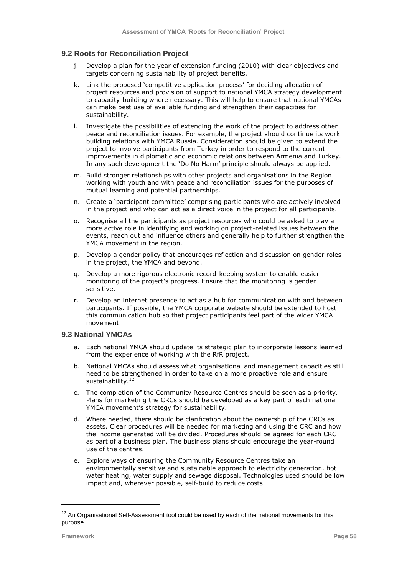# **9.2 Roots for Reconciliation Project**

- j. Develop a plan for the year of extension funding (2010) with clear objectives and targets concerning sustainability of project benefits.
- k. Link the proposed 'competitive application process' for deciding allocation of project resources and provision of support to national YMCA strategy development to capacity-building where necessary. This will help to ensure that national YMCAs can make best use of available funding and strengthen their capacities for sustainability.
- l. Investigate the possibilities of extending the work of the project to address other peace and reconciliation issues. For example, the project should continue its work building relations with YMCA Russia. Consideration should be given to extend the project to involve participants from Turkey in order to respond to the current improvements in diplomatic and economic relations between Armenia and Turkey. In any such development the "Do No Harm" principle should always be applied.
- m. Build stronger relationships with other projects and organisations in the Region working with youth and with peace and reconciliation issues for the purposes of mutual learning and potential partnerships.
- n. Create a "participant committee" comprising participants who are actively involved in the project and who can act as a direct voice in the project for all participants.
- o. Recognise all the participants as project resources who could be asked to play a more active role in identifying and working on project-related issues between the events, reach out and influence others and generally help to further strengthen the YMCA movement in the region.
- p. Develop a gender policy that encourages reflection and discussion on gender roles in the project, the YMCA and beyond.
- q. Develop a more rigorous electronic record-keeping system to enable easier monitoring of the project"s progress. Ensure that the monitoring is gender sensitive.
- r. Develop an internet presence to act as a hub for communication with and between participants. If possible, the YMCA corporate website should be extended to host this communication hub so that project participants feel part of the wider YMCA movement.

# **9.3 National YMCAs**

- a. Each national YMCA should update its strategic plan to incorporate lessons learned from the experience of working with the RfR project.
- b. National YMCAs should assess what organisational and management capacities still need to be strengthened in order to take on a more proactive role and ensure sustainability.<sup>12</sup>
- c. The completion of the Community Resource Centres should be seen as a priority. Plans for marketing the CRCs should be developed as a key part of each national YMCA movement's strategy for sustainability.
- d. Where needed, there should be clarification about the ownership of the CRCs as assets. Clear procedures will be needed for marketing and using the CRC and how the income generated will be divided. Procedures should be agreed for each CRC as part of a business plan. The business plans should encourage the year-round use of the centres.
- e. Explore ways of ensuring the Community Resource Centres take an environmentally sensitive and sustainable approach to electricity generation, hot water heating, water supply and sewage disposal. Technologies used should be low impact and, wherever possible, self-build to reduce costs.

ł

 $12$  An Organisational Self-Assessment tool could be used by each of the national movements for this purpose.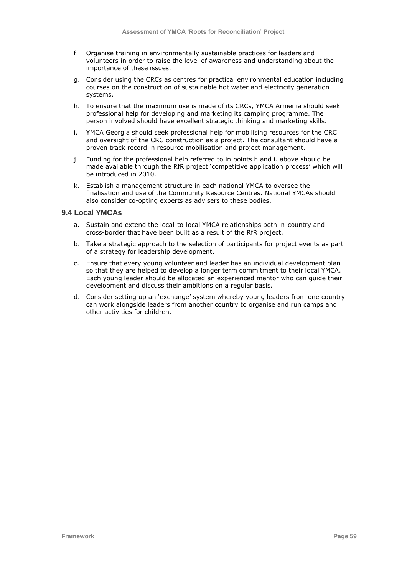- f. Organise training in environmentally sustainable practices for leaders and volunteers in order to raise the level of awareness and understanding about the importance of these issues.
- g. Consider using the CRCs as centres for practical environmental education including courses on the construction of sustainable hot water and electricity generation systems.
- h. To ensure that the maximum use is made of its CRCs, YMCA Armenia should seek professional help for developing and marketing its camping programme. The person involved should have excellent strategic thinking and marketing skills.
- i. YMCA Georgia should seek professional help for mobilising resources for the CRC and oversight of the CRC construction as a project. The consultant should have a proven track record in resource mobilisation and project management.
- j. Funding for the professional help referred to in points h and i. above should be made available through the RfR project "competitive application process" which will be introduced in 2010.
- k. Establish a management structure in each national YMCA to oversee the finalisation and use of the Community Resource Centres. National YMCAs should also consider co-opting experts as advisers to these bodies.

# **9.4 Local YMCAs**

- a. Sustain and extend the local-to-local YMCA relationships both in-country and cross-border that have been built as a result of the RfR project.
- b. Take a strategic approach to the selection of participants for project events as part of a strategy for leadership development.
- c. Ensure that every young volunteer and leader has an individual development plan so that they are helped to develop a longer term commitment to their local YMCA. Each young leader should be allocated an experienced mentor who can guide their development and discuss their ambitions on a regular basis.
- d. Consider setting up an "exchange" system whereby young leaders from one country can work alongside leaders from another country to organise and run camps and other activities for children.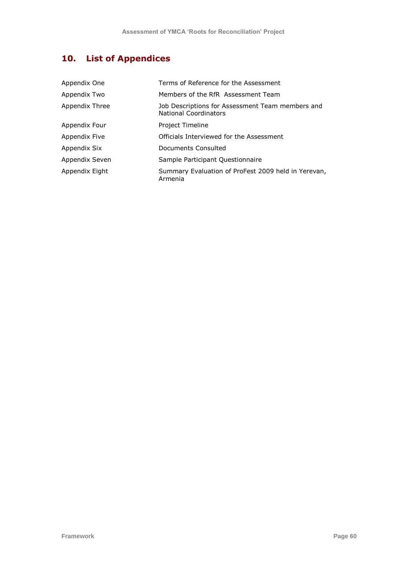# **10. List of Appendices**

| Appendix One   | Terms of Reference for the Assessment                                            |
|----------------|----------------------------------------------------------------------------------|
| Appendix Two   | Members of the RfR Assessment Team                                               |
| Appendix Three | Job Descriptions for Assessment Team members and<br><b>National Coordinators</b> |
| Appendix Four  | Project Timeline                                                                 |
| Appendix Five  | Officials Interviewed for the Assessment                                         |
| Appendix Six   | Documents Consulted                                                              |
| Appendix Seven | Sample Participant Questionnaire                                                 |
| Appendix Eight | Summary Evaluation of ProFest 2009 held in Yerevan,<br>Armenia                   |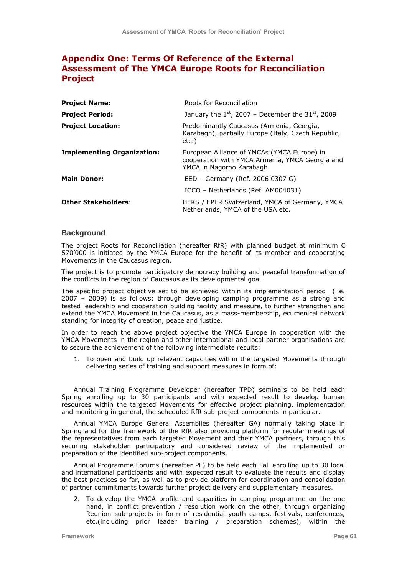# **Appendix One: Terms Of Reference of the External Assessment of The YMCA Europe Roots for Reconciliation Project**

| <b>Project Name:</b>              | Roots for Reconciliation                                                                                                   |
|-----------------------------------|----------------------------------------------------------------------------------------------------------------------------|
| <b>Project Period:</b>            | January the $1^{st}$ , 2007 – December the 31st, 2009                                                                      |
| <b>Project Location:</b>          | Predominantly Caucasus (Armenia, Georgia,<br>Karabagh), partially Europe (Italy, Czech Republic,<br>etc.)                  |
| <b>Implementing Organization:</b> | European Alliance of YMCAs (YMCA Europe) in<br>cooperation with YMCA Armenia, YMCA Georgia and<br>YMCA in Nagorno Karabagh |
| <b>Main Donor:</b>                | EED - Germany (Ref. 2006 0307 G)                                                                                           |
|                                   | ICCO - Netherlands (Ref. AM004031)                                                                                         |
| <b>Other Stakeholders:</b>        | HEKS / EPER Switzerland, YMCA of Germany, YMCA<br>Netherlands, YMCA of the USA etc.                                        |

# **Background**

The project Roots for Reconciliation (hereafter RfR) with planned budget at minimum  $\epsilon$ 570"000 is initiated by the YMCA Europe for the benefit of its member and cooperating Movements in the Caucasus region.

The project is to promote participatory democracy building and peaceful transformation of the conflicts in the region of Caucasus as its developmental goal.

The specific project objective set to be achieved within its implementation period (i.e. 2007 – 2009) is as follows: through developing camping programme as a strong and tested leadership and cooperation building facility and measure, to further strengthen and extend the YMCA Movement in the Caucasus, as a mass-membership, ecumenical network standing for integrity of creation, peace and justice.

In order to reach the above project objective the YMCA Europe in cooperation with the YMCA Movements in the region and other international and local partner organisations are to secure the achievement of the following intermediate results:

1. To open and build up relevant capacities within the targeted Movements through delivering series of training and support measures in form of:

Annual Training Programme Developer (hereafter TPD) seminars to be held each Spring enrolling up to 30 participants and with expected result to develop human resources within the targeted Movements for effective project planning, implementation and monitoring in general, the scheduled RfR sub-project components in particular.

Annual YMCA Europe General Assemblies (hereafter GA) normally taking place in Spring and for the framework of the RfR also providing platform for regular meetings of the representatives from each targeted Movement and their YMCA partners, through this securing stakeholder participatory and considered review of the implemented or preparation of the identified sub-project components.

Annual Programme Forums (hereafter PF) to be held each Fall enrolling up to 30 local and international participants and with expected result to evaluate the results and display the best practices so far, as well as to provide platform for coordination and consolidation of partner commitments towards further project delivery and supplementary measures.

2. To develop the YMCA profile and capacities in camping programme on the one hand, in conflict prevention / resolution work on the other, through organizing Reunion sub-projects in form of residential youth camps, festivals, conferences, etc.(including prior leader training / preparation schemes), within the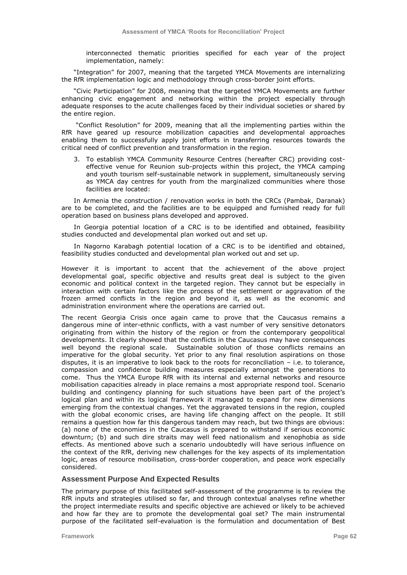interconnected thematic priorities specified for each year of the project implementation, namely:

"Integration" for 2007, meaning that the targeted YMCA Movements are internalizing the RfR implementation logic and methodology through cross-border joint efforts.

"Civic Participation" for 2008, meaning that the targeted YMCA Movements are further enhancing civic engagement and networking within the project especially through adequate responses to the acute challenges faced by their individual societies or shared by the entire region.

"Conflict Resolution" for 2009, meaning that all the implementing parties within the RfR have geared up resource mobilization capacities and developmental approaches enabling them to successfully apply joint efforts in transferring resources towards the critical need of conflict prevention and transformation in the region.

3. To establish YMCA Community Resource Centres (hereafter CRC) providing costeffective venue for Reunion sub-projects within this project, the YMCA camping and youth tourism self-sustainable network in supplement, simultaneously serving as YMCA day centres for youth from the marginalized communities where those facilities are located:

In Armenia the construction / renovation works in both the CRCs (Pambak, Daranak) are to be completed, and the facilities are to be equipped and furnished ready for full operation based on business plans developed and approved.

In Georgia potential location of a CRC is to be identified and obtained, feasibility studies conducted and developmental plan worked out and set up.

In Nagorno Karabagh potential location of a CRC is to be identified and obtained, feasibility studies conducted and developmental plan worked out and set up.

However it is important to accent that the achievement of the above project developmental goal, specific objective and results great deal is subject to the given economic and political context in the targeted region. They cannot but be especially in interaction with certain factors like the process of the settlement or aggravation of the frozen armed conflicts in the region and beyond it, as well as the economic and administration environment where the operations are carried out.

The recent Georgia Crisis once again came to prove that the Caucasus remains a dangerous mine of inter-ethnic conflicts, with a vast number of very sensitive detonators originating from within the history of the region or from the contemporary geopolitical developments. It clearly showed that the conflicts in the Caucasus may have consequences well beyond the regional scale. Sustainable solution of those conflicts remains an imperative for the global security. Yet prior to any final resolution aspirations on those disputes, it is an imperative to look back to the roots for reconciliation – i.e. to tolerance, compassion and confidence building measures especially amongst the generations to come. Thus the YMCA Europe RfR with its internal and external networks and resource mobilisation capacities already in place remains a most appropriate respond tool. Scenario building and contingency planning for such situations have been part of the project's logical plan and within its logical framework it managed to expand for new dimensions emerging from the contextual changes. Yet the aggravated tensions in the region, coupled with the global economic crises, are having life changing affect on the people. It still remains a question how far this dangerous tandem may reach, but two things are obvious: (a) none of the economies in the Caucasus is prepared to withstand if serious economic downturn; (b) and such dire straits may well feed nationalism and xenophobia as side effects. As mentioned above such a scenario undoubtedly will have serious influence on the context of the RfR, deriving new challenges for the key aspects of its implementation logic, areas of resource mobilisation, cross-border cooperation, and peace work especially considered.

#### **Assessment Purpose And Expected Results**

The primary purpose of this facilitated self-assessment of the programme is to review the RfR inputs and strategies utilised so far, and through contextual analyses refine whether the project intermediate results and specific objective are achieved or likely to be achieved and how far they are to promote the developmental goal set? The main instrumental purpose of the facilitated self-evaluation is the formulation and documentation of Best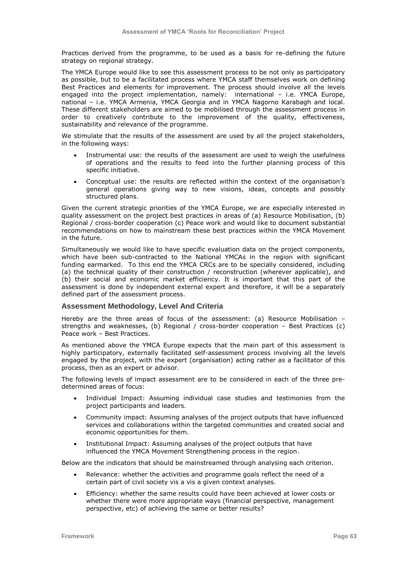Practices derived from the programme, to be used as a basis for re-defining the future strategy on regional strategy.

The YMCA Europe would like to see this assessment process to be not only as participatory as possible, but to be a facilitated process where YMCA staff themselves work on defining Best Practices and elements for improvement. The process should involve all the levels engaged into the project implementation, namely: international – i.e. YMCA Europe, national – i.e. YMCA Armenia, YMCA Georgia and in YMCA Nagorno Karabagh and local. These different stakeholders are aimed to be mobilised through the assessment process in order to creatively contribute to the improvement of the quality, effectiveness, sustainability and relevance of the programme.

We stimulate that the results of the assessment are used by all the project stakeholders, in the following ways:

- Instrumental use: the results of the assessment are used to weigh the usefulness of operations and the results to feed into the further planning process of this specific initiative.
- Conceptual use: the results are reflected within the context of the organisation"s general operations giving way to new visions, ideas, concepts and possibly structured plans.

Given the current strategic priorities of the YMCA Europe, we are especially interested in quality assessment on the project best practices in areas of (a) Resource Mobilisation, (b) Regional / cross-border cooperation (c) Peace work and would like to document substantial recommendations on how to mainstream these best practices within the YMCA Movement in the future.

Simultaneously we would like to have specific evaluation data on the project components, which have been sub-contracted to the National YMCAs in the region with significant funding earmarked. To this end the YMCA CRCs are to be specially considered, including (a) the technical quality of their construction / reconstruction (wherever applicable), and (b) their social and economic market efficiency. It is important that this part of the assessment is done by independent external expert and therefore, it will be a separately defined part of the assessment process.

## **Assessment Methodology, Level And Criteria**

Hereby are the three areas of focus of the assessment: (a) Resource Mobilisation – strengths and weaknesses, (b) Regional / cross-border cooperation – Best Practices (c) Peace work – Best Practices.

As mentioned above the YMCA Europe expects that the main part of this assessment is highly participatory, externally facilitated self-assessment process involving all the levels engaged by the project, with the expert (organisation) acting rather as a facilitator of this process, then as an expert or advisor.

The following levels of impact assessment are to be considered in each of the three predetermined areas of focus:

- Individual Impact: Assuming individual case studies and testimonies from the project participants and leaders.
- Community impact: Assuming analyses of the project outputs that have influenced services and collaborations within the targeted communities and created social and economic opportunities for them.
- Institutional Impact: Assuming analyses of the project outputs that have influenced the YMCA Movement Strengthening process in the region.

Below are the indicators that should be mainstreamed through analysing each criterion.

- Relevance: whether the activities and programme goals reflect the need of a certain part of civil society vis a vis a given context analyses.
- Efficiency: whether the same results could have been achieved at lower costs or whether there were more appropriate ways (financial perspective, management perspective, etc) of achieving the same or better results?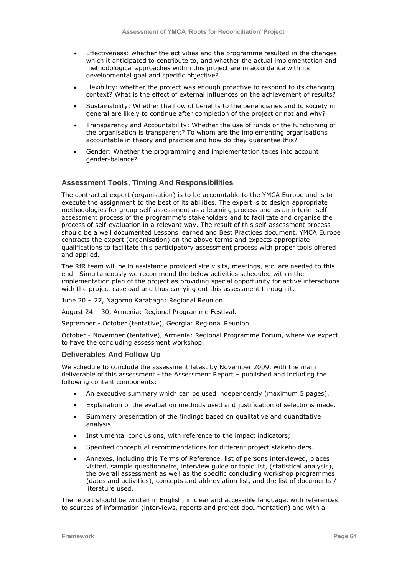- Effectiveness: whether the activities and the programme resulted in the changes which it anticipated to contribute to, and whether the actual implementation and methodological approaches within this project are in accordance with its developmental goal and specific objective?
- Flexibility: whether the project was enough proactive to respond to its changing context? What is the effect of external influences on the achievement of results?
- Sustainability: Whether the flow of benefits to the beneficiaries and to society in general are likely to continue after completion of the project or not and why?
- Transparency and Accountability: Whether the use of funds or the functioning of the organisation is transparent? To whom are the implementing organisations accountable in theory and practice and how do they guarantee this?
- Gender: Whether the programming and implementation takes into account gender-balance?

# **Assessment Tools, Timing And Responsibilities**

The contracted expert (organisation) is to be accountable to the YMCA Europe and is to execute the assignment to the best of its abilities. The expert is to design appropriate methodologies for group-self-assessment as a learning process and as an interim selfassessment process of the programme"s stakeholders and to facilitate and organise the process of self-evaluation in a relevant way. The result of this self-assessment process should be a well documented Lessons learned and Best Practices document. YMCA Europe contracts the expert (organisation) on the above terms and expects appropriate qualifications to facilitate this participatory assessment process with proper tools offered and applied.

The RfR team will be in assistance provided site visits, meetings, etc. are needed to this end. Simultaneously we recommend the below activities scheduled within the implementation plan of the project as providing special opportunity for active interactions with the project caseload and thus carrying out this assessment through it.

June 20 – 27, Nagorno Karabagh: Regional Reunion.

August 24 – 30, Armenia: Regional Programme Festival.

September - October (tentative), Georgia: Regional Reunion.

October - November (tentative), Armenia: Regional Programme Forum, where we expect to have the concluding assessment workshop.

#### **Deliverables And Follow Up**

We schedule to conclude the assessment latest by November 2009, with the main deliverable of this assessment - the Assessment Report – published and including the following content components:

- An executive summary which can be used independently (maximum 5 pages).
- Explanation of the evaluation methods used and justification of selections made.
- Summary presentation of the findings based on qualitative and quantitative analysis.
- Instrumental conclusions, with reference to the impact indicators;
- Specified conceptual recommendations for different project stakeholders.
- Annexes, including this Terms of Reference, list of persons interviewed, places visited, sample questionnaire, interview guide or topic list, (statistical analysis), the overall assessment as well as the specific concluding workshop programmes (dates and activities), concepts and abbreviation list, and the list of documents / literature used.

The report should be written in English, in clear and accessible language, with references to sources of information (interviews, reports and project documentation) and with a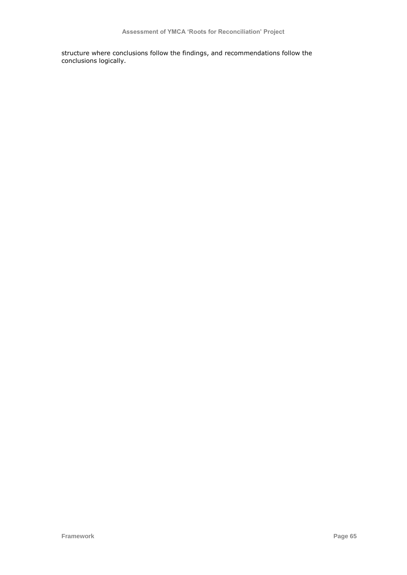structure where conclusions follow the findings, and recommendations follow the conclusions logically.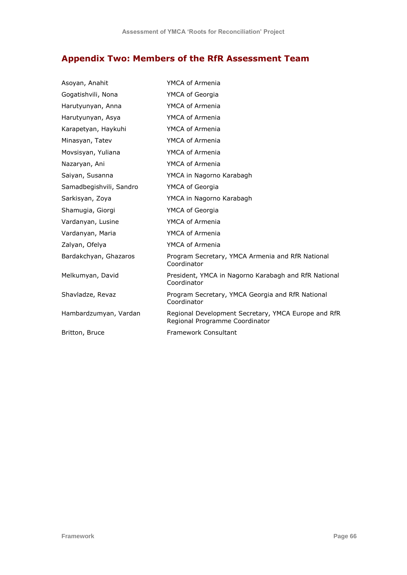# **Appendix Two: Members of the RfR Assessment Team**

| Asoyan, Anahit          | YMCA of Armenia                                                                       |
|-------------------------|---------------------------------------------------------------------------------------|
| Gogatishvili, Nona      | YMCA of Georgia                                                                       |
| Harutyunyan, Anna       | YMCA of Armenia                                                                       |
| Harutyunyan, Asya       | YMCA of Armenia                                                                       |
| Karapetyan, Haykuhi     | YMCA of Armenia                                                                       |
| Minasyan, Tatev         | YMCA of Armenia                                                                       |
| Movsisyan, Yuliana      | YMCA of Armenia                                                                       |
| Nazaryan, Ani           | YMCA of Armenia                                                                       |
| Saiyan, Susanna         | YMCA in Nagorno Karabagh                                                              |
| Samadbegishvili, Sandro | YMCA of Georgia                                                                       |
| Sarkisyan, Zoya         | YMCA in Nagorno Karabagh                                                              |
| Shamugia, Giorgi        | YMCA of Georgia                                                                       |
| Vardanyan, Lusine       | YMCA of Armenia                                                                       |
| Vardanyan, Maria        | YMCA of Armenia                                                                       |
| Zalyan, Ofelya          | YMCA of Armenia                                                                       |
| Bardakchyan, Ghazaros   | Program Secretary, YMCA Armenia and RfR National<br>Coordinator                       |
| Melkumyan, David        | President, YMCA in Nagorno Karabagh and RfR National<br>Coordinator                   |
| Shavladze, Revaz        | Program Secretary, YMCA Georgia and RfR National<br>Coordinator                       |
| Hambardzumyan, Vardan   | Regional Development Secretary, YMCA Europe and RfR<br>Regional Programme Coordinator |
| Britton, Bruce          | <b>Framework Consultant</b>                                                           |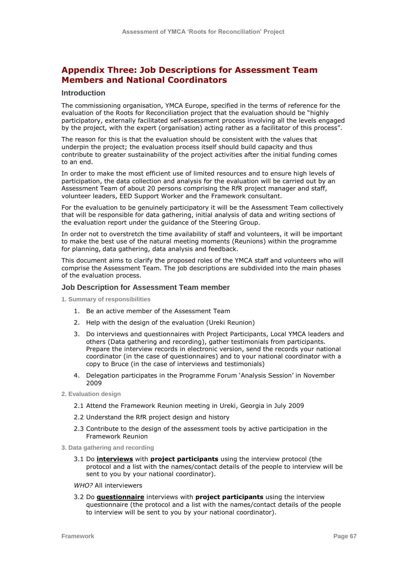# **Appendix Three: Job Descriptions for Assessment Team Members and National Coordinators**

#### **Introduction**

The commissioning organisation, YMCA Europe, specified in the terms of reference for the evaluation of the Roots for Reconciliation project that the evaluation should be "highly participatory, externally facilitated self-assessment process involving all the levels engaged by the project, with the expert (organisation) acting rather as a facilitator of this process".

The reason for this is that the evaluation should be consistent with the values that underpin the project; the evaluation process itself should build capacity and thus contribute to greater sustainability of the project activities after the initial funding comes to an end.

In order to make the most efficient use of limited resources and to ensure high levels of participation, the data collection and analysis for the evaluation will be carried out by an Assessment Team of about 20 persons comprising the RfR project manager and staff, volunteer leaders, EED Support Worker and the Framework consultant.

For the evaluation to be genuinely participatory it will be the Assessment Team collectively that will be responsible for data gathering, initial analysis of data and writing sections of the evaluation report under the guidance of the Steering Group.

In order not to overstretch the time availability of staff and volunteers, it will be important to make the best use of the natural meeting moments (Reunions) within the programme for planning, data gathering, data analysis and feedback.

This document aims to clarify the proposed roles of the YMCA staff and volunteers who will comprise the Assessment Team. The job descriptions are subdivided into the main phases of the evaluation process.

# **Job Description for Assessment Team member**

**1. Summary of responsibilities**

- 1. Be an active member of the Assessment Team
- 2. Help with the design of the evaluation (Ureki Reunion)
- 3. Do interviews and questionnaires with Project Participants, Local YMCA leaders and others (Data gathering and recording), gather testimonials from participants. Prepare the interview records in electronic version, send the records your national coordinator (in the case of questionnaires) and to your national coordinator with a copy to Bruce (in the case of interviews and testimonials)
- 4. Delegation participates in the Programme Forum "Analysis Session" in November 2009
- **2. Evaluation design**
	- 2.1 Attend the Framework Reunion meeting in Ureki, Georgia in July 2009
	- 2.2 Understand the RfR project design and history
	- 2.3 Contribute to the design of the assessment tools by active participation in the Framework Reunion
- **3. Data gathering and recording**
	- 3.1 Do **interviews** with **project participants** using the interview protocol (the protocol and a list with the names/contact details of the people to interview will be sent to you by your national coordinator).
	- *WHO?* All interviewers
	- 3.2 Do **questionnaire** interviews with **project participants** using the interview questionnaire (the protocol and a list with the names/contact details of the people to interview will be sent to you by your national coordinator).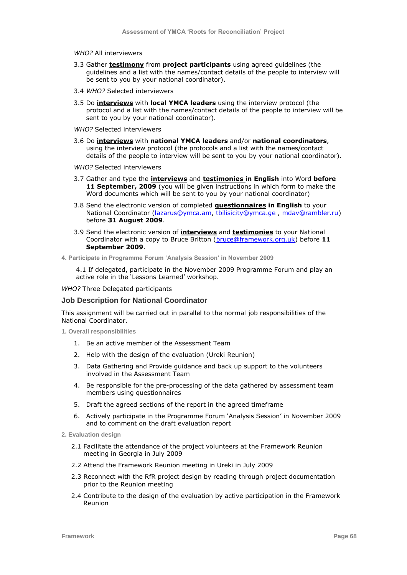#### *WHO?* All interviewers

- 3.3 Gather **testimony** from **project participants** using agreed guidelines (the guidelines and a list with the names/contact details of the people to interview will be sent to you by your national coordinator).
- 3.4 *WHO?* Selected interviewers
- 3.5 Do **interviews** with **local YMCA leaders** using the interview protocol (the protocol and a list with the names/contact details of the people to interview will be sent to you by your national coordinator).

*WHO?* Selected interviewers

- 3.6 Do **interviews** with **national YMCA leaders** and/or **national coordinators**, using the interview protocol (the protocols and a list with the names/contact details of the people to interview will be sent to you by your national coordinator).
- *WHO?* Selected interviewers
- 3.7 Gather and type the **interviews** and **testimonies in English** into Word **before 11 September, 2009** (you will be given instructions in which form to make the Word documents which will be sent to you by your national coordinator)
- 3.8 Send the electronic version of completed **questionnaires in English** to your National Coordinator [\(lazarus@ymca.am,](mailto:lazarus@ymca.am) [tbilisicity@ymca.ge](mailto:tbilisicity@ymca.ge) , [mdav@rambler.ru\)](mailto:mdav@rambler.ru) before **31 August 2009**.
- 3.9 Send the electronic version of **interviews** and **testimonies** to your National Coordinator with a copy to Bruce Britton [\(bruce@framework.org.uk\)](mailto:bruce@framework.org.uk) before **11 September 2009**.
- **4. Participate in Programme Forum 'Analysis Session' in November 2009**

4.1 If delegated, participate in the November 2009 Programme Forum and play an active role in the 'Lessons Learned' workshop.

*WHO?* Three Delegated participants

#### **Job Description for National Coordinator**

This assignment will be carried out in parallel to the normal job responsibilities of the National Coordinator.

**1. Overall responsibilities**

- 1. Be an active member of the Assessment Team
- 2. Help with the design of the evaluation (Ureki Reunion)
- 3. Data Gathering and Provide guidance and back up support to the volunteers involved in the Assessment Team
- 4. Be responsible for the pre-processing of the data gathered by assessment team members using questionnaires
- 5. Draft the agreed sections of the report in the agreed timeframe
- 6. Actively participate in the Programme Forum "Analysis Session" in November 2009 and to comment on the draft evaluation report
- **2. Evaluation design**
	- 2.1 Facilitate the attendance of the project volunteers at the Framework Reunion meeting in Georgia in July 2009
	- 2.2 Attend the Framework Reunion meeting in Ureki in July 2009
	- 2.3 Reconnect with the RfR project design by reading through project documentation prior to the Reunion meeting
	- 2.4 Contribute to the design of the evaluation by active participation in the Framework Reunion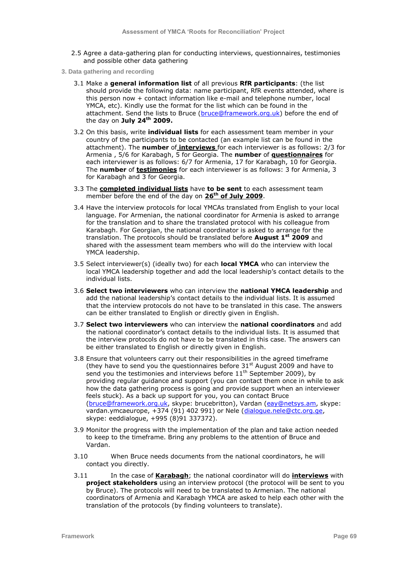- 2.5 Agree a data-gathering plan for conducting interviews, questionnaires, testimonies and possible other data gathering
- **3. Data gathering and recording**
	- 3.1 Make a **general information list** of all previous **RfR participants**: (the list should provide the following data: name participant, RfR events attended, where is this person now + contact information like e-mail and telephone number, local YMCA, etc). Kindly use the format for the list which can be found in the attachment. Send the lists to Bruce [\(bruce@framework.org.uk\)](mailto:bruce@framework.org.uk) before the end of the day on **July 24th 2009.**
	- 3.2 On this basis, write **individual lists** for each assessment team member in your country of the participants to be contacted (an example list can be found in the attachment). The **number** of **interviews** for each interviewer is as follows: 2/3 for Armenia , 5/6 for Karabagh, 5 for Georgia. The **number** of **questionnaires** for each interviewer is as follows: 6/7 for Armenia, 17 for Karabagh, 10 for Georgia. The **number** of **testimonies** for each interviewer is as follows: 3 for Armenia, 3 for Karabagh and 3 for Georgia.
	- 3.3 The **completed individual lists** have **to be sent** to each assessment team member before the end of the day on **26th of July 2009**.
	- 3.4 Have the interview protocols for local YMCAs translated from English to your local language. For Armenian, the national coordinator for Armenia is asked to arrange for the translation and to share the translated protocol with his colleague from Karabagh. For Georgian, the national coordinator is asked to arrange for the translation. The protocols should be translated before **August 1st 2009** and shared with the assessment team members who will do the interview with local YMCA leadership.
	- 3.5 Select interviewer(s) (ideally two) for each **local YMCA** who can interview the local YMCA leadership together and add the local leadership"s contact details to the individual lists.
	- 3.6 **Select two interviewers** who can interview the **national YMCA leadership** and add the national leadership"s contact details to the individual lists. It is assumed that the interview protocols do not have to be translated in this case. The answers can be either translated to English or directly given in English.
	- 3.7 **Select two interviewers** who can interview the **national coordinators** and add the national coordinator"s contact details to the individual lists. It is assumed that the interview protocols do not have to be translated in this case. The answers can be either translated to English or directly given in English.
	- 3.8 Ensure that volunteers carry out their responsibilities in the agreed timeframe (they have to send you the questionnaires before  $31<sup>st</sup>$  August 2009 and have to send you the testimonies and interviews before  $11<sup>th</sup>$  September 2009), by providing regular guidance and support (you can contact them once in while to ask how the data gathering process is going and provide support when an interviewer feels stuck). As a back up support for you, you can contact Bruce [\(bruce@framework.org.uk,](mailto:bruce@framework.org.uk) skype: brucebritton), Vardan [\(eay@netsys.am,](mailto:eay@netsys.am) skype: vardan.ymcaeurope, +374 (91) 402 991) or Nele [\(dialogue.nele@ctc.org.ge,](mailto:dialogue.nele@ctc.org.ge) skype: eeddialogue, +995 (8)91 337372).
	- 3.9 Monitor the progress with the implementation of the plan and take action needed to keep to the timeframe. Bring any problems to the attention of Bruce and Vardan.
	- 3.10 When Bruce needs documents from the national coordinators, he will contact you directly.
	- 3.11 In the case of **Karabagh**; the national coordinator will do **interviews** with **project stakeholders** using an interview protocol (the protocol will be sent to you by Bruce). The protocols will need to be translated to Armenian. The national coordinators of Armenia and Karabagh YMCA are asked to help each other with the translation of the protocols (by finding volunteers to translate).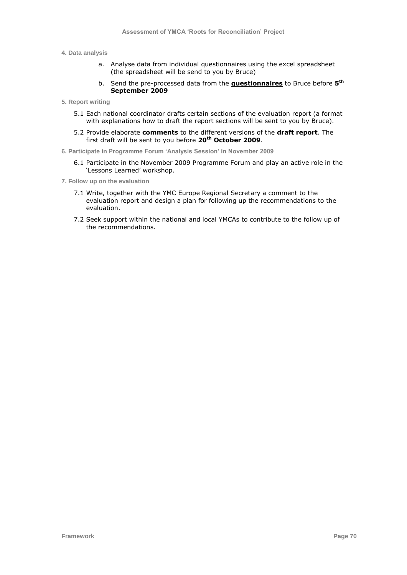#### **4. Data analysis**

- a. Analyse data from individual questionnaires using the excel spreadsheet (the spreadsheet will be send to you by Bruce)
- b. Send the pre-processed data from the **questionnaires** to Bruce before **5 th September 2009**
- **5. Report writing**
	- 5.1 Each national coordinator drafts certain sections of the evaluation report (a format with explanations how to draft the report sections will be sent to you by Bruce).
	- 5.2 Provide elaborate **comments** to the different versions of the **draft report**. The first draft will be sent to you before **20th October 2009**.
- **6. Participate in Programme Forum 'Analysis Session' in November 2009**
	- 6.1 Participate in the November 2009 Programme Forum and play an active role in the 'Lessons Learned' workshop.
- **7. Follow up on the evaluation**
	- 7.1 Write, together with the YMC Europe Regional Secretary a comment to the evaluation report and design a plan for following up the recommendations to the evaluation.
	- 7.2 Seek support within the national and local YMCAs to contribute to the follow up of the recommendations.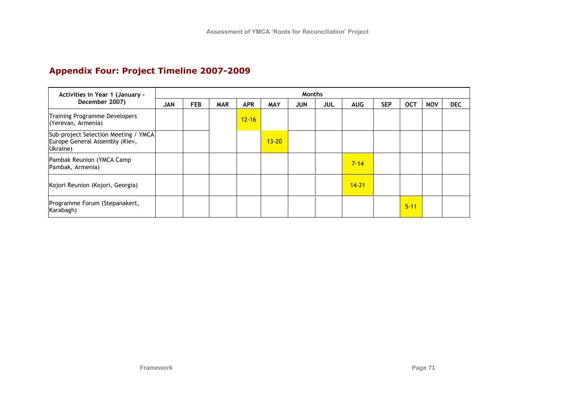# **Appendix Four: Project Timeline 2007-2009**

| Activities in Year 1 (January -<br>December 2007)                                  | <b>Months</b> |            |            |            |            |            |     |            |            |            |            |            |
|------------------------------------------------------------------------------------|---------------|------------|------------|------------|------------|------------|-----|------------|------------|------------|------------|------------|
|                                                                                    | <b>JAN</b>    | <b>FEB</b> | <b>MAR</b> | <b>APR</b> | <b>MAY</b> | <b>JUN</b> | JUL | <b>AUG</b> | <b>SEP</b> | <b>OCT</b> | <b>NOV</b> | <b>DEC</b> |
| Training Programme Developers<br>(Yerevan, Armenia)                                |               |            |            | $12 - 16$  |            |            |     |            |            |            |            |            |
| Sub-project Selection Meeting / YMCA<br>Europe General Assembly (Kiev,<br>Ukraine) |               |            |            |            | $13 - 20$  |            |     |            |            |            |            |            |
| Pambak Reunion (YMCA Camp<br>Pambak, Armenia)                                      |               |            |            |            |            |            |     | $7 - 14$   |            |            |            |            |
| Kojori Reunion (Kojori, Georgia)                                                   |               |            |            |            |            |            |     | $14 - 21$  |            |            |            |            |
| Programme Forum (Stepanakert,<br>Karabagh)                                         |               |            |            |            |            |            |     |            |            | $5 - 11$   |            |            |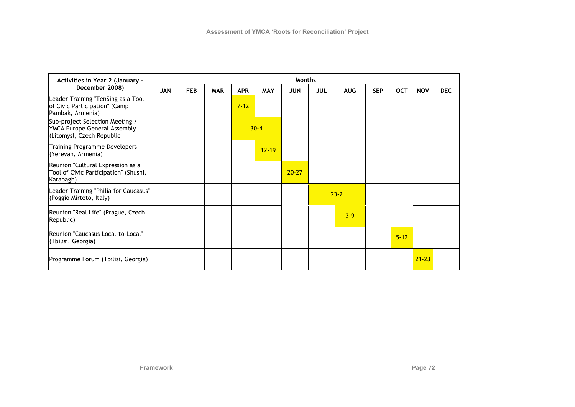| Activities in Year 2 (January -<br>December 2008)                                            |            | <b>Months</b> |            |            |            |            |            |            |            |            |            |            |
|----------------------------------------------------------------------------------------------|------------|---------------|------------|------------|------------|------------|------------|------------|------------|------------|------------|------------|
|                                                                                              | <b>JAN</b> | <b>FEB</b>    | <b>MAR</b> | <b>APR</b> | <b>MAY</b> | <b>JUN</b> | <b>JUL</b> | <b>AUG</b> | <b>SEP</b> | <b>OCT</b> | <b>NOV</b> | <b>DEC</b> |
| Leader Training "TenSing as a Tool<br>of Civic Participation" (Camp<br>Pambak, Armenia)      |            |               |            | $7 - 12$   |            |            |            |            |            |            |            |            |
| Sub-project Selection Meeting /<br>YMCA Europe General Assembly<br>(Litomysl, Czech Republic |            |               |            |            | $30 - 4$   |            |            |            |            |            |            |            |
| Training Programme Developers<br>(Yerevan, Armenia)                                          |            |               |            |            | $12 - 19$  |            |            |            |            |            |            |            |
| Reunion "Cultural Expression as a<br>Tool of Civic Participation" (Shushi,<br>Karabagh)      |            |               |            |            |            | $20 - 27$  |            |            |            |            |            |            |
| Leader Training "Philia for Caucasus"<br>(Poggio Mirteto, Italy)                             |            |               |            |            |            |            |            | $23 - 2$   |            |            |            |            |
| Reunion "Real Life" (Prague, Czech<br>Republic)                                              |            |               |            |            |            |            |            | $3 - 9$    |            |            |            |            |
| Reunion "Caucasus Local-to-Local"<br>(Tbilisi, Georgia)                                      |            |               |            |            |            |            |            |            |            | $5 - 12$   |            |            |
| Programme Forum (Tbilisi, Georgia)                                                           |            |               |            |            |            |            |            |            |            |            | $21 - 23$  |            |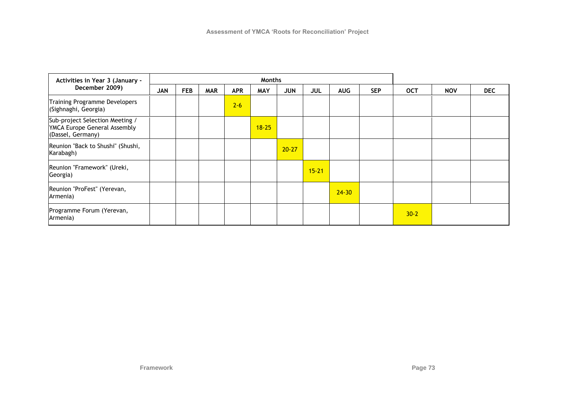| Activities in Year 3 (January -                                                      | Months     |            |            |            |            |            |            |            |            |            |            |            |
|--------------------------------------------------------------------------------------|------------|------------|------------|------------|------------|------------|------------|------------|------------|------------|------------|------------|
| December 2009)                                                                       | <b>JAN</b> | <b>FEB</b> | <b>MAR</b> | <b>APR</b> | <b>MAY</b> | <b>JUN</b> | <b>JUL</b> | <b>AUG</b> | <b>SEP</b> | <b>OCT</b> | <b>NOV</b> | <b>DEC</b> |
| Training Programme Developers<br>(Sighnaghi, Georgia)                                |            |            |            | $2 - 6$    |            |            |            |            |            |            |            |            |
| Sub-project Selection Meeting /<br>YMCA Europe General Assembly<br>(Dassel, Germany) |            |            |            |            | $18 - 25$  |            |            |            |            |            |            |            |
| Reunion "Back to Shushi" (Shushi,<br>Karabagh)                                       |            |            |            |            |            | $20 - 27$  |            |            |            |            |            |            |
| Reunion "Framework" (Ureki,<br>Georgia)                                              |            |            |            |            |            |            | $15 - 21$  |            |            |            |            |            |
| Reunion "ProFest" (Yerevan,<br>Armenia)                                              |            |            |            |            |            |            |            | $24 - 30$  |            |            |            |            |
| Programme Forum (Yerevan,<br>Armenia)                                                |            |            |            |            |            |            |            |            |            | $30 - 2$   |            |            |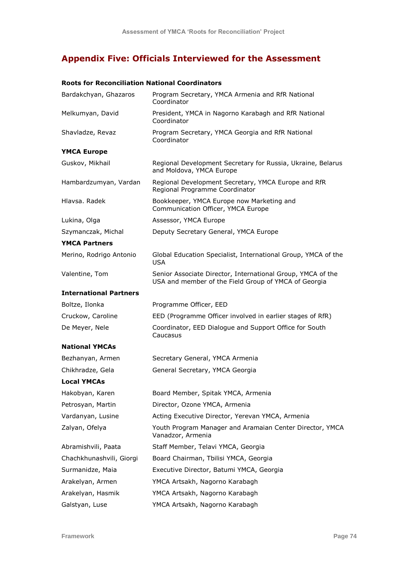# **Appendix Five: Officials Interviewed for the Assessment**

### **Roots for Reconciliation National Coordinators**

| Bardakchyan, Ghazaros         | Program Secretary, YMCA Armenia and RfR National<br>Coordinator                                                     |
|-------------------------------|---------------------------------------------------------------------------------------------------------------------|
| Melkumyan, David              | President, YMCA in Nagorno Karabagh and RfR National<br>Coordinator                                                 |
| Shavladze, Revaz              | Program Secretary, YMCA Georgia and RfR National<br>Coordinator                                                     |
| <b>YMCA Europe</b>            |                                                                                                                     |
| Guskov, Mikhail               | Regional Development Secretary for Russia, Ukraine, Belarus<br>and Moldova, YMCA Europe                             |
| Hambardzumyan, Vardan         | Regional Development Secretary, YMCA Europe and RfR<br>Regional Programme Coordinator                               |
| Hlavsa. Radek                 | Bookkeeper, YMCA Europe now Marketing and<br>Communication Officer, YMCA Europe                                     |
| Lukina, Olga                  | Assessor, YMCA Europe                                                                                               |
| Szymanczak, Michal            | Deputy Secretary General, YMCA Europe                                                                               |
| <b>YMCA Partners</b>          |                                                                                                                     |
| Merino, Rodrigo Antonio       | Global Education Specialist, International Group, YMCA of the<br><b>USA</b>                                         |
| Valentine, Tom                | Senior Associate Director, International Group, YMCA of the<br>USA and member of the Field Group of YMCA of Georgia |
| <b>International Partners</b> |                                                                                                                     |
| Boltze, Ilonka                | Programme Officer, EED                                                                                              |
| Cruckow, Caroline             | EED (Programme Officer involved in earlier stages of RfR)                                                           |
| De Meyer, Nele                | Coordinator, EED Dialogue and Support Office for South<br>Caucasus                                                  |
| <b>National YMCAs</b>         |                                                                                                                     |
| Bezhanyan, Armen              | Secretary General, YMCA Armenia                                                                                     |
| Chikhradze, Gela              | General Secretary, YMCA Georgia                                                                                     |
| <b>Local YMCAs</b>            |                                                                                                                     |
| Hakobyan, Karen               | Board Member, Spitak YMCA, Armenia                                                                                  |
| Petrosyan, Martin             | Director, Ozone YMCA, Armenia                                                                                       |
| Vardanyan, Lusine             | Acting Executive Director, Yerevan YMCA, Armenia                                                                    |
| Zalyan, Ofelya                | Youth Program Manager and Aramaian Center Director, YMCA<br>Vanadzor, Armenia                                       |
| Abramishvili, Paata           | Staff Member, Telavi YMCA, Georgia                                                                                  |
| Chachkhunashvili, Giorgi      | Board Chairman, Tbilisi YMCA, Georgia                                                                               |
| Surmanidze, Maia              | Executive Director, Batumi YMCA, Georgia                                                                            |
| Arakelyan, Armen              | YMCA Artsakh, Nagorno Karabagh                                                                                      |
| Arakelyan, Hasmik             | YMCA Artsakh, Nagorno Karabagh                                                                                      |
| Galstyan, Luse                | YMCA Artsakh, Nagorno Karabagh                                                                                      |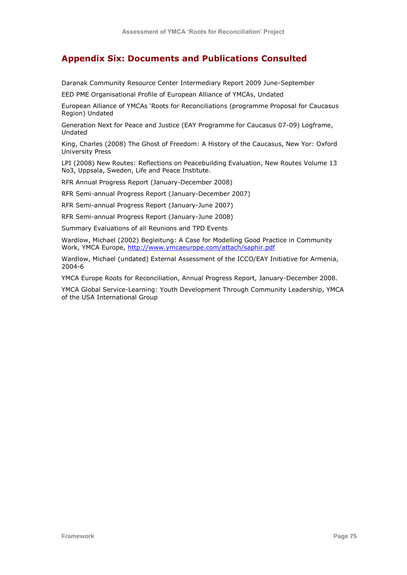### **Appendix Six: Documents and Publications Consulted**

Daranak Community Resource Center Intermediary Report 2009 June-September

EED PME Organisational Profile of European Alliance of YMCAs, Undated

European Alliance of YMCAs "Roots for Reconciliations (programme Proposal for Caucasus Region) Undated

Generation Next for Peace and Justice (EAY Programme for Caucasus 07-09) Logframe, Undated

King, Charles (2008) The Ghost of Freedom: A History of the Caucasus, New Yor: Oxford University Press

LPI (2008) New Routes: Reflections on Peacebuilding Evaluation, New Routes Volume 13 No3, Uppsala, Sweden, Life and Peace Institute.

RFR Annual Progress Report (January-December 2008)

RFR Semi-annual Progress Report (January-December 2007)

RFR Semi-annual Progress Report (January-June 2007)

RFR Semi-annual Progress Report (January-June 2008)

Summary Evaluations of all Reunions and TPD Events

Wardlow, Michael (2002) Begleitung: A Case for Modelling Good Practice in Community Work, YMCA Europe,<http://www.ymcaeurope.com/attach/saphir.pdf>

Wardlow, Michael (undated) External Assessment of the ICCO/EAY Initiative for Armenia, 2004-6

YMCA Europe Roots for Reconciliation, Annual Progress Report, January-December 2008.

YMCA Global Service-Learning: Youth Development Through Community Leadership, YMCA of the USA International Group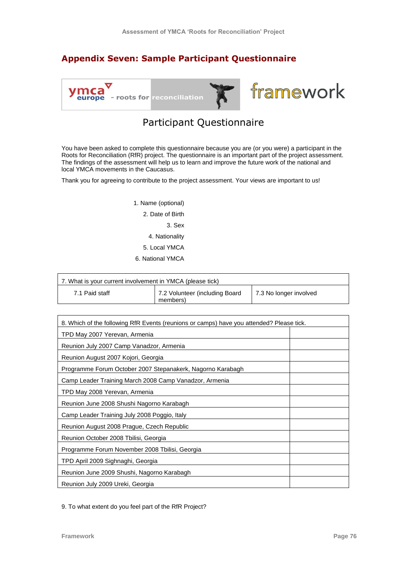## **Appendix Seven: Sample Participant Questionnaire**



# Participant Questionnaire

You have been asked to complete this questionnaire because you are (or you were) a participant in the Roots for Reconciliation (RfR) project. The questionnaire is an important part of the project assessment. The findings of the assessment will help us to learn and improve the future work of the national and local YMCA movements in the Caucasus.

Thank you for agreeing to contribute to the project assessment. Your views are important to us!

1. Name (optional) 2. Date of Birth 3. Sex 4. Nationality 5. Local YMCA 6. National YMCA

| 7. What is your current involvement in YMCA (please tick) |                                            |                        |  |  |  |
|-----------------------------------------------------------|--------------------------------------------|------------------------|--|--|--|
| 7.1 Paid staff                                            | 7.2 Volunteer (including Board<br>members) | 7.3 No longer involved |  |  |  |

| 8. Which of the following RfR Events (reunions or camps) have you attended? Please tick. |  |  |  |  |
|------------------------------------------------------------------------------------------|--|--|--|--|
| TPD May 2007 Yerevan, Armenia                                                            |  |  |  |  |
| Reunion July 2007 Camp Vanadzor, Armenia                                                 |  |  |  |  |
| Reunion August 2007 Kojori, Georgia                                                      |  |  |  |  |
| Programme Forum October 2007 Stepanakerk, Nagorno Karabagh                               |  |  |  |  |
| Camp Leader Training March 2008 Camp Vanadzor, Armenia                                   |  |  |  |  |
| TPD May 2008 Yerevan, Armenia                                                            |  |  |  |  |
| Reunion June 2008 Shushi Nagorno Karabagh                                                |  |  |  |  |
| Camp Leader Training July 2008 Poggio, Italy                                             |  |  |  |  |
| Reunion August 2008 Prague, Czech Republic                                               |  |  |  |  |
| Reunion October 2008 Tbilisi, Georgia                                                    |  |  |  |  |
| Programme Forum November 2008 Tbilisi, Georgia                                           |  |  |  |  |
| TPD April 2009 Sighnaghi, Georgia                                                        |  |  |  |  |
| Reunion June 2009 Shushi, Nagorno Karabagh                                               |  |  |  |  |
| Reunion July 2009 Ureki, Georgia                                                         |  |  |  |  |

9. To what extent do you feel part of the RfR Project?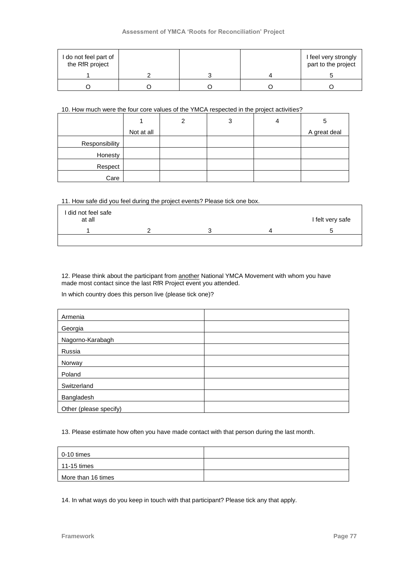### **Assessment of YMCA 'Roots for Reconciliation' Project**

| I do not feel part of<br>the RfR project |  | I feel very strongly<br>part to the project |
|------------------------------------------|--|---------------------------------------------|
|                                          |  |                                             |
|                                          |  |                                             |

### 10. How much were the four core values of the YMCA respected in the project activities?

|                |            | $\overline{2}$ | 3 | 4 | 5            |
|----------------|------------|----------------|---|---|--------------|
|                | Not at all |                |   |   | A great deal |
| Responsibility |            |                |   |   |              |
| Honesty        |            |                |   |   |              |
| Respect        |            |                |   |   |              |
| Care           |            |                |   |   |              |

### 11. How safe did you feel during the project events? Please tick one box.

| I did not feel safe<br>at all |  | I felt very safe |
|-------------------------------|--|------------------|
|                               |  |                  |
|                               |  |                  |

### 12. Please think about the participant from **another** National YMCA Movement with whom you have made most contact since the last RfR Project event you attended.

In which country does this person live (please tick one)?

| Armenia                |  |
|------------------------|--|
| Georgia                |  |
| Nagorno-Karabagh       |  |
| Russia                 |  |
| Norway                 |  |
| Poland                 |  |
| Switzerland            |  |
| Bangladesh             |  |
| Other (please specify) |  |

13. Please estimate how often you have made contact with that person during the last month.

| $\vert$ 0-10 times  |  |
|---------------------|--|
| $\vert$ 11-15 times |  |
| More than 16 times  |  |

14. In what ways do you keep in touch with that participant? Please tick any that apply.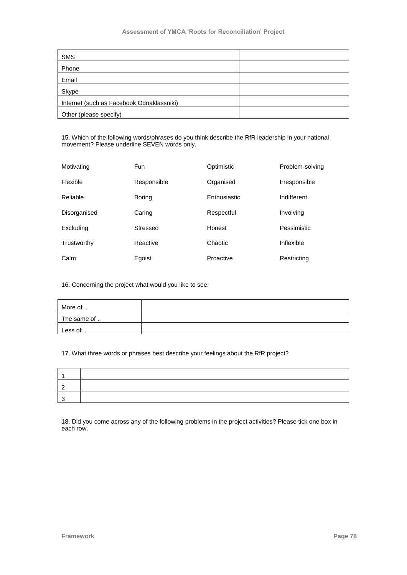### **Assessment of YMCA 'Roots for Reconciliation' Project**

| <b>SMS</b>                                |  |
|-------------------------------------------|--|
| Phone                                     |  |
| Email                                     |  |
| Skype                                     |  |
| Internet (such as Facebook Odnaklassniki) |  |
| Other (please specify)                    |  |

15. Which of the following words/phrases do you think describe the RfR leadership in your national movement? Please underline SEVEN words only.

| Motivating   | Fun         | Optimistic   | Problem-solving |
|--------------|-------------|--------------|-----------------|
| Flexible     | Responsible | Organised    | Irresponsible   |
| Reliable     | Boring      | Enthusiastic | Indifferent     |
| Disorganised | Caring      | Respectful   | Involving       |
| Excluding    | Stressed    | Honest       | Pessimistic     |
| Trustworthy  | Reactive    | Chaotic      | Inflexible      |
| Calm         | Egoist      | Proactive    | Restricting     |

16. Concerning the project what would you like to see:

| More of     |  |
|-------------|--|
| The same of |  |
| Less of     |  |

### 17. What three words or phrases best describe your feelings about the RfR project?

18. Did you come across any of the following problems in the project activities? Please tick one box in each row.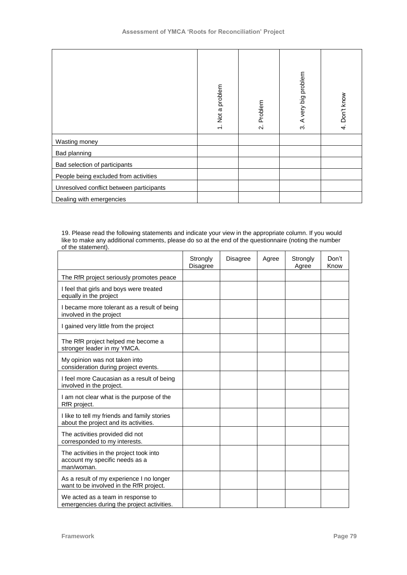|                                          | 1. Not a problem | Problem<br>$\overline{\mathcal{N}}$ | 3. A very big problem | 4. Don't know |
|------------------------------------------|------------------|-------------------------------------|-----------------------|---------------|
| Wasting money                            |                  |                                     |                       |               |
| Bad planning                             |                  |                                     |                       |               |
| Bad selection of participants            |                  |                                     |                       |               |
| People being excluded from activities    |                  |                                     |                       |               |
| Unresolved conflict between participants |                  |                                     |                       |               |
| Dealing with emergencies                 |                  |                                     |                       |               |

#### 19. Please read the following statements and indicate your view in the appropriate column. If you would like to make any additional comments, please do so at the end of the questionnaire (noting the number of the statement).

|                                                                                                                                                                                                                                        |                             | 1. Not a problem |          | Problem<br>$\mathbf{\dot{q}}$ | A very big problem<br>ကံ | 4. Don't know |
|----------------------------------------------------------------------------------------------------------------------------------------------------------------------------------------------------------------------------------------|-----------------------------|------------------|----------|-------------------------------|--------------------------|---------------|
| Wasting money                                                                                                                                                                                                                          |                             |                  |          |                               |                          |               |
| Bad planning                                                                                                                                                                                                                           |                             |                  |          |                               |                          |               |
| Bad selection of participants                                                                                                                                                                                                          |                             |                  |          |                               |                          |               |
| People being excluded from activities                                                                                                                                                                                                  |                             |                  |          |                               |                          |               |
| <b>Jnresolved conflict between participants</b>                                                                                                                                                                                        |                             |                  |          |                               |                          |               |
| Dealing with emergencies                                                                                                                                                                                                               |                             |                  |          |                               |                          |               |
| 19. Please read the following statements and indicate your view in the appropriate column. If you would<br>like to make any additional comments, please do so at the end of the questionnaire (noting the number<br>of the statement). | Strongly<br><b>Disagree</b> |                  | Disagree | Agree                         | Strongly<br>Agree        | Don't<br>Know |
| The RfR project seriously promotes peace                                                                                                                                                                                               |                             |                  |          |                               |                          |               |
| I feel that girls and boys were treated<br>equally in the project                                                                                                                                                                      |                             |                  |          |                               |                          |               |
| I became more tolerant as a result of being                                                                                                                                                                                            |                             |                  |          |                               |                          |               |
| involved in the project                                                                                                                                                                                                                |                             |                  |          |                               |                          |               |
| I gained very little from the project                                                                                                                                                                                                  |                             |                  |          |                               |                          |               |
| The RfR project helped me become a<br>stronger leader in my YMCA.                                                                                                                                                                      |                             |                  |          |                               |                          |               |
| My opinion was not taken into<br>consideration during project events.                                                                                                                                                                  |                             |                  |          |                               |                          |               |
| I feel more Caucasian as a result of being<br>involved in the project.                                                                                                                                                                 |                             |                  |          |                               |                          |               |
| I am not clear what is the purpose of the<br>RfR project.                                                                                                                                                                              |                             |                  |          |                               |                          |               |
| I like to tell my friends and family stories<br>about the project and its activities.                                                                                                                                                  |                             |                  |          |                               |                          |               |
| The activities provided did not<br>corresponded to my interests.                                                                                                                                                                       |                             |                  |          |                               |                          |               |
| The activities in the project took into<br>account my specific needs as a<br>man/woman.                                                                                                                                                |                             |                  |          |                               |                          |               |
| As a result of my experience I no longer<br>want to be involved in the RfR project.                                                                                                                                                    |                             |                  |          |                               |                          |               |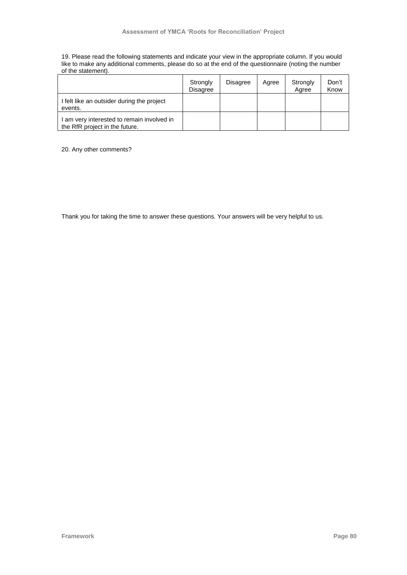19. Please read the following statements and indicate your view in the appropriate column. If you would like to make any additional comments, please do so at the end of the questionnaire (noting the number of the statement).

|                                                                              | Strongly<br><b>Disagree</b> | <b>Disagree</b> | Agree | Strongly<br>Agree | Don't<br>Know |
|------------------------------------------------------------------------------|-----------------------------|-----------------|-------|-------------------|---------------|
| I felt like an outsider during the project<br>events.                        |                             |                 |       |                   |               |
| I am very interested to remain involved in<br>the RfR project in the future. |                             |                 |       |                   |               |

20. Any other comments?

Thank you for taking the time to answer these questions. Your answers will be very helpful to us.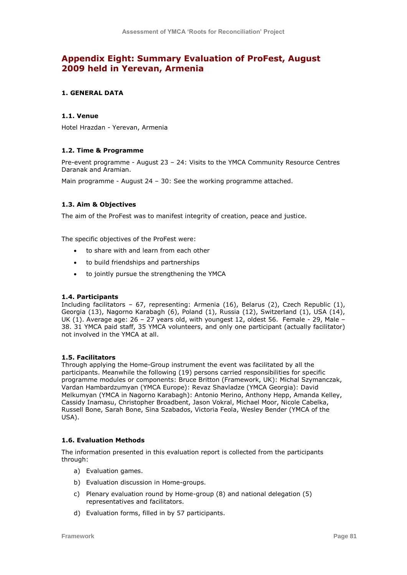## **Appendix Eight: Summary Evaluation of ProFest, August 2009 held in Yerevan, Armenia**

### **1. GENERAL DATA**

### **1.1. Venue**

Hotel Hrazdan - Yerevan, Armenia

### **1.2. Time & Programme**

Pre-event programme - August 23 – 24: Visits to the YMCA Community Resource Centres Daranak and Aramian.

Main programme - August 24 – 30: See the working programme attached.

### **1.3. Aim & Objectives**

The aim of the ProFest was to manifest integrity of creation, peace and justice.

The specific objectives of the ProFest were:

- to share with and learn from each other
- to build friendships and partnerships
- to jointly pursue the strengthening the YMCA

### **1.4. Participants**

Including facilitators – 67, representing: Armenia (16), Belarus (2), Czech Republic (1), Georgia (13), Nagorno Karabagh (6), Poland (1), Russia (12), Switzerland (1), USA (14), UK (1). Average age: 26 - 27 years old, with youngest 12, oldest 56. Female - 29, Male -38. 31 YMCA paid staff, 35 YMCA volunteers, and only one participant (actually facilitator) not involved in the YMCA at all.

### **1.5. Facilitators**

Through applying the Home-Group instrument the event was facilitated by all the participants. Meanwhile the following (19) persons carried responsibilities for specific programme modules or components: Bruce Britton (Framework, UK): Michal Szymanczak, Vardan Hambardzumyan (YMCA Europe): Revaz Shavladze (YMCA Georgia): David Melkumyan (YMCA in Nagorno Karabagh): Antonio Merino, Anthony Hepp, Amanda Kelley, Cassidy Inamasu, Christopher Broadbent, Jason Vokral, Michael Moor, Nicole Cabelka, Russell Bone, Sarah Bone, Sina Szabados, Victoria Feola, Wesley Bender (YMCA of the USA).

### **1.6. Evaluation Methods**

The information presented in this evaluation report is collected from the participants through:

- a) Evaluation games.
- b) Evaluation discussion in Home-groups.
- c) Plenary evaluation round by Home-group (8) and national delegation (5) representatives and facilitators.
- d) Evaluation forms, filled in by 57 participants.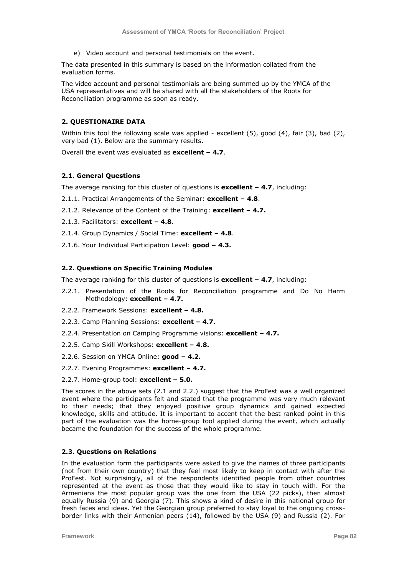e) Video account and personal testimonials on the event.

The data presented in this summary is based on the information collated from the evaluation forms.

The video account and personal testimonials are being summed up by the YMCA of the USA representatives and will be shared with all the stakeholders of the Roots for Reconciliation programme as soon as ready.

### **2. QUESTIONAIRE DATA**

Within this tool the following scale was applied - excellent (5), good (4), fair (3), bad (2), very bad (1). Below are the summary results.

Overall the event was evaluated as **excellent – 4.7**.

### **2.1. General Questions**

The average ranking for this cluster of questions is **excellent – 4.7**, including:

- 2.1.1. Practical Arrangements of the Seminar: **excellent – 4.8**.
- 2.1.2. Relevance of the Content of the Training: **excellent – 4.7.**
- 2.1.3. Facilitators: **excellent – 4.8**.
- 2.1.4. Group Dynamics / Social Time: **excellent – 4.8**.
- 2.1.6. Your Individual Participation Level: **good – 4.3.**

### **2.2. Questions on Specific Training Modules**

The average ranking for this cluster of questions is **excellent – 4.7**, including:

- 2.2.1. Presentation of the Roots for Reconciliation programme and Do No Harm Methodology: **excellent – 4.7.**
- 2.2.2. Framework Sessions: **excellent – 4.8.**
- 2.2.3. Camp Planning Sessions: **excellent – 4.7.**
- 2.2.4. Presentation on Camping Programme visions: **excellent – 4.7.**
- 2.2.5. Camp Skill Workshops: **excellent – 4.8.**
- 2.2.6. Session on YMCA Online: **good – 4.2.**
- 2.2.7. Evening Programmes: **excellent – 4.7.**
- 2.2.7. Home-group tool: **excellent – 5.0.**

The scores in the above sets (2.1 and 2.2.) suggest that the ProFest was a well organized event where the participants felt and stated that the programme was very much relevant to their needs; that they enjoyed positive group dynamics and gained expected knowledge, skills and attitude. It is important to accent that the best ranked point in this part of the evaluation was the home-group tool applied during the event, which actually became the foundation for the success of the whole programme.

### **2.3. Questions on Relations**

In the evaluation form the participants were asked to give the names of three participants (not from their own country) that they feel most likely to keep in contact with after the ProFest. Not surprisingly, all of the respondents identified people from other countries represented at the event as those that they would like to stay in touch with. For the Armenians the most popular group was the one from the USA (22 picks), then almost equally Russia (9) and Georgia (7). This shows a kind of desire in this national group for fresh faces and ideas. Yet the Georgian group preferred to stay loyal to the ongoing crossborder links with their Armenian peers (14), followed by the USA (9) and Russia (2). For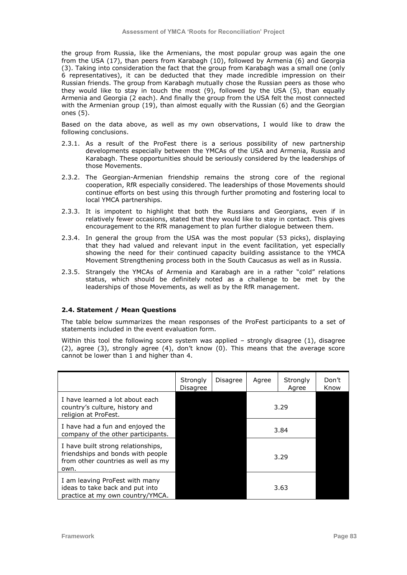the group from Russia, like the Armenians, the most popular group was again the one from the USA (17), than peers from Karabagh (10), followed by Armenia (6) and Georgia (3). Taking into consideration the fact that the group from Karabagh was a small one (only 6 representatives), it can be deducted that they made incredible impression on their Russian friends. The group from Karabagh mutually chose the Russian peers as those who they would like to stay in touch the most (9), followed by the USA (5), than equally Armenia and Georgia (2 each). And finally the group from the USA felt the most connected with the Armenian group (19), than almost equally with the Russian (6) and the Georgian ones (5).

Based on the data above, as well as my own observations, I would like to draw the following conclusions.

- 2.3.1. As a result of the ProFest there is a serious possibility of new partnership developments especially between the YMCAs of the USA and Armenia, Russia and Karabagh. These opportunities should be seriously considered by the leaderships of those Movements.
- 2.3.2. The Georgian-Armenian friendship remains the strong core of the regional cooperation, RfR especially considered. The leaderships of those Movements should continue efforts on best using this through further promoting and fostering local to local YMCA partnerships.
- 2.3.3. It is impotent to highlight that both the Russians and Georgians, even if in relatively fewer occasions, stated that they would like to stay in contact. This gives encouragement to the RfR management to plan further dialogue between them.
- 2.3.4. In general the group from the USA was the most popular (53 picks), displaying that they had valued and relevant input in the event facilitation, yet especially showing the need for their continued capacity building assistance to the YMCA Movement Strengthening process both in the South Caucasus as well as in Russia.
- 2.3.5. Strangely the YMCAs of Armenia and Karabagh are in a rather "cold" relations status, which should be definitely noted as a challenge to be met by the leaderships of those Movements, as well as by the RfR management.

#### **2.4. Statement / Mean Questions**

The table below summarizes the mean responses of the ProFest participants to a set of statements included in the event evaluation form.

Within this tool the following score system was applied  $-$  strongly disagree (1), disagree (2), agree (3), strongly agree (4), don't know (0). This means that the average score cannot be lower than 1 and higher than 4.

|                                                                                                                       | Strongly<br>Disagree | Disagree | Agree | Strongly<br>Agree | Don't<br>Know |
|-----------------------------------------------------------------------------------------------------------------------|----------------------|----------|-------|-------------------|---------------|
| I have learned a lot about each<br>country's culture, history and<br>religion at ProFest.                             |                      |          | 3.29  |                   |               |
| I have had a fun and enjoyed the<br>company of the other participants.                                                |                      |          | 3.84  |                   |               |
| I have built strong relationships,<br>friendships and bonds with people<br>from other countries as well as my<br>own. |                      |          |       | 3.29              |               |
| I am leaving ProFest with many<br>ideas to take back and put into<br>practice at my own country/YMCA.                 | 3.63                 |          |       |                   |               |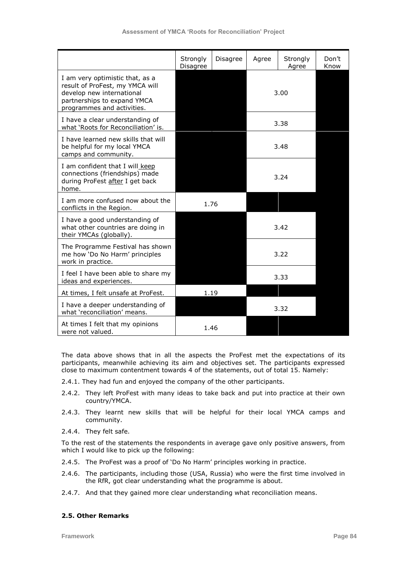|                                                                                                                                                              | Strongly<br>Disagree | Disagree | Agree | Strongly<br>Agree | Don't<br>Know |
|--------------------------------------------------------------------------------------------------------------------------------------------------------------|----------------------|----------|-------|-------------------|---------------|
| I am very optimistic that, as a<br>result of ProFest, my YMCA will<br>develop new international<br>partnerships to expand YMCA<br>programmes and activities. |                      |          |       | 3.00              |               |
| I have a clear understanding of<br>what 'Roots for Reconciliation' is.                                                                                       |                      |          | 3.38  |                   |               |
| I have learned new skills that will<br>be helpful for my local YMCA<br>camps and community.                                                                  |                      |          |       | 3.48              |               |
| I am confident that I will keep<br>connections (friendships) made<br>during ProFest after I get back<br>home.                                                |                      |          |       | 3.24              |               |
| I am more confused now about the<br>conflicts in the Region.                                                                                                 |                      | 1.76     |       |                   |               |
| I have a good understanding of<br>what other countries are doing in<br>their YMCAs (globally).                                                               |                      |          |       | 3.42              |               |
| The Programme Festival has shown<br>me how 'Do No Harm' principles<br>work in practice.                                                                      |                      |          |       | 3.22              |               |
| I feel I have been able to share my<br>ideas and experiences.                                                                                                |                      |          |       | 3.33              |               |
| At times, I felt unsafe at ProFest.                                                                                                                          |                      | 1.19     |       |                   |               |
| I have a deeper understanding of<br>what 'reconciliation' means.                                                                                             |                      |          |       | 3.32              |               |
| At times I felt that my opinions<br>were not valued.                                                                                                         |                      | 1.46     |       |                   |               |

The data above shows that in all the aspects the ProFest met the expectations of its participants, meanwhile achieving its aim and objectives set. The participants expressed close to maximum contentment towards 4 of the statements, out of total 15. Namely:

- 2.4.1. They had fun and enjoyed the company of the other participants.
- 2.4.2. They left ProFest with many ideas to take back and put into practice at their own country/YMCA.
- 2.4.3. They learnt new skills that will be helpful for their local YMCA camps and community.
- 2.4.4. They felt safe.

To the rest of the statements the respondents in average gave only positive answers, from which I would like to pick up the following:

- 2.4.5. The ProFest was a proof of "Do No Harm" principles working in practice.
- 2.4.6. The participants, including those (USA, Russia) who were the first time involved in the RfR, got clear understanding what the programme is about.
- 2.4.7. And that they gained more clear understanding what reconciliation means.

### **2.5. Other Remarks**

**Framework Page 84**